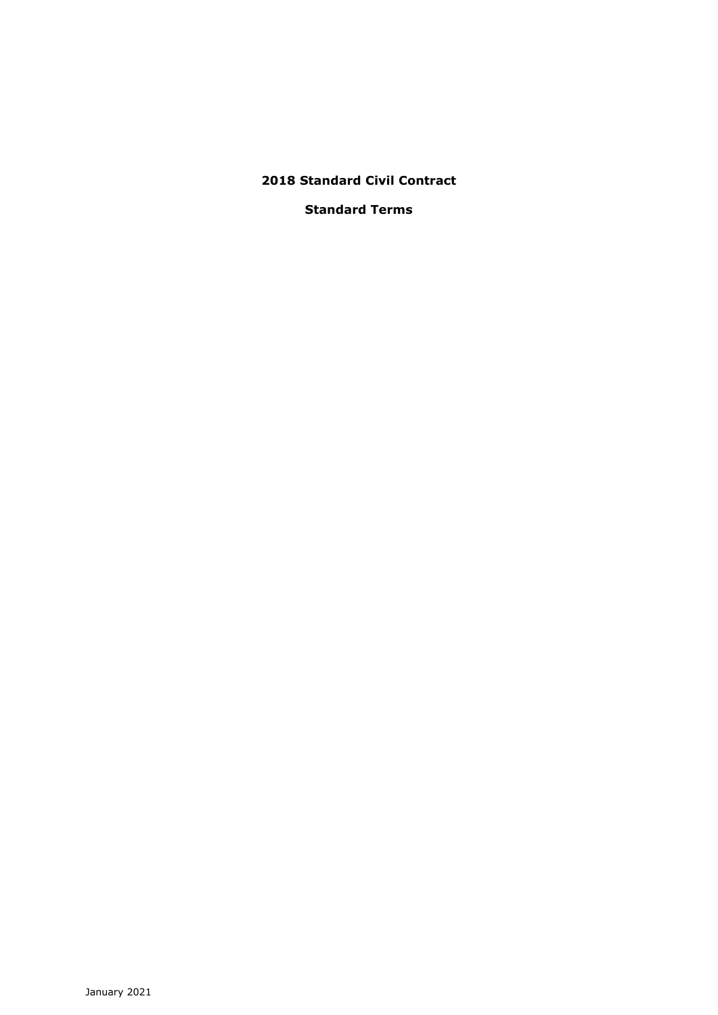# **2018 Standard Civil Contract**

# **Standard Terms**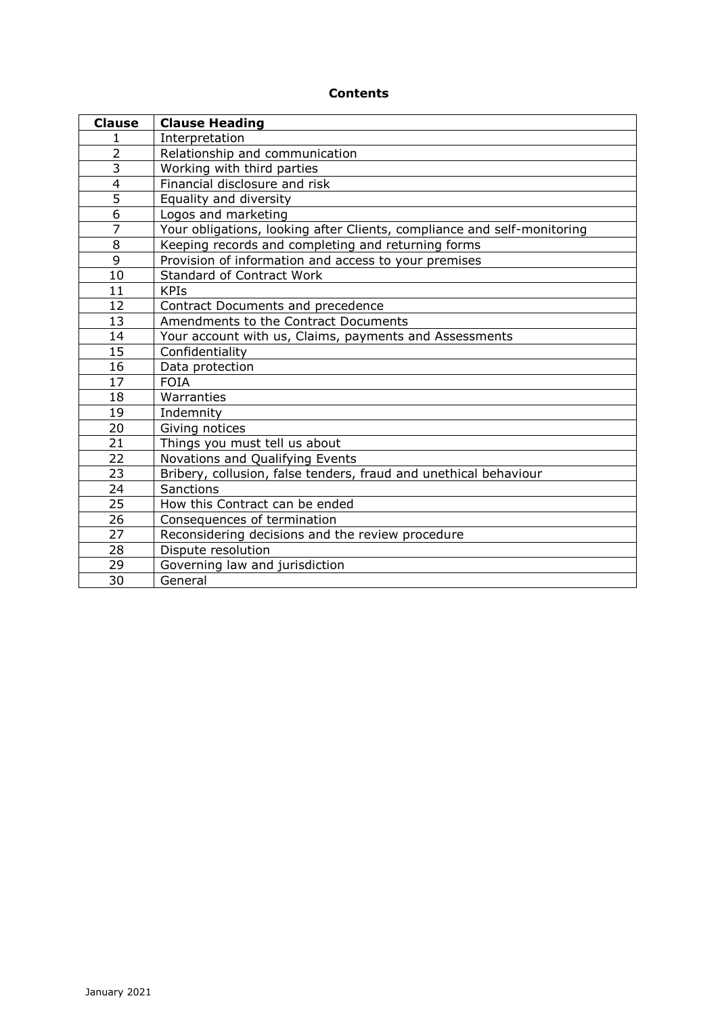# **Contents**

| <b>Clause</b>  | <b>Clause Heading</b>                                                   |
|----------------|-------------------------------------------------------------------------|
| 1              | Interpretation                                                          |
| $\overline{2}$ | Relationship and communication                                          |
| $\overline{3}$ | Working with third parties                                              |
| 4              | Financial disclosure and risk                                           |
| $\overline{5}$ | Equality and diversity                                                  |
| 6              | Logos and marketing                                                     |
| $\overline{7}$ | Your obligations, looking after Clients, compliance and self-monitoring |
| 8              | Keeping records and completing and returning forms                      |
| 9              | Provision of information and access to your premises                    |
| 10             | Standard of Contract Work                                               |
| 11             | <b>KPIs</b>                                                             |
| 12             | Contract Documents and precedence                                       |
| 13             | Amendments to the Contract Documents                                    |
| 14             | Your account with us, Claims, payments and Assessments                  |
| 15             | Confidentiality                                                         |
| 16             | Data protection                                                         |
| 17             | <b>FOIA</b>                                                             |
| 18             | Warranties                                                              |
| 19             | Indemnity                                                               |
| 20             | Giving notices                                                          |
| 21             | Things you must tell us about                                           |
| 22             | Novations and Qualifying Events                                         |
| 23             | Bribery, collusion, false tenders, fraud and unethical behaviour        |
| 24             | Sanctions                                                               |
| 25             | How this Contract can be ended                                          |
| 26             | Consequences of termination                                             |
| 27             | Reconsidering decisions and the review procedure                        |
| 28             | Dispute resolution                                                      |
| 29             | Governing law and jurisdiction                                          |
| 30             | General                                                                 |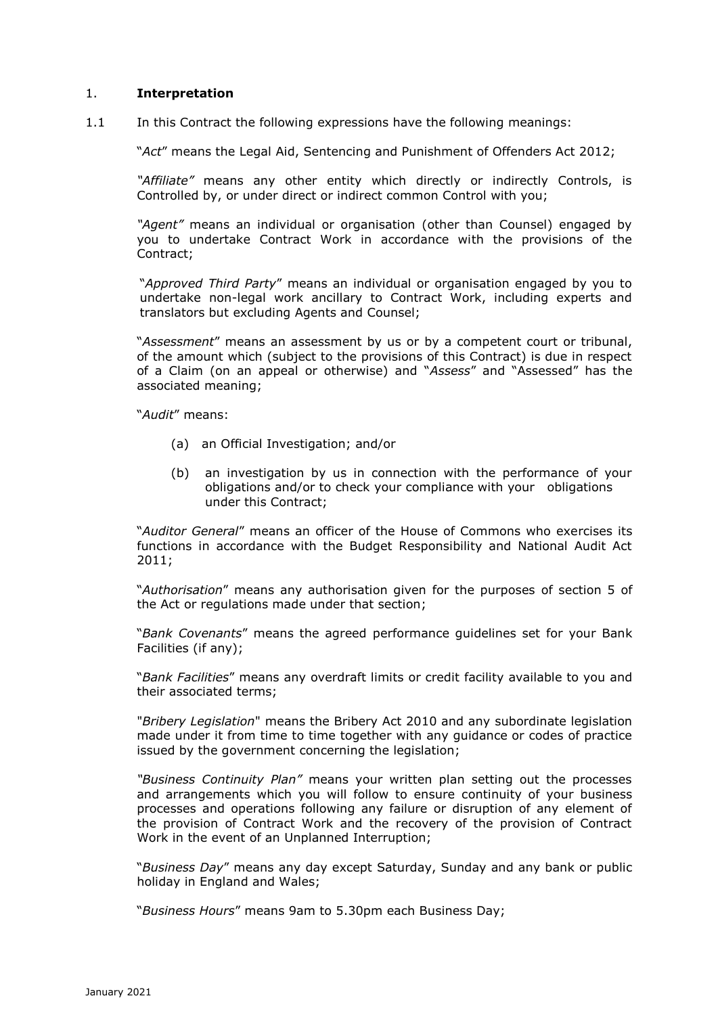### 1. **Interpretation**

1.1 In this Contract the following expressions have the following meanings:

"*Act*" means the Legal Aid, Sentencing and Punishment of Offenders Act 2012;

*"Affiliate"* means any other entity which directly or indirectly Controls, is Controlled by, or under direct or indirect common Control with you;

*"Agent"* means an individual or organisation (other than Counsel) engaged by you to undertake Contract Work in accordance with the provisions of the Contract;

"*Approved Third Party*" means an individual or organisation engaged by you to undertake non-legal work ancillary to Contract Work, including experts and translators but excluding Agents and Counsel;

"*Assessment*" means an assessment by us or by a competent court or tribunal, of the amount which (subject to the provisions of this Contract) is due in respect of a Claim (on an appeal or otherwise) and "*Assess*" and "Assessed" has the associated meaning;

"*Audit*" means:

- (a) an Official Investigation; and/or
- (b) an investigation by us in connection with the performance of your obligations and/or to check your compliance with your obligations under this Contract;

"*Auditor General*" means an officer of the House of Commons who exercises its functions in accordance with the Budget Responsibility and National Audit Act 2011;

"*Authorisation*" means any authorisation given for the purposes of section 5 of the Act or regulations made under that section;

"*Bank Covenants*" means the agreed performance guidelines set for your Bank Facilities (if any);

"*Bank Facilities*" means any overdraft limits or credit facility available to you and their associated terms;

"*Bribery Legislation*" means the Bribery Act 2010 and any subordinate legislation made under it from time to time together with any guidance or codes of practice issued by the government concerning the legislation;

*"Business Continuity Plan"* means your written plan setting out the processes and arrangements which you will follow to ensure continuity of your business processes and operations following any failure or disruption of any element of the provision of Contract Work and the recovery of the provision of Contract Work in the event of an Unplanned Interruption;

"*Business Day*" means any day except Saturday, Sunday and any bank or public holiday in England and Wales;

"*Business Hours*" means 9am to 5.30pm each Business Day;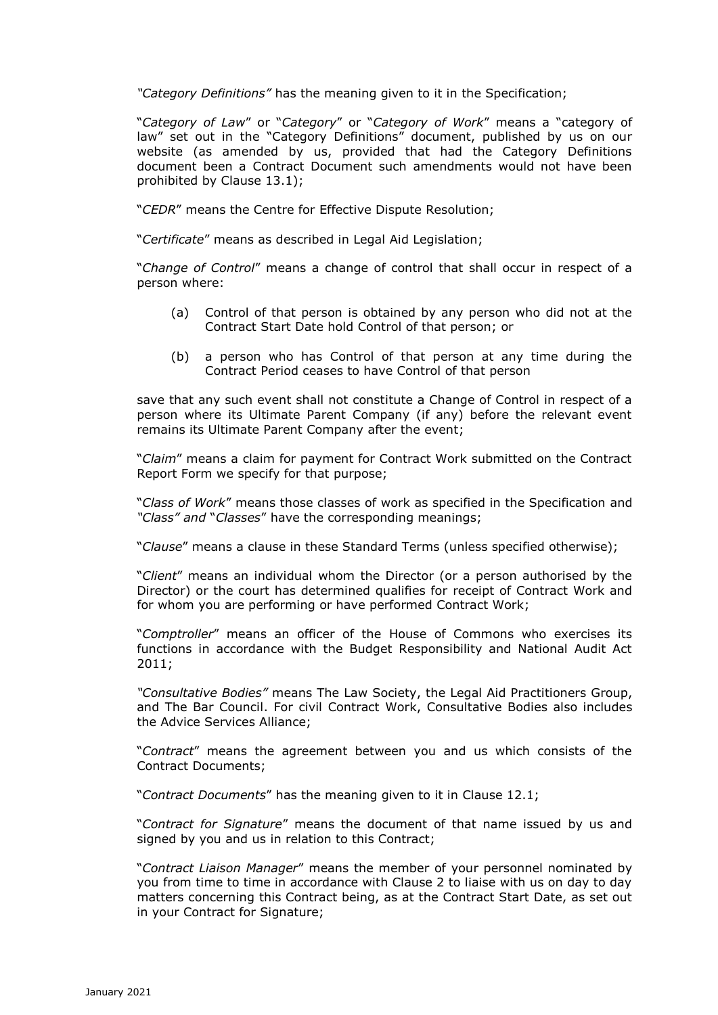*"Category Definitions"* has the meaning given to it in the Specification;

"*Category of Law*" or "*Category*" or "*Category of Work*" means a "category of law" set out in the "Category Definitions" document, published by us on our website (as amended by us, provided that had the Category Definitions document been a Contract Document such amendments would not have been prohibited by Clause 13.1);

"*CEDR*" means the Centre for Effective Dispute Resolution;

"*Certificate*" means as described in Legal Aid Legislation;

"*Change of Control*" means a change of control that shall occur in respect of a person where:

- (a) Control of that person is obtained by any person who did not at the Contract Start Date hold Control of that person; or
- (b) a person who has Control of that person at any time during the Contract Period ceases to have Control of that person

save that any such event shall not constitute a Change of Control in respect of a person where its Ultimate Parent Company (if any) before the relevant event remains its Ultimate Parent Company after the event;

"*Claim*" means a claim for payment for Contract Work submitted on the Contract Report Form we specify for that purpose;

"*Class of Work*" means those classes of work as specified in the Specification and *"Class" and* "*Classes*" have the corresponding meanings;

"*Clause*" means a clause in these Standard Terms (unless specified otherwise);

"*Client*" means an individual whom the Director (or a person authorised by the Director) or the court has determined qualifies for receipt of Contract Work and for whom you are performing or have performed Contract Work;

"*Comptroller*" means an officer of the House of Commons who exercises its functions in accordance with the Budget Responsibility and National Audit Act 2011;

*"Consultative Bodies"* means The Law Society, the Legal Aid Practitioners Group, and The Bar Council. For civil Contract Work, Consultative Bodies also includes the Advice Services Alliance;

"*Contract*" means the agreement between you and us which consists of the Contract Documents;

"*Contract Documents*" has the meaning given to it in Clause 12.1;

"*Contract for Signature*" means the document of that name issued by us and signed by you and us in relation to this Contract;

"*Contract Liaison Manager*" means the member of your personnel nominated by you from time to time in accordance with Clause 2 to liaise with us on day to day matters concerning this Contract being, as at the Contract Start Date, as set out in your Contract for Signature;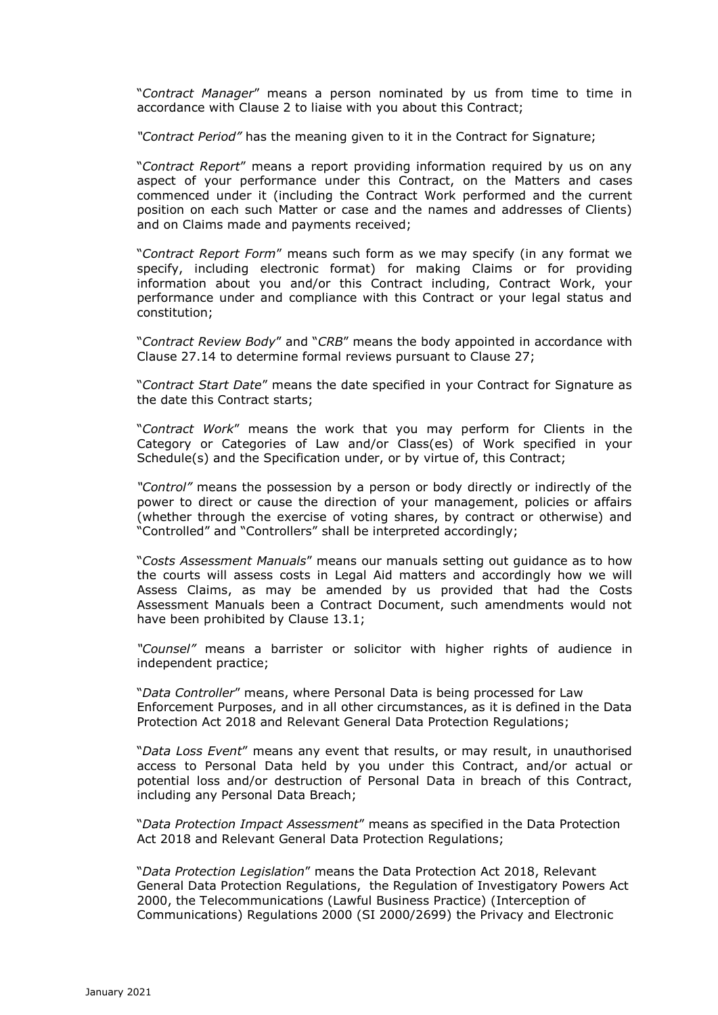"*Contract Manager*" means a person nominated by us from time to time in accordance with Clause 2 to liaise with you about this Contract;

*"Contract Period"* has the meaning given to it in the Contract for Signature;

"*Contract Report*" means a report providing information required by us on any aspect of your performance under this Contract, on the Matters and cases commenced under it (including the Contract Work performed and the current position on each such Matter or case and the names and addresses of Clients) and on Claims made and payments received;

"*Contract Report Form*" means such form as we may specify (in any format we specify, including electronic format) for making Claims or for providing information about you and/or this Contract including, Contract Work, your performance under and compliance with this Contract or your legal status and constitution;

"*Contract Review Body*" and "*CRB*" means the body appointed in accordance with Clause 27.14 to determine formal reviews pursuant to Clause 27;

"*Contract Start Date*" means the date specified in your Contract for Signature as the date this Contract starts;

"*Contract Work*" means the work that you may perform for Clients in the Category or Categories of Law and/or Class(es) of Work specified in your Schedule(s) and the Specification under, or by virtue of, this Contract;

*"Control"* means the possession by a person or body directly or indirectly of the power to direct or cause the direction of your management, policies or affairs (whether through the exercise of voting shares, by contract or otherwise) and "Controlled" and "Controllers" shall be interpreted accordingly;

"*Costs Assessment Manuals*" means our manuals setting out guidance as to how the courts will assess costs in Legal Aid matters and accordingly how we will Assess Claims, as may be amended by us provided that had the Costs Assessment Manuals been a Contract Document, such amendments would not have been prohibited by Clause 13.1;

*"Counsel"* means a barrister or solicitor with higher rights of audience in independent practice;

"*Data Controller*" means, where Personal Data is being processed for Law Enforcement Purposes, and in all other circumstances, as it is defined in the Data Protection Act 2018 and Relevant General Data Protection Regulations;

"*Data Loss Event*" means any event that results, or may result, in unauthorised access to Personal Data held by you under this Contract, and/or actual or potential loss and/or destruction of Personal Data in breach of this Contract, including any Personal Data Breach;

"*Data Protection Impact Assessment*" means as specified in the Data Protection Act 2018 and Relevant General Data Protection Regulations;

"*Data Protection Legislation*" means the Data Protection Act 2018, Relevant General Data Protection Regulations, the Regulation of Investigatory Powers Act 2000, the Telecommunications (Lawful Business Practice) (Interception of Communications) Regulations 2000 (SI 2000/2699) the Privacy and Electronic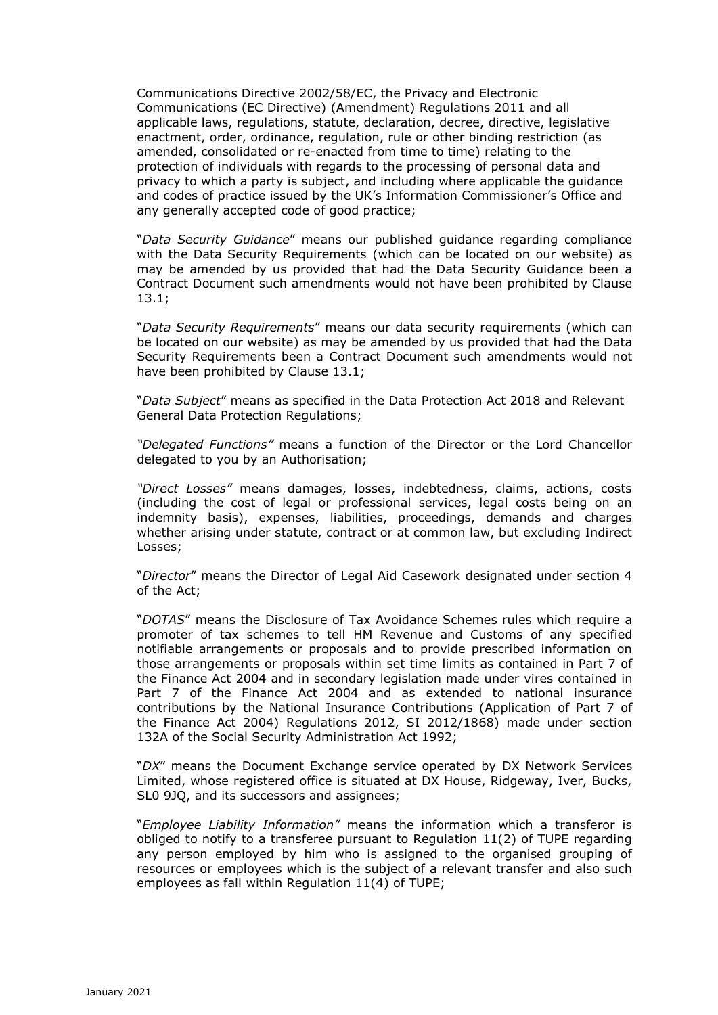Communications Directive 2002/58/EC, the Privacy and Electronic Communications (EC Directive) (Amendment) Regulations 2011 and all applicable laws, regulations, statute, declaration, decree, directive, legislative enactment, order, ordinance, regulation, rule or other binding restriction (as amended, consolidated or re-enacted from time to time) relating to the protection of individuals with regards to the processing of personal data and privacy to which a party is subject, and including where applicable the guidance and codes of practice issued by the UK's Information Commissioner's Office and any generally accepted code of good practice;

"*Data Security Guidance*" means our published guidance regarding compliance with the Data Security Requirements (which can be located on our website) as may be amended by us provided that had the Data Security Guidance been a Contract Document such amendments would not have been prohibited by Clause 13.1;

"*Data Security Requirements*" means our data security requirements (which can be located on our website) as may be amended by us provided that had the Data Security Requirements been a Contract Document such amendments would not have been prohibited by Clause 13.1;

"*Data Subject*" means as specified in the Data Protection Act 2018 and Relevant General Data Protection Regulations;

*"Delegated Functions"* means a function of the Director or the Lord Chancellor delegated to you by an Authorisation;

*"Direct Losses"* means damages, losses, indebtedness, claims, actions, costs (including the cost of legal or professional services, legal costs being on an indemnity basis), expenses, liabilities, proceedings, demands and charges whether arising under statute, contract or at common law, but excluding Indirect Losses;

"*Director*" means the Director of Legal Aid Casework designated under section 4 of the Act;

"*DOTAS*" means the Disclosure of Tax Avoidance Schemes rules which require a promoter of tax schemes to tell HM Revenue and Customs of any specified notifiable arrangements or proposals and to provide prescribed information on those arrangements or proposals within set time limits as contained in Part 7 of the Finance Act 2004 and in secondary legislation made under vires contained in Part 7 of the Finance Act 2004 and as extended to national insurance contributions by the National Insurance Contributions (Application of Part 7 of the Finance Act 2004) Regulations 2012, SI 2012/1868) made under section 132A of the Social Security Administration Act 1992;

"*DX*" means the Document Exchange service operated by DX Network Services Limited, whose registered office is situated at DX House, Ridgeway, Iver, Bucks, SL0 9JQ, and its successors and assignees;

"*Employee Liability Information"* means the information which a transferor is obliged to notify to a transferee pursuant to Regulation  $11(2)$  of TUPE regarding any person employed by him who is assigned to the organised grouping of resources or employees which is the subject of a relevant transfer and also such employees as fall within Regulation 11(4) of TUPE;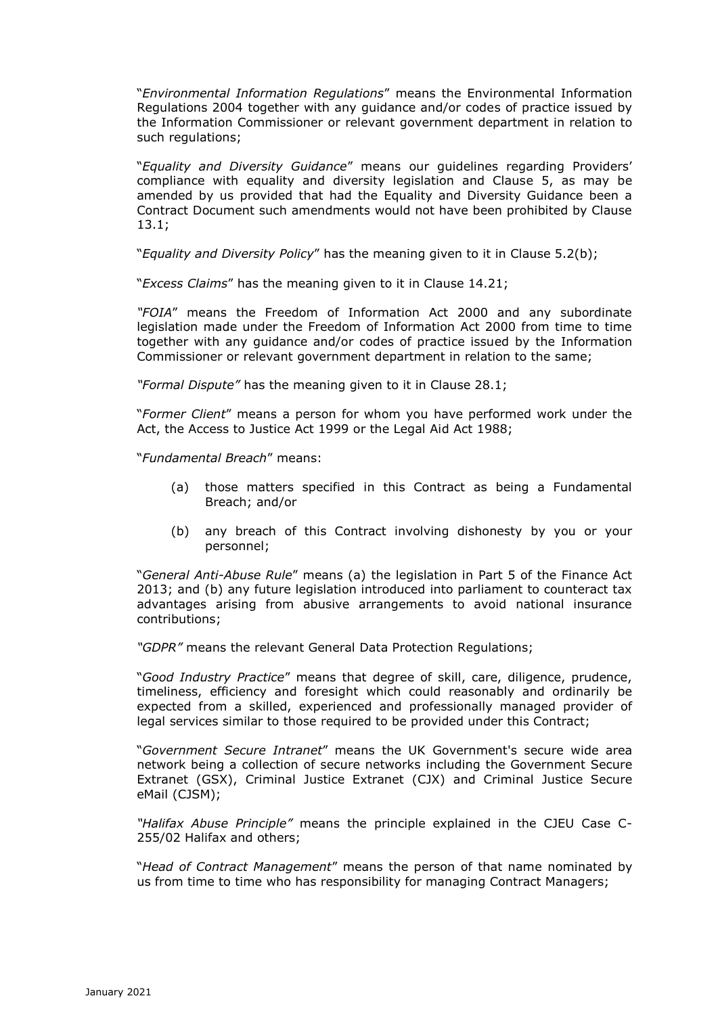"*Environmental Information Regulations*" means the Environmental Information Regulations 2004 together with any guidance and/or codes of practice issued by the Information Commissioner or relevant government department in relation to such regulations;

"*Equality and Diversity Guidance*" means our guidelines regarding Providers' compliance with equality and diversity legislation and Clause 5, as may be amended by us provided that had the Equality and Diversity Guidance been a Contract Document such amendments would not have been prohibited by Clause 13.1;

"*Equality and Diversity Policy*" has the meaning given to it in Clause 5.2(b);

"*Excess Claims*" has the meaning given to it in Clause 14.21;

*"FOIA*" means the Freedom of Information Act 2000 and any subordinate legislation made under the Freedom of Information Act 2000 from time to time together with any guidance and/or codes of practice issued by the Information Commissioner or relevant government department in relation to the same;

*"Formal Dispute"* has the meaning given to it in Clause 28.1;

"*Former Client*" means a person for whom you have performed work under the Act, the Access to Justice Act 1999 or the Legal Aid Act 1988;

"*Fundamental Breach*" means:

- (a) those matters specified in this Contract as being a Fundamental Breach; and/or
- (b) any breach of this Contract involving dishonesty by you or your personnel;

"*General Anti-Abuse Rule*" means (a) the legislation in Part 5 of the Finance Act 2013; and (b) any future legislation introduced into parliament to counteract tax advantages arising from abusive arrangements to avoid national insurance contributions;

*"GDPR"* means the relevant General Data Protection Regulations;

"*Good Industry Practice*" means that degree of skill, care, diligence, prudence, timeliness, efficiency and foresight which could reasonably and ordinarily be expected from a skilled, experienced and professionally managed provider of legal services similar to those required to be provided under this Contract;

"*Government Secure Intranet*" means the UK Government's secure wide area network being a collection of secure networks including the Government Secure Extranet (GSX), Criminal Justice Extranet (CJX) and Criminal Justice Secure eMail (CJSM);

*"Halifax Abuse Principle"* means the principle explained in the CJEU Case C-255/02 Halifax and others;

"*Head of Contract Management*" means the person of that name nominated by us from time to time who has responsibility for managing Contract Managers;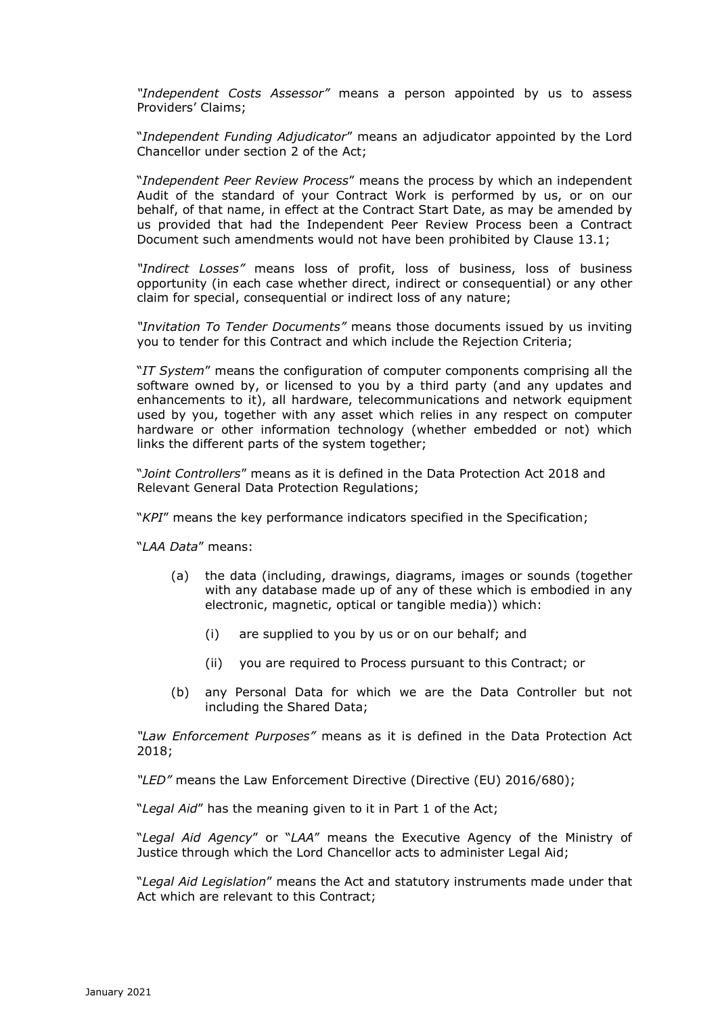*"Independent Costs Assessor"* means a person appointed by us to assess Providers' Claims;

"*Independent Funding Adjudicator*" means an adjudicator appointed by the Lord Chancellor under section 2 of the Act;

"*Independent Peer Review Process*" means the process by which an independent Audit of the standard of your Contract Work is performed by us, or on our behalf, of that name, in effect at the Contract Start Date, as may be amended by us provided that had the Independent Peer Review Process been a Contract Document such amendments would not have been prohibited by Clause 13.1;

*"Indirect Losses"* means loss of profit, loss of business, loss of business opportunity (in each case whether direct, indirect or consequential) or any other claim for special, consequential or indirect loss of any nature;

*"Invitation To Tender Documents"* means those documents issued by us inviting you to tender for this Contract and which include the Rejection Criteria;

"*IT System*" means the configuration of computer components comprising all the software owned by, or licensed to you by a third party (and any updates and enhancements to it), all hardware, telecommunications and network equipment used by you, together with any asset which relies in any respect on computer hardware or other information technology (whether embedded or not) which links the different parts of the system together;

"*Joint Controllers*" means as it is defined in the Data Protection Act 2018 and Relevant General Data Protection Regulations;

"*KPI*" means the key performance indicators specified in the Specification;

"*LAA Data*" means:

- (a) the data (including, drawings, diagrams, images or sounds (together with any database made up of any of these which is embodied in any electronic, magnetic, optical or tangible media)) which:
	- (i) are supplied to you by us or on our behalf; and
	- (ii) you are required to Process pursuant to this Contract; or
- (b) any Personal Data for which we are the Data Controller but not including the Shared Data;

*"Law Enforcement Purposes"* means as it is defined in the Data Protection Act 2018;

*"LED"* means the Law Enforcement Directive (Directive (EU) 2016/680);

"*Legal Aid*" has the meaning given to it in Part 1 of the Act;

"*Legal Aid Agency*" or "*LAA*" means the Executive Agency of the Ministry of Justice through which the Lord Chancellor acts to administer Legal Aid;

"*Legal Aid Legislation*" means the Act and statutory instruments made under that Act which are relevant to this Contract;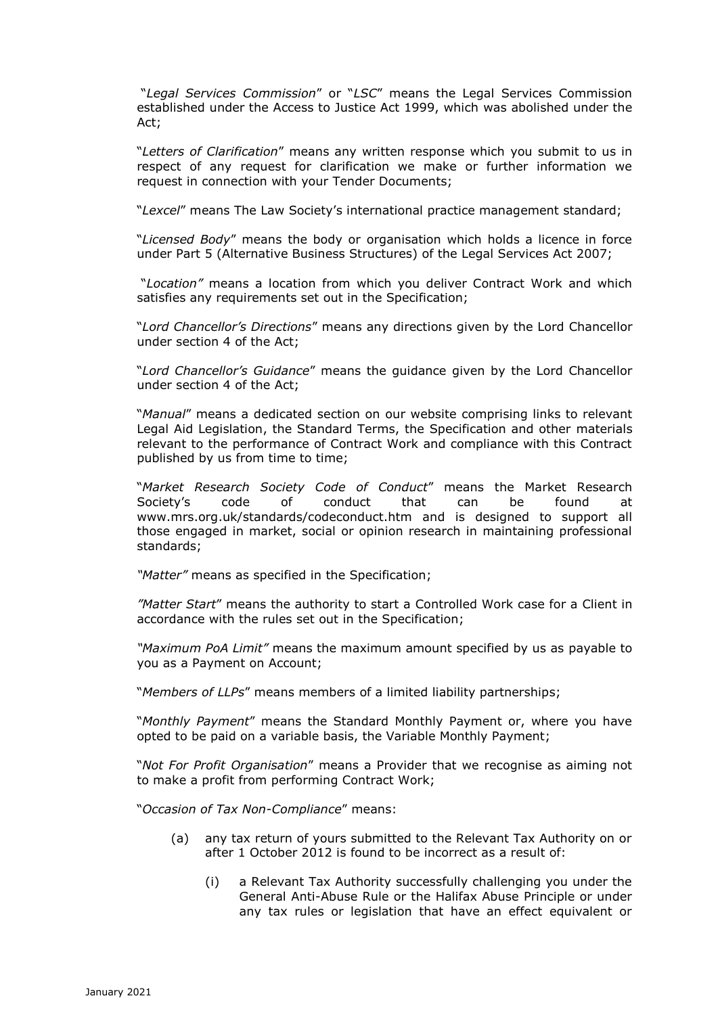"*Legal Services Commission*" or "*LSC*" means the Legal Services Commission established under the Access to Justice Act 1999, which was abolished under the Act;

"*Letters of Clarification*" means any written response which you submit to us in respect of any request for clarification we make or further information we request in connection with your Tender Documents;

"*Lexcel*" means The Law Society's international practice management standard;

"*Licensed Body*" means the body or organisation which holds a licence in force under Part 5 (Alternative Business Structures) of the Legal Services Act 2007;

"*Location"* means a location from which you deliver Contract Work and which satisfies any requirements set out in the Specification;

"*Lord Chancellor's Directions*" means any directions given by the Lord Chancellor under section 4 of the Act;

"*Lord Chancellor's Guidance*" means the guidance given by the Lord Chancellor under section 4 of the Act;

"*Manual*" means a dedicated section on our website comprising links to relevant Legal Aid Legislation, the Standard Terms, the Specification and other materials relevant to the performance of Contract Work and compliance with this Contract published by us from time to time;

"*Market Research Society Code of Conduct*" means the Market Research Society's code of conduct that can be found at www.mrs.org.uk/standards/codeconduct.htm and is designed to support all those engaged in market, social or opinion research in maintaining professional standards;

*"Matter"* means as specified in the Specification;

*"Matter Start*" means the authority to start a Controlled Work case for a Client in accordance with the rules set out in the Specification;

*"Maximum PoA Limit"* means the maximum amount specified by us as payable to you as a Payment on Account;

"*Members of LLPs*" means members of a limited liability partnerships;

"*Monthly Payment*" means the Standard Monthly Payment or, where you have opted to be paid on a variable basis, the Variable Monthly Payment;

"*Not For Profit Organisation*" means a Provider that we recognise as aiming not to make a profit from performing Contract Work;

"*Occasion of Tax Non-Compliance*" means:

- (a) any tax return of yours submitted to the Relevant Tax Authority on or after 1 October 2012 is found to be incorrect as a result of:
	- (i) a Relevant Tax Authority successfully challenging you under the General Anti-Abuse Rule or the Halifax Abuse Principle or under any tax rules or legislation that have an effect equivalent or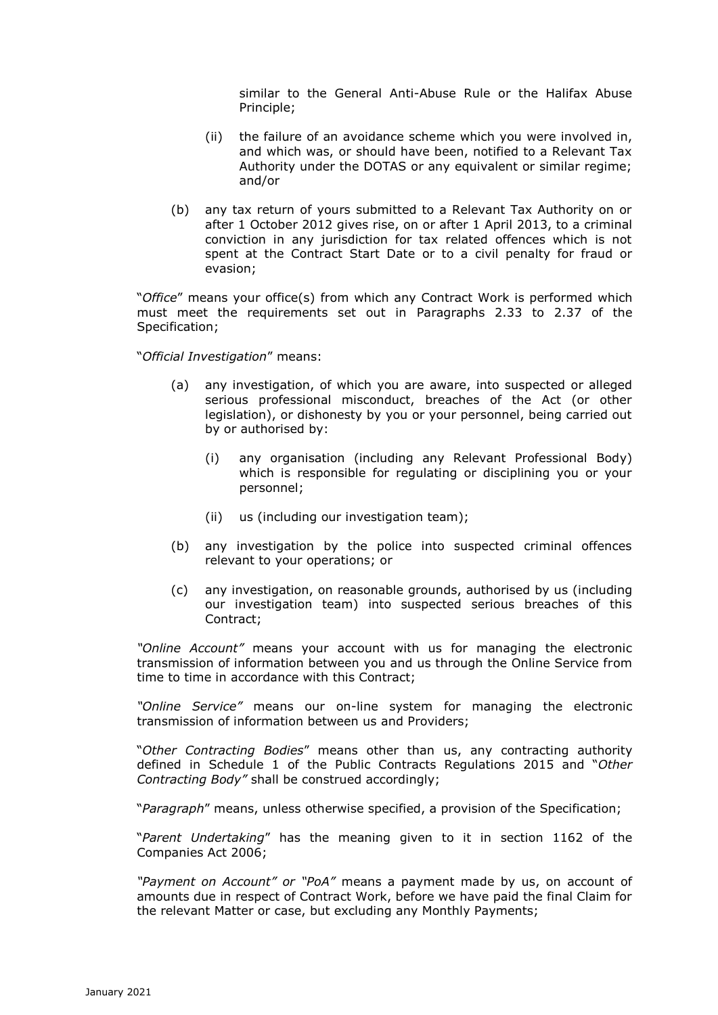similar to the General Anti-Abuse Rule or the Halifax Abuse Principle;

- (ii) the failure of an avoidance scheme which you were involved in, and which was, or should have been, notified to a Relevant Tax Authority under the DOTAS or any equivalent or similar regime; and/or
- (b) any tax return of yours submitted to a Relevant Tax Authority on or after 1 October 2012 gives rise, on or after 1 April 2013, to a criminal conviction in any jurisdiction for tax related offences which is not spent at the Contract Start Date or to a civil penalty for fraud or evasion;

"*Office*" means your office(s) from which any Contract Work is performed which must meet the requirements set out in Paragraphs 2.33 to 2.37 of the Specification;

"*Official Investigation*" means:

- (a) any investigation, of which you are aware, into suspected or alleged serious professional misconduct, breaches of the Act (or other legislation), or dishonesty by you or your personnel, being carried out by or authorised by:
	- (i) any organisation (including any Relevant Professional Body) which is responsible for regulating or disciplining you or your personnel;
	- (ii) us (including our investigation team);
- (b) any investigation by the police into suspected criminal offences relevant to your operations; or
- (c) any investigation, on reasonable grounds, authorised by us (including our investigation team) into suspected serious breaches of this Contract;

*"Online Account"* means your account with us for managing the electronic transmission of information between you and us through the Online Service from time to time in accordance with this Contract;

*"Online Service"* means our on-line system for managing the electronic transmission of information between us and Providers;

"*Other Contracting Bodies*" means other than us, any contracting authority defined in Schedule 1 of the Public Contracts Regulations 2015 and "*Other Contracting Body"* shall be construed accordingly;

"*Paragraph*" means, unless otherwise specified, a provision of the Specification;

"*Parent Undertaking*" has the meaning given to it in section 1162 of the Companies Act 2006;

*"Payment on Account" or "PoA"* means a payment made by us, on account of amounts due in respect of Contract Work, before we have paid the final Claim for the relevant Matter or case, but excluding any Monthly Payments;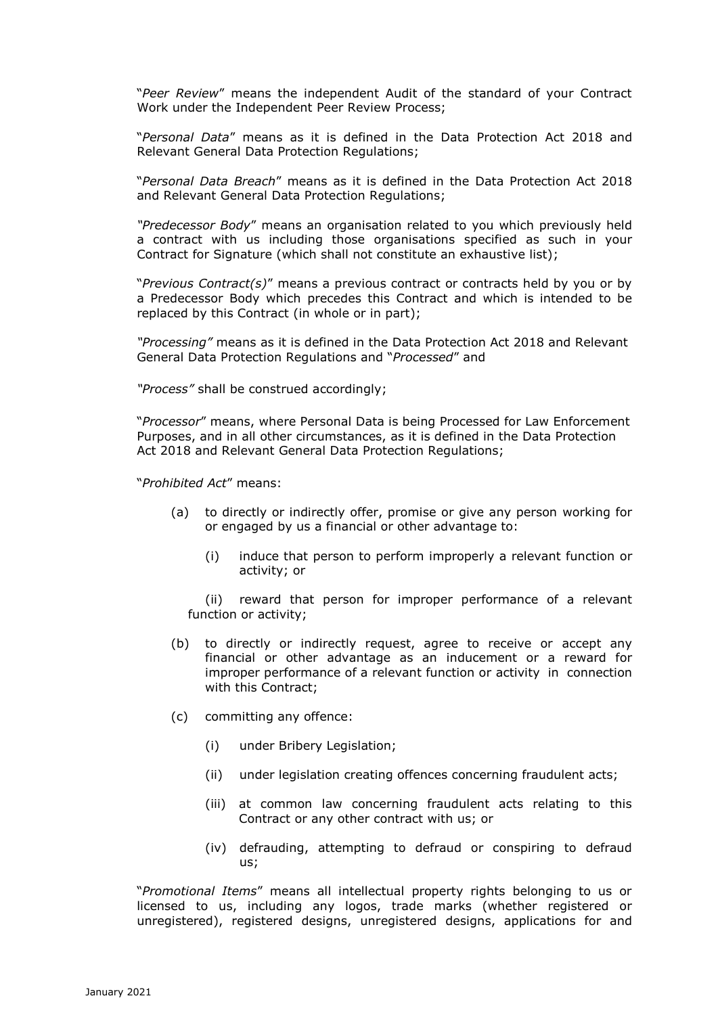"*Peer Review*" means the independent Audit of the standard of your Contract Work under the Independent Peer Review Process;

"*Personal Data*" means as it is defined in the Data Protection Act 2018 and Relevant General Data Protection Regulations;

"*Personal Data Breach*" means as it is defined in the Data Protection Act 2018 and Relevant General Data Protection Regulations;

*"Predecessor Body*" means an organisation related to you which previously held a contract with us including those organisations specified as such in your Contract for Signature (which shall not constitute an exhaustive list);

"*Previous Contract(s)*" means a previous contract or contracts held by you or by a Predecessor Body which precedes this Contract and which is intended to be replaced by this Contract (in whole or in part);

*"Processing"* means as it is defined in the Data Protection Act 2018 and Relevant General Data Protection Regulations and "*Processed*" and

*"Process"* shall be construed accordingly;

"*Processor*" means, where Personal Data is being Processed for Law Enforcement Purposes, and in all other circumstances, as it is defined in the Data Protection Act 2018 and Relevant General Data Protection Regulations;

"*Prohibited Act*" means:

- (a) to directly or indirectly offer, promise or give any person working for or engaged by us a financial or other advantage to:
	- (i) induce that person to perform improperly a relevant function or activity; or

(ii) reward that person for improper performance of a relevant function or activity;

- (b) to directly or indirectly request, agree to receive or accept any financial or other advantage as an inducement or a reward for improper performance of a relevant function or activity in connection with this Contract;
- (c) committing any offence:
	- (i) under Bribery Legislation;
	- (ii) under legislation creating offences concerning fraudulent acts;
	- (iii) at common law concerning fraudulent acts relating to this Contract or any other contract with us; or
	- (iv) defrauding, attempting to defraud or conspiring to defraud us;

"*Promotional Items*" means all intellectual property rights belonging to us or licensed to us, including any logos, trade marks (whether registered or unregistered), registered designs, unregistered designs, applications for and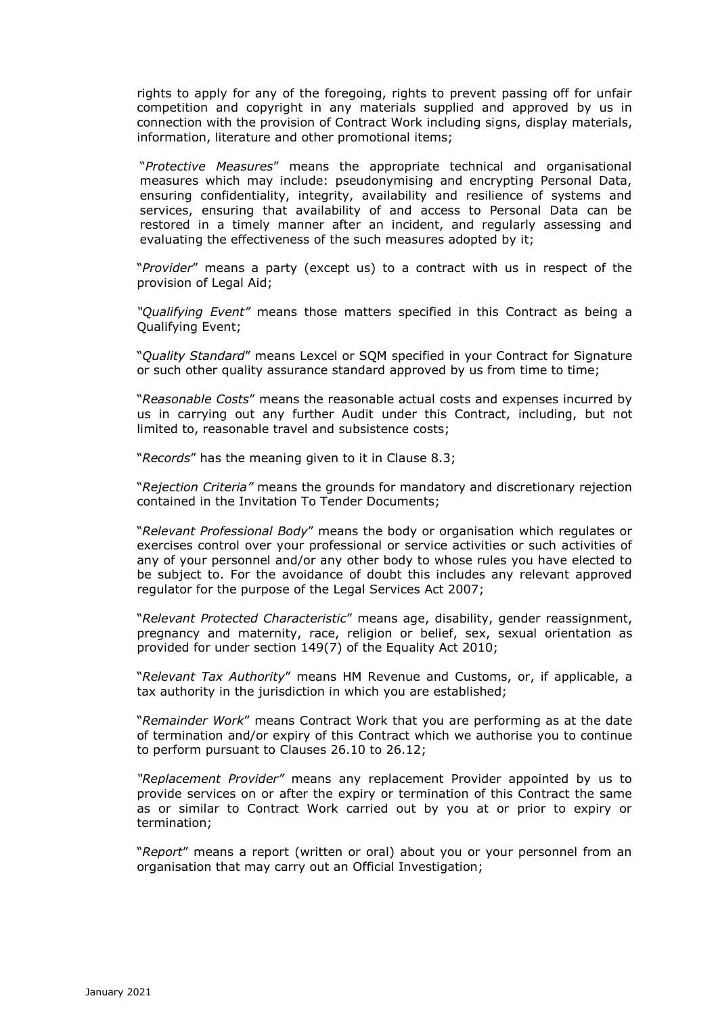rights to apply for any of the foregoing, rights to prevent passing off for unfair competition and copyright in any materials supplied and approved by us in connection with the provision of Contract Work including signs, display materials, information, literature and other promotional items;

"*Protective Measures*" means the appropriate technical and organisational measures which may include: pseudonymising and encrypting Personal Data, ensuring confidentiality, integrity, availability and resilience of systems and services, ensuring that availability of and access to Personal Data can be restored in a timely manner after an incident, and regularly assessing and evaluating the effectiveness of the such measures adopted by it;

"*Provider*" means a party (except us) to a contract with us in respect of the provision of Legal Aid;

*"Qualifying Event"* means those matters specified in this Contract as being a Qualifying Event;

"*Quality Standard*" means Lexcel or SQM specified in your Contract for Signature or such other quality assurance standard approved by us from time to time;

"*Reasonable Costs*" means the reasonable actual costs and expenses incurred by us in carrying out any further Audit under this Contract, including, but not limited to, reasonable travel and subsistence costs;

"*Records*" has the meaning given to it in Clause 8.3;

"*Rejection Criteria"* means the grounds for mandatory and discretionary rejection contained in the Invitation To Tender Documents;

"*Relevant Professional Body*" means the body or organisation which regulates or exercises control over your professional or service activities or such activities of any of your personnel and/or any other body to whose rules you have elected to be subject to. For the avoidance of doubt this includes any relevant approved regulator for the purpose of the Legal Services Act 2007;

"*Relevant Protected Characteristic*" means age, disability, gender reassignment, pregnancy and maternity, race, religion or belief, sex, sexual orientation as provided for under section 149(7) of the Equality Act 2010;

"*Relevant Tax Authority*" means HM Revenue and Customs, or, if applicable, a tax authority in the jurisdiction in which you are established;

"*Remainder Work*" means Contract Work that you are performing as at the date of termination and/or expiry of this Contract which we authorise you to continue to perform pursuant to Clauses 26.10 to 26.12;

*"Replacement Provider"* means any replacement Provider appointed by us to provide services on or after the expiry or termination of this Contract the same as or similar to Contract Work carried out by you at or prior to expiry or termination;

"*Report*" means a report (written or oral) about you or your personnel from an organisation that may carry out an Official Investigation;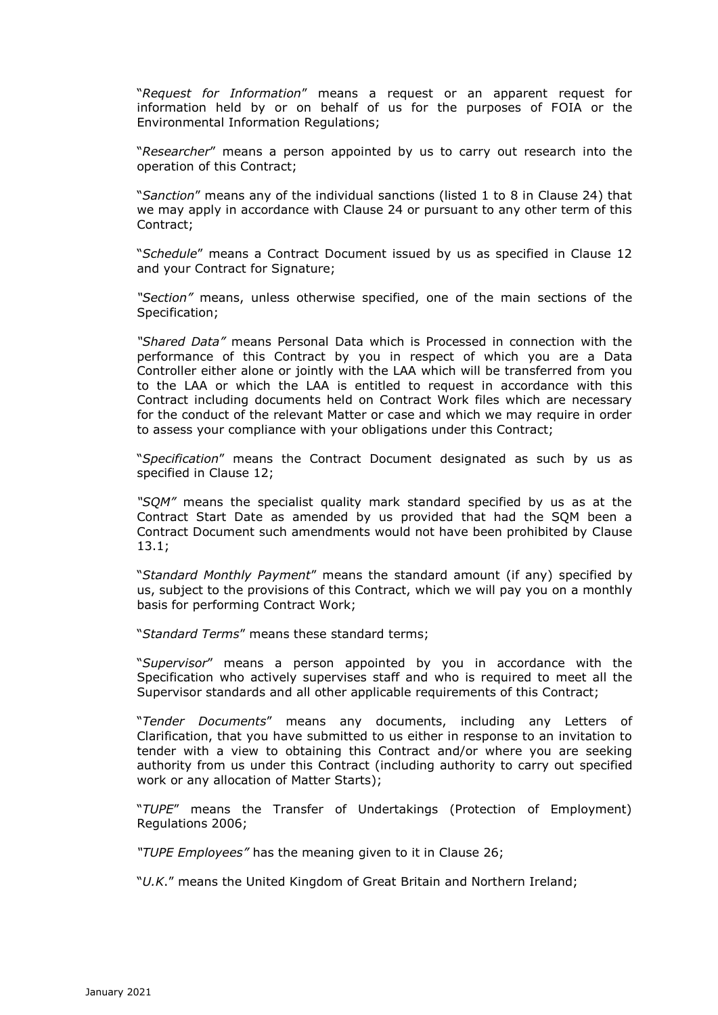"*Request for Information*" means a request or an apparent request for information held by or on behalf of us for the purposes of FOIA or the Environmental Information Regulations;

"*Researcher*" means a person appointed by us to carry out research into the operation of this Contract;

"*Sanction*" means any of the individual sanctions (listed 1 to 8 in Clause 24) that we may apply in accordance with Clause 24 or pursuant to any other term of this Contract;

"*Schedule*" means a Contract Document issued by us as specified in Clause 12 and your Contract for Signature;

*"Section"* means, unless otherwise specified, one of the main sections of the Specification;

*"Shared Data"* means Personal Data which is Processed in connection with the performance of this Contract by you in respect of which you are a Data Controller either alone or jointly with the LAA which will be transferred from you to the LAA or which the LAA is entitled to request in accordance with this Contract including documents held on Contract Work files which are necessary for the conduct of the relevant Matter or case and which we may require in order to assess your compliance with your obligations under this Contract;

"*Specification*" means the Contract Document designated as such by us as specified in Clause 12;

*"SQM"* means the specialist quality mark standard specified by us as at the Contract Start Date as amended by us provided that had the SQM been a Contract Document such amendments would not have been prohibited by Clause 13.1;

"*Standard Monthly Payment*" means the standard amount (if any) specified by us, subject to the provisions of this Contract, which we will pay you on a monthly basis for performing Contract Work;

"*Standard Terms*" means these standard terms;

"*Supervisor*" means a person appointed by you in accordance with the Specification who actively supervises staff and who is required to meet all the Supervisor standards and all other applicable requirements of this Contract;

"*Tender Documents*" means any documents, including any Letters of Clarification, that you have submitted to us either in response to an invitation to tender with a view to obtaining this Contract and/or where you are seeking authority from us under this Contract (including authority to carry out specified work or any allocation of Matter Starts);

"*TUPE*" means the Transfer of Undertakings (Protection of Employment) Regulations 2006;

*"TUPE Employees"* has the meaning given to it in Clause 26;

"*U.K*." means the United Kingdom of Great Britain and Northern Ireland;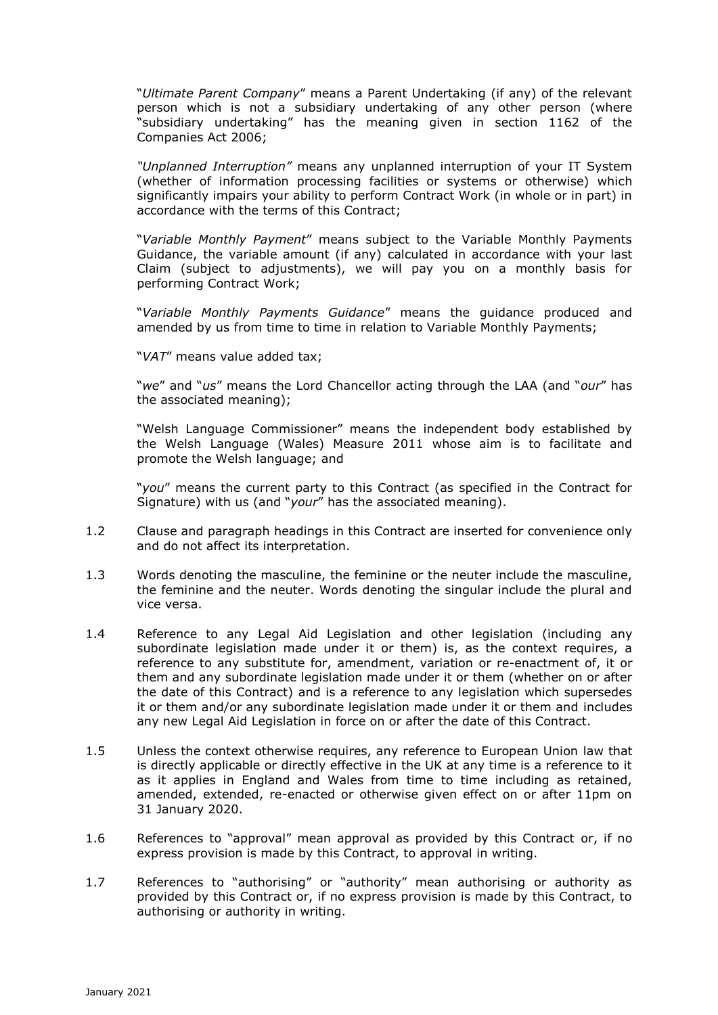"*Ultimate Parent Company*" means a Parent Undertaking (if any) of the relevant person which is not a subsidiary undertaking of any other person (where "subsidiary undertaking" has the meaning given in section 1162 of the Companies Act 2006;

*"Unplanned Interruption"* means any unplanned interruption of your IT System (whether of information processing facilities or systems or otherwise) which significantly impairs your ability to perform Contract Work (in whole or in part) in accordance with the terms of this Contract;

"*Variable Monthly Payment*" means subject to the Variable Monthly Payments Guidance, the variable amount (if any) calculated in accordance with your last Claim (subject to adjustments), we will pay you on a monthly basis for performing Contract Work;

"*Variable Monthly Payments Guidance*" means the guidance produced and amended by us from time to time in relation to Variable Monthly Payments;

"*VAT*" means value added tax;

"*we*" and "*us*" means the Lord Chancellor acting through the LAA (and "*our*" has the associated meaning);

"Welsh Language Commissioner" means the independent body established by the Welsh Language (Wales) Measure 2011 whose aim is to facilitate and promote the Welsh language; and

"*you*" means the current party to this Contract (as specified in the Contract for Signature) with us (and "*your*" has the associated meaning).

- 1.2 Clause and paragraph headings in this Contract are inserted for convenience only and do not affect its interpretation.
- 1.3 Words denoting the masculine, the feminine or the neuter include the masculine, the feminine and the neuter. Words denoting the singular include the plural and vice versa.
- 1.4 Reference to any Legal Aid Legislation and other legislation (including any subordinate legislation made under it or them) is, as the context requires, a reference to any substitute for, amendment, variation or re-enactment of, it or them and any subordinate legislation made under it or them (whether on or after the date of this Contract) and is a reference to any legislation which supersedes it or them and/or any subordinate legislation made under it or them and includes any new Legal Aid Legislation in force on or after the date of this Contract.
- 1.5 Unless the context otherwise requires, any reference to European Union law that is directly applicable or directly effective in the UK at any time is a reference to it as it applies in England and Wales from time to time including as retained, amended, extended, re-enacted or otherwise given effect on or after 11pm on 31 January 2020.
- 1.6 References to "approval" mean approval as provided by this Contract or, if no express provision is made by this Contract, to approval in writing.
- 1.7 References to "authorising" or "authority" mean authorising or authority as provided by this Contract or, if no express provision is made by this Contract, to authorising or authority in writing.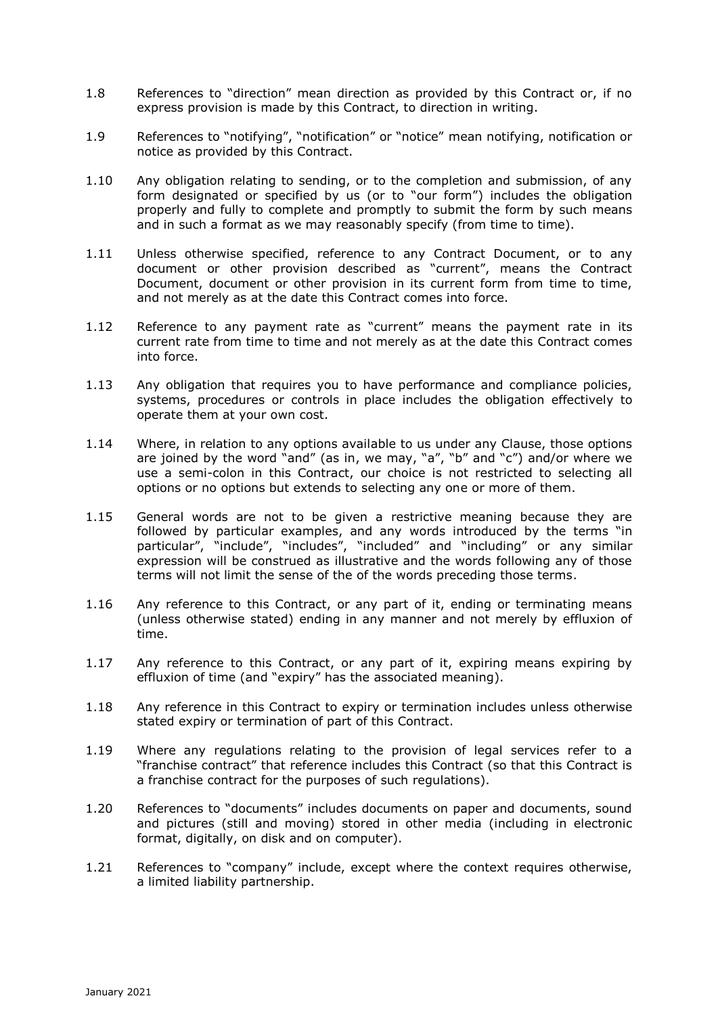- 1.8 References to "direction" mean direction as provided by this Contract or, if no express provision is made by this Contract, to direction in writing.
- 1.9 References to "notifying", "notification" or "notice" mean notifying, notification or notice as provided by this Contract.
- 1.10 Any obligation relating to sending, or to the completion and submission, of any form designated or specified by us (or to "our form") includes the obligation properly and fully to complete and promptly to submit the form by such means and in such a format as we may reasonably specify (from time to time).
- 1.11 Unless otherwise specified, reference to any Contract Document, or to any document or other provision described as "current", means the Contract Document, document or other provision in its current form from time to time, and not merely as at the date this Contract comes into force.
- 1.12 Reference to any payment rate as "current" means the payment rate in its current rate from time to time and not merely as at the date this Contract comes into force.
- 1.13 Any obligation that requires you to have performance and compliance policies, systems, procedures or controls in place includes the obligation effectively to operate them at your own cost.
- 1.14 Where, in relation to any options available to us under any Clause, those options are joined by the word "and" (as in, we may, "a", "b" and "c") and/or where we use a semi-colon in this Contract, our choice is not restricted to selecting all options or no options but extends to selecting any one or more of them.
- 1.15 General words are not to be given a restrictive meaning because they are followed by particular examples, and any words introduced by the terms "in particular", "include", "includes", "included" and "including" or any similar expression will be construed as illustrative and the words following any of those terms will not limit the sense of the of the words preceding those terms.
- 1.16 Any reference to this Contract, or any part of it, ending or terminating means (unless otherwise stated) ending in any manner and not merely by effluxion of time.
- 1.17 Any reference to this Contract, or any part of it, expiring means expiring by effluxion of time (and "expiry" has the associated meaning).
- 1.18 Any reference in this Contract to expiry or termination includes unless otherwise stated expiry or termination of part of this Contract.
- 1.19 Where any regulations relating to the provision of legal services refer to a "franchise contract" that reference includes this Contract (so that this Contract is a franchise contract for the purposes of such regulations).
- 1.20 References to "documents" includes documents on paper and documents, sound and pictures (still and moving) stored in other media (including in electronic format, digitally, on disk and on computer).
- 1.21 References to "company" include, except where the context requires otherwise, a limited liability partnership.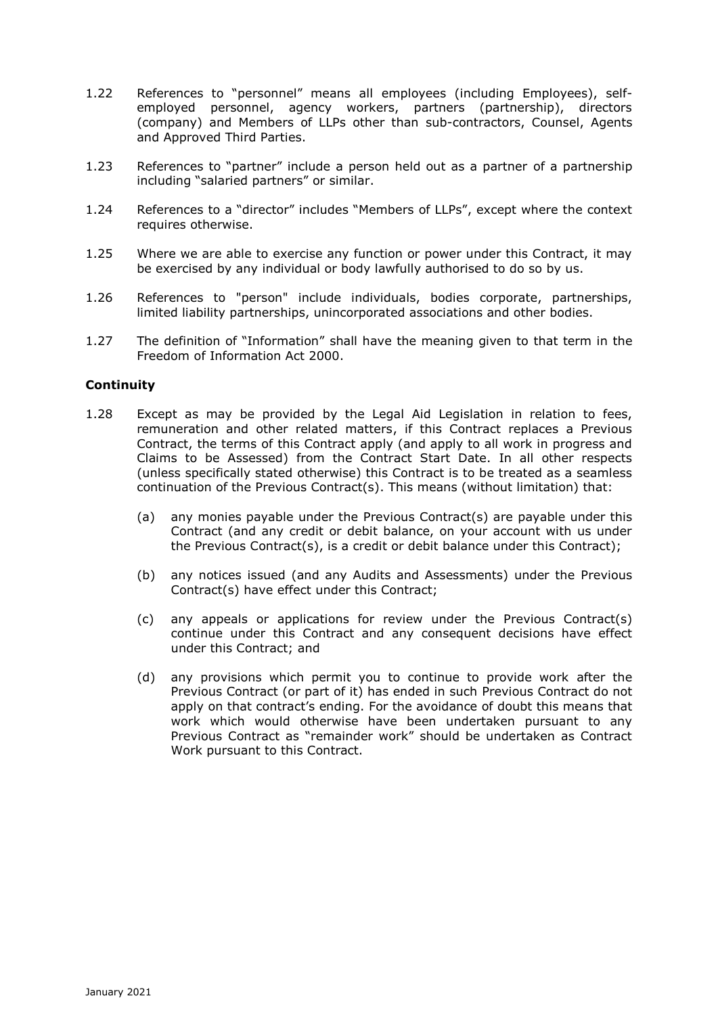- 1.22 References to "personnel" means all employees (including Employees), selfemployed personnel, agency workers, partners (partnership), directors (company) and Members of LLPs other than sub-contractors, Counsel, Agents and Approved Third Parties.
- 1.23 References to "partner" include a person held out as a partner of a partnership including "salaried partners" or similar.
- 1.24 References to a "director" includes "Members of LLPs", except where the context requires otherwise.
- 1.25 Where we are able to exercise any function or power under this Contract, it may be exercised by any individual or body lawfully authorised to do so by us.
- 1.26 References to "person" include individuals, bodies corporate, partnerships, limited liability partnerships, unincorporated associations and other bodies.
- 1.27 The definition of "Information" shall have the meaning given to that term in the Freedom of Information Act 2000.

#### **Continuity**

- 1.28 Except as may be provided by the Legal Aid Legislation in relation to fees, remuneration and other related matters, if this Contract replaces a Previous Contract, the terms of this Contract apply (and apply to all work in progress and Claims to be Assessed) from the Contract Start Date. In all other respects (unless specifically stated otherwise) this Contract is to be treated as a seamless continuation of the Previous Contract(s). This means (without limitation) that:
	- (a) any monies payable under the Previous Contract(s) are payable under this Contract (and any credit or debit balance, on your account with us under the Previous Contract(s), is a credit or debit balance under this Contract);
	- (b) any notices issued (and any Audits and Assessments) under the Previous Contract(s) have effect under this Contract;
	- (c) any appeals or applications for review under the Previous Contract(s) continue under this Contract and any consequent decisions have effect under this Contract; and
	- (d) any provisions which permit you to continue to provide work after the Previous Contract (or part of it) has ended in such Previous Contract do not apply on that contract's ending. For the avoidance of doubt this means that work which would otherwise have been undertaken pursuant to any Previous Contract as "remainder work" should be undertaken as Contract Work pursuant to this Contract.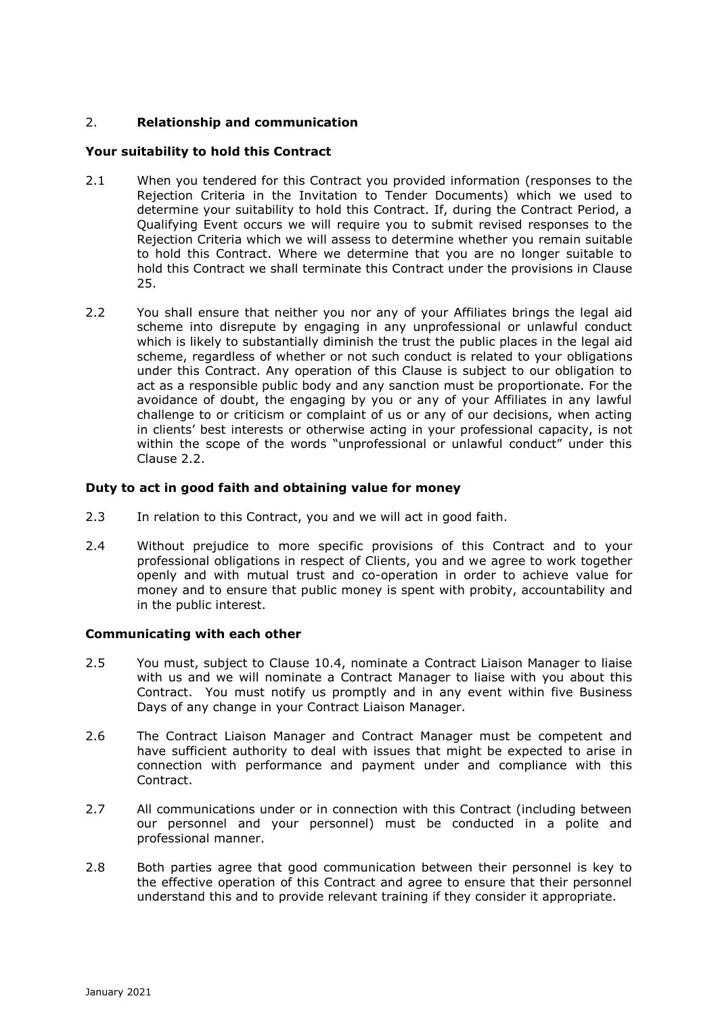# 2. **Relationship and communication**

## **Your suitability to hold this Contract**

- 2.1 When you tendered for this Contract you provided information (responses to the Rejection Criteria in the Invitation to Tender Documents) which we used to determine your suitability to hold this Contract. If, during the Contract Period, a Qualifying Event occurs we will require you to submit revised responses to the Rejection Criteria which we will assess to determine whether you remain suitable to hold this Contract. Where we determine that you are no longer suitable to hold this Contract we shall terminate this Contract under the provisions in Clause 25.
- 2.2 You shall ensure that neither you nor any of your Affiliates brings the legal aid scheme into disrepute by engaging in any unprofessional or unlawful conduct which is likely to substantially diminish the trust the public places in the legal aid scheme, regardless of whether or not such conduct is related to your obligations under this Contract. Any operation of this Clause is subject to our obligation to act as a responsible public body and any sanction must be proportionate. For the avoidance of doubt, the engaging by you or any of your Affiliates in any lawful challenge to or criticism or complaint of us or any of our decisions, when acting in clients' best interests or otherwise acting in your professional capacity, is not within the scope of the words "unprofessional or unlawful conduct" under this Clause 2.2.

# **Duty to act in good faith and obtaining value for money**

- 2.3 In relation to this Contract, you and we will act in good faith.
- 2.4 Without prejudice to more specific provisions of this Contract and to your professional obligations in respect of Clients, you and we agree to work together openly and with mutual trust and co-operation in order to achieve value for money and to ensure that public money is spent with probity, accountability and in the public interest.

## **Communicating with each other**

- 2.5 You must, subject to Clause 10.4, nominate a Contract Liaison Manager to liaise with us and we will nominate a Contract Manager to liaise with you about this Contract. You must notify us promptly and in any event within five Business Days of any change in your Contract Liaison Manager.
- 2.6 The Contract Liaison Manager and Contract Manager must be competent and have sufficient authority to deal with issues that might be expected to arise in connection with performance and payment under and compliance with this Contract.
- 2.7 All communications under or in connection with this Contract (including between our personnel and your personnel) must be conducted in a polite and professional manner.
- 2.8 Both parties agree that good communication between their personnel is key to the effective operation of this Contract and agree to ensure that their personnel understand this and to provide relevant training if they consider it appropriate.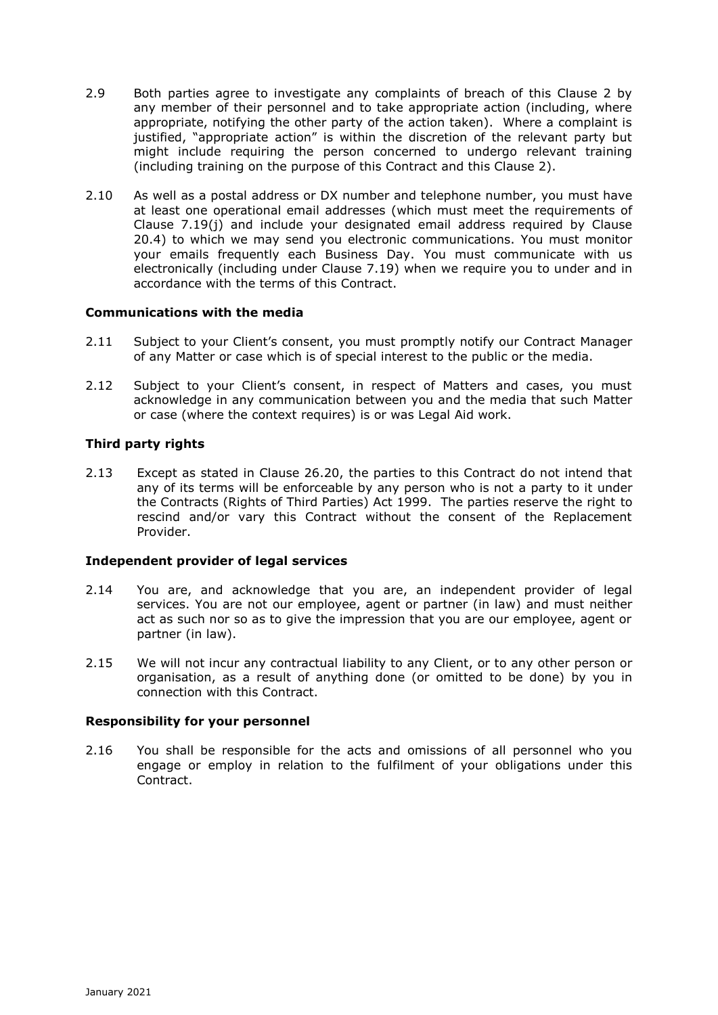- 2.9 Both parties agree to investigate any complaints of breach of this Clause 2 by any member of their personnel and to take appropriate action (including, where appropriate, notifying the other party of the action taken). Where a complaint is justified, "appropriate action" is within the discretion of the relevant party but might include requiring the person concerned to undergo relevant training (including training on the purpose of this Contract and this Clause 2).
- 2.10 As well as a postal address or DX number and telephone number, you must have at least one operational email addresses (which must meet the requirements of Clause 7.19(j) and include your designated email address required by Clause 20.4) to which we may send you electronic communications. You must monitor your emails frequently each Business Day. You must communicate with us electronically (including under Clause 7.19) when we require you to under and in accordance with the terms of this Contract.

## **Communications with the media**

- 2.11 Subject to your Client's consent, you must promptly notify our Contract Manager of any Matter or case which is of special interest to the public or the media.
- 2.12 Subject to your Client's consent, in respect of Matters and cases, you must acknowledge in any communication between you and the media that such Matter or case (where the context requires) is or was Legal Aid work.

## **Third party rights**

2.13 Except as stated in Clause 26.20, the parties to this Contract do not intend that any of its terms will be enforceable by any person who is not a party to it under the Contracts (Rights of Third Parties) Act 1999. The parties reserve the right to rescind and/or vary this Contract without the consent of the Replacement Provider.

## **Independent provider of legal services**

- 2.14 You are, and acknowledge that you are, an independent provider of legal services. You are not our employee, agent or partner (in law) and must neither act as such nor so as to give the impression that you are our employee, agent or partner (in law).
- 2.15 We will not incur any contractual liability to any Client, or to any other person or organisation, as a result of anything done (or omitted to be done) by you in connection with this Contract.

## **Responsibility for your personnel**

2.16 You shall be responsible for the acts and omissions of all personnel who you engage or employ in relation to the fulfilment of your obligations under this Contract.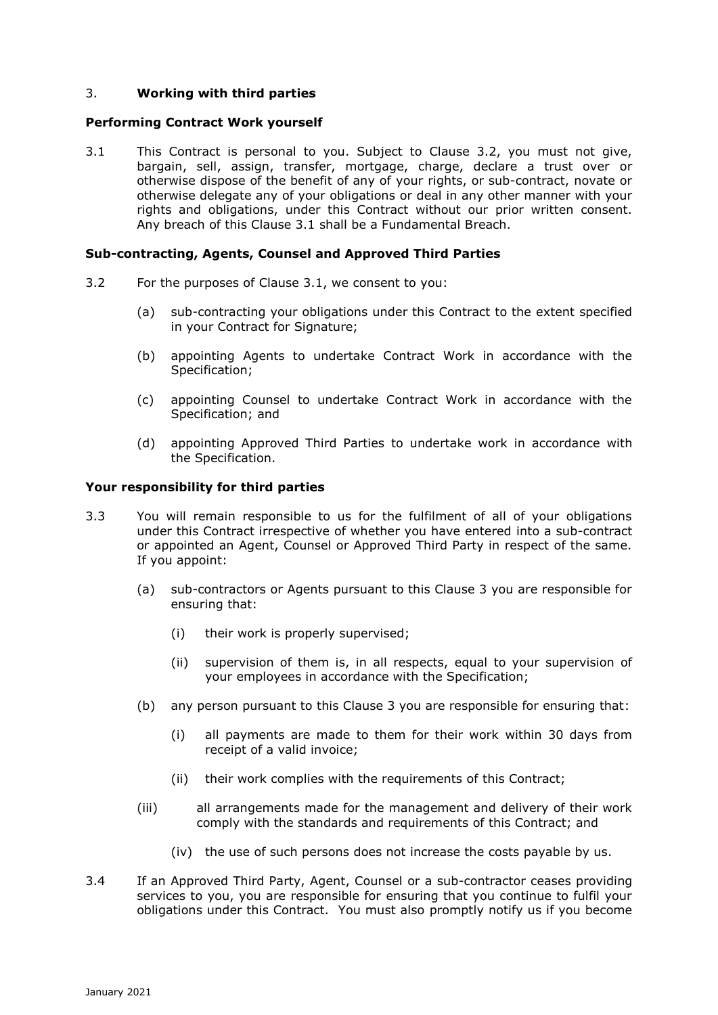# 3. **Working with third parties**

#### **Performing Contract Work yourself**

3.1 This Contract is personal to you. Subject to Clause 3.2, you must not give, bargain, sell, assign, transfer, mortgage, charge, declare a trust over or otherwise dispose of the benefit of any of your rights, or sub-contract, novate or otherwise delegate any of your obligations or deal in any other manner with your rights and obligations, under this Contract without our prior written consent. Any breach of this Clause 3.1 shall be a Fundamental Breach.

#### **Sub-contracting, Agents, Counsel and Approved Third Parties**

- 3.2 For the purposes of Clause 3.1, we consent to you:
	- (a) sub-contracting your obligations under this Contract to the extent specified in your Contract for Signature;
	- (b) appointing Agents to undertake Contract Work in accordance with the Specification;
	- (c) appointing Counsel to undertake Contract Work in accordance with the Specification; and
	- (d) appointing Approved Third Parties to undertake work in accordance with the Specification.

#### **Your responsibility for third parties**

- 3.3 You will remain responsible to us for the fulfilment of all of your obligations under this Contract irrespective of whether you have entered into a sub-contract or appointed an Agent, Counsel or Approved Third Party in respect of the same. If you appoint:
	- (a) sub-contractors or Agents pursuant to this Clause 3 you are responsible for ensuring that:
		- (i) their work is properly supervised;
		- (ii) supervision of them is, in all respects, equal to your supervision of your employees in accordance with the Specification;
	- (b) any person pursuant to this Clause 3 you are responsible for ensuring that:
		- (i) all payments are made to them for their work within 30 days from receipt of a valid invoice;
		- (ii) their work complies with the requirements of this Contract;
	- (iii) all arrangements made for the management and delivery of their work comply with the standards and requirements of this Contract; and
		- (iv) the use of such persons does not increase the costs payable by us.
- 3.4 If an Approved Third Party, Agent, Counsel or a sub-contractor ceases providing services to you, you are responsible for ensuring that you continue to fulfil your obligations under this Contract. You must also promptly notify us if you become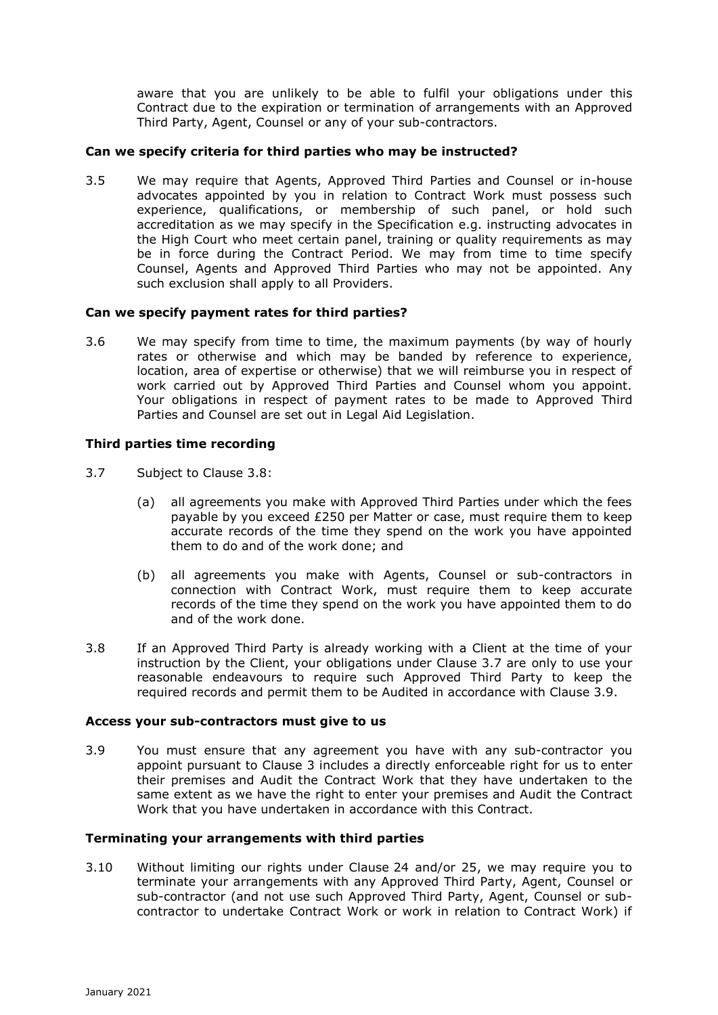aware that you are unlikely to be able to fulfil your obligations under this Contract due to the expiration or termination of arrangements with an Approved Third Party, Agent, Counsel or any of your sub-contractors.

## **Can we specify criteria for third parties who may be instructed?**

3.5 We may require that Agents, Approved Third Parties and Counsel or in-house advocates appointed by you in relation to Contract Work must possess such experience, qualifications, or membership of such panel, or hold such accreditation as we may specify in the Specification e.g. instructing advocates in the High Court who meet certain panel, training or quality requirements as may be in force during the Contract Period. We may from time to time specify Counsel, Agents and Approved Third Parties who may not be appointed. Any such exclusion shall apply to all Providers.

## **Can we specify payment rates for third parties?**

3.6 We may specify from time to time, the maximum payments (by way of hourly rates or otherwise and which may be banded by reference to experience, location, area of expertise or otherwise) that we will reimburse you in respect of work carried out by Approved Third Parties and Counsel whom you appoint. Your obligations in respect of payment rates to be made to Approved Third Parties and Counsel are set out in Legal Aid Legislation.

## **Third parties time recording**

- 3.7 Subject to Clause 3.8:
	- (a) all agreements you make with Approved Third Parties under which the fees payable by you exceed £250 per Matter or case, must require them to keep accurate records of the time they spend on the work you have appointed them to do and of the work done; and
	- (b) all agreements you make with Agents, Counsel or sub-contractors in connection with Contract Work, must require them to keep accurate records of the time they spend on the work you have appointed them to do and of the work done.
- 3.8 If an Approved Third Party is already working with a Client at the time of your instruction by the Client, your obligations under Clause 3.7 are only to use your reasonable endeavours to require such Approved Third Party to keep the required records and permit them to be Audited in accordance with Clause 3.9.

## **Access your sub-contractors must give to us**

3.9 You must ensure that any agreement you have with any sub-contractor you appoint pursuant to Clause 3 includes a directly enforceable right for us to enter their premises and Audit the Contract Work that they have undertaken to the same extent as we have the right to enter your premises and Audit the Contract Work that you have undertaken in accordance with this Contract.

## **Terminating your arrangements with third parties**

3.10 Without limiting our rights under Clause 24 and/or 25, we may require you to terminate your arrangements with any Approved Third Party, Agent, Counsel or sub-contractor (and not use such Approved Third Party, Agent, Counsel or subcontractor to undertake Contract Work or work in relation to Contract Work) if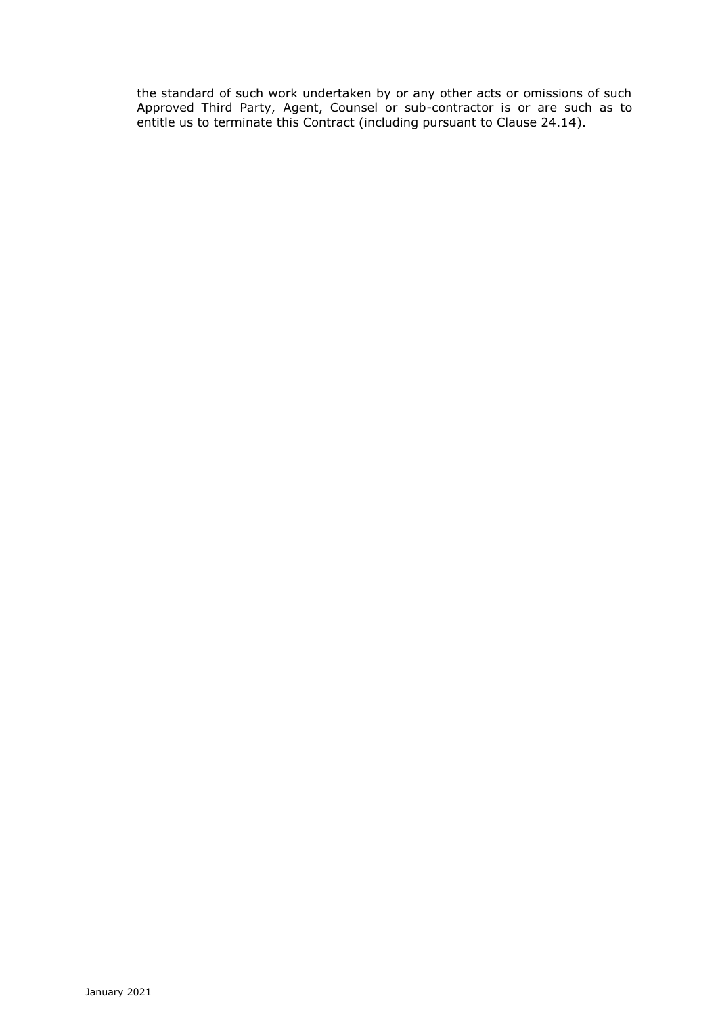the standard of such work undertaken by or any other acts or omissions of such Approved Third Party, Agent, Counsel or sub-contractor is or are such as to entitle us to terminate this Contract (including pursuant to Clause 24.14).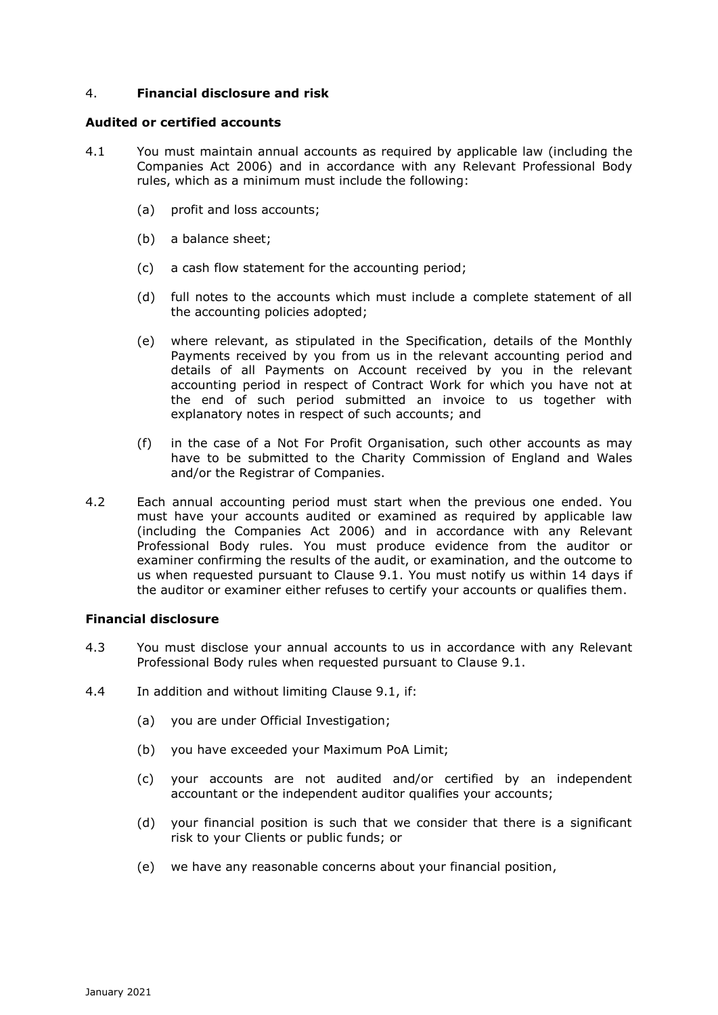## 4. **Financial disclosure and risk**

#### **Audited or certified accounts**

- 4.1 You must maintain annual accounts as required by applicable law (including the Companies Act 2006) and in accordance with any Relevant Professional Body rules, which as a minimum must include the following:
	- (a) profit and loss accounts;
	- (b) a balance sheet;
	- (c) a cash flow statement for the accounting period;
	- (d) full notes to the accounts which must include a complete statement of all the accounting policies adopted;
	- (e) where relevant, as stipulated in the Specification, details of the Monthly Payments received by you from us in the relevant accounting period and details of all Payments on Account received by you in the relevant accounting period in respect of Contract Work for which you have not at the end of such period submitted an invoice to us together with explanatory notes in respect of such accounts; and
	- (f) in the case of a Not For Profit Organisation, such other accounts as may have to be submitted to the Charity Commission of England and Wales and/or the Registrar of Companies.
- 4.2 Each annual accounting period must start when the previous one ended. You must have your accounts audited or examined as required by applicable law (including the Companies Act 2006) and in accordance with any Relevant Professional Body rules. You must produce evidence from the auditor or examiner confirming the results of the audit, or examination, and the outcome to us when requested pursuant to Clause 9.1. You must notify us within 14 days if the auditor or examiner either refuses to certify your accounts or qualifies them.

## **Financial disclosure**

- 4.3 You must disclose your annual accounts to us in accordance with any Relevant Professional Body rules when requested pursuant to Clause 9.1.
- 4.4 In addition and without limiting Clause 9.1, if:
	- (a) you are under Official Investigation;
	- (b) you have exceeded your Maximum PoA Limit;
	- (c) your accounts are not audited and/or certified by an independent accountant or the independent auditor qualifies your accounts;
	- (d) your financial position is such that we consider that there is a significant risk to your Clients or public funds; or
	- (e) we have any reasonable concerns about your financial position,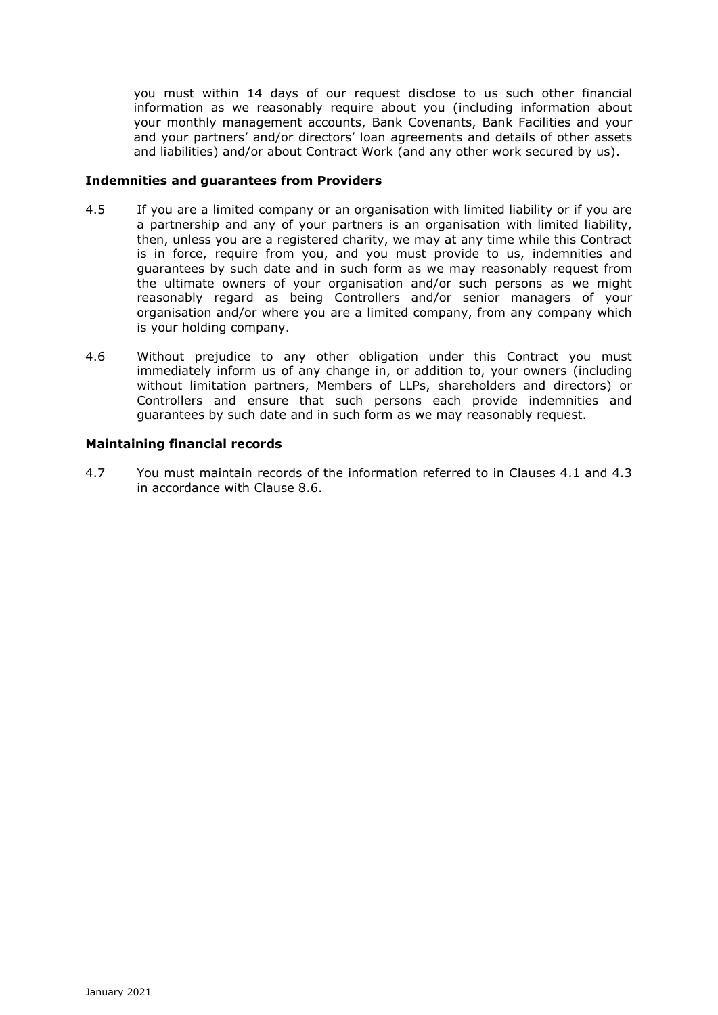you must within 14 days of our request disclose to us such other financial information as we reasonably require about you (including information about your monthly management accounts, Bank Covenants, Bank Facilities and your and your partners' and/or directors' loan agreements and details of other assets and liabilities) and/or about Contract Work (and any other work secured by us).

## **Indemnities and guarantees from Providers**

- 4.5 If you are a limited company or an organisation with limited liability or if you are a partnership and any of your partners is an organisation with limited liability, then, unless you are a registered charity, we may at any time while this Contract is in force, require from you, and you must provide to us, indemnities and guarantees by such date and in such form as we may reasonably request from the ultimate owners of your organisation and/or such persons as we might reasonably regard as being Controllers and/or senior managers of your organisation and/or where you are a limited company, from any company which is your holding company.
- 4.6 Without prejudice to any other obligation under this Contract you must immediately inform us of any change in, or addition to, your owners (including without limitation partners, Members of LLPs, shareholders and directors) or Controllers and ensure that such persons each provide indemnities and guarantees by such date and in such form as we may reasonably request.

## **Maintaining financial records**

4.7 You must maintain records of the information referred to in Clauses 4.1 and 4.3 in accordance with Clause 8.6.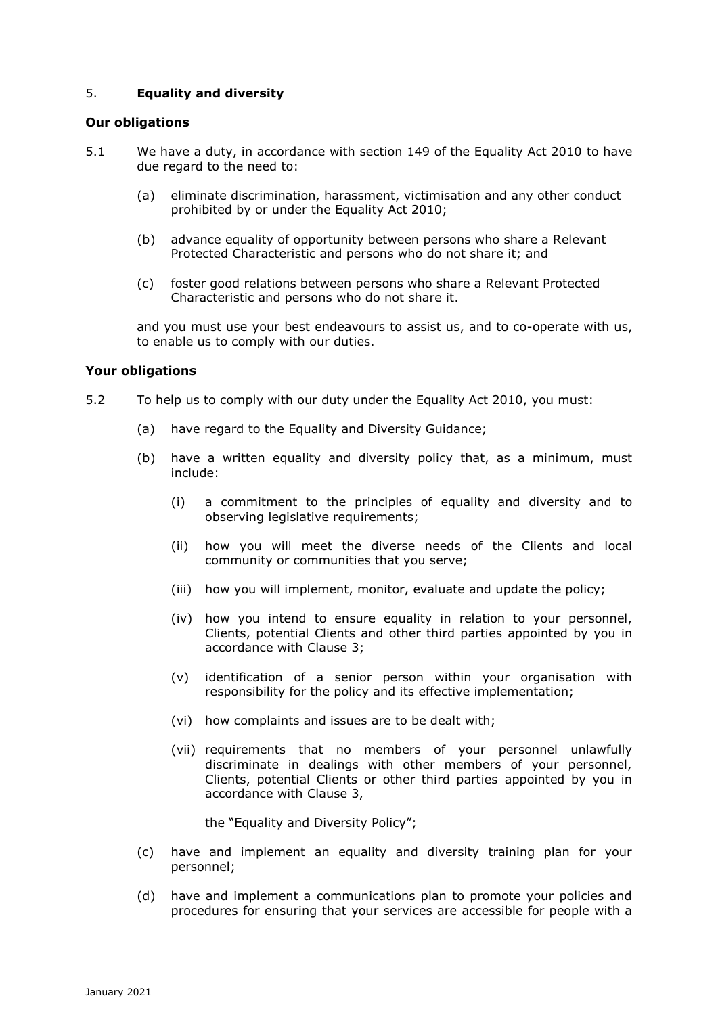# 5. **Equality and diversity**

#### **Our obligations**

- 5.1 We have a duty, in accordance with section 149 of the Equality Act 2010 to have due regard to the need to:
	- (a) eliminate discrimination, harassment, victimisation and any other conduct prohibited by or under the Equality Act 2010;
	- (b) advance equality of opportunity between persons who share a Relevant Protected Characteristic and persons who do not share it; and
	- (c) foster good relations between persons who share a Relevant Protected Characteristic and persons who do not share it.

and you must use your best endeavours to assist us, and to co-operate with us, to enable us to comply with our duties.

#### **Your obligations**

- 5.2 To help us to comply with our duty under the Equality Act 2010, you must:
	- (a) have regard to the Equality and Diversity Guidance;
	- (b) have a written equality and diversity policy that, as a minimum, must include:
		- (i) a commitment to the principles of equality and diversity and to observing legislative requirements;
		- (ii) how you will meet the diverse needs of the Clients and local community or communities that you serve;
		- (iii) how you will implement, monitor, evaluate and update the policy;
		- (iv) how you intend to ensure equality in relation to your personnel, Clients, potential Clients and other third parties appointed by you in accordance with Clause 3;
		- (v) identification of a senior person within your organisation with responsibility for the policy and its effective implementation;
		- (vi) how complaints and issues are to be dealt with;
		- (vii) requirements that no members of your personnel unlawfully discriminate in dealings with other members of your personnel, Clients, potential Clients or other third parties appointed by you in accordance with Clause 3,

the "Equality and Diversity Policy";

- (c) have and implement an equality and diversity training plan for your personnel;
- (d) have and implement a communications plan to promote your policies and procedures for ensuring that your services are accessible for people with a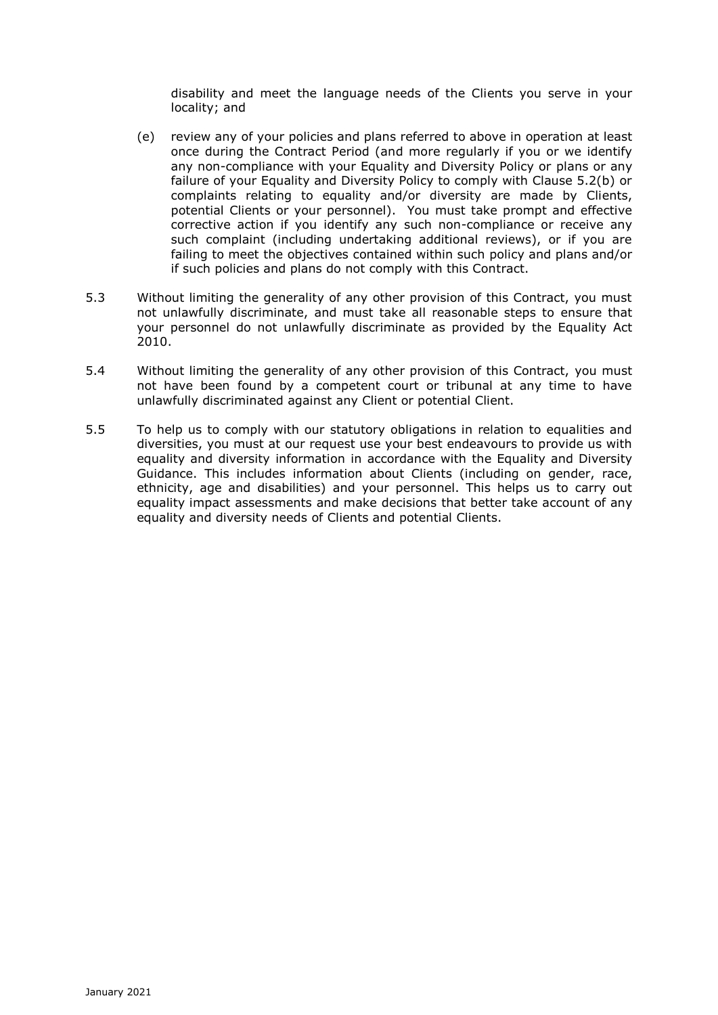disability and meet the language needs of the Clients you serve in your locality; and

- (e) review any of your policies and plans referred to above in operation at least once during the Contract Period (and more regularly if you or we identify any non-compliance with your Equality and Diversity Policy or plans or any failure of your Equality and Diversity Policy to comply with Clause 5.2(b) or complaints relating to equality and/or diversity are made by Clients, potential Clients or your personnel). You must take prompt and effective corrective action if you identify any such non-compliance or receive any such complaint (including undertaking additional reviews), or if you are failing to meet the objectives contained within such policy and plans and/or if such policies and plans do not comply with this Contract.
- 5.3 Without limiting the generality of any other provision of this Contract, you must not unlawfully discriminate, and must take all reasonable steps to ensure that your personnel do not unlawfully discriminate as provided by the Equality Act 2010.
- 5.4 Without limiting the generality of any other provision of this Contract, you must not have been found by a competent court or tribunal at any time to have unlawfully discriminated against any Client or potential Client.
- 5.5 To help us to comply with our statutory obligations in relation to equalities and diversities, you must at our request use your best endeavours to provide us with equality and diversity information in accordance with the Equality and Diversity Guidance. This includes information about Clients (including on gender, race, ethnicity, age and disabilities) and your personnel. This helps us to carry out equality impact assessments and make decisions that better take account of any equality and diversity needs of Clients and potential Clients.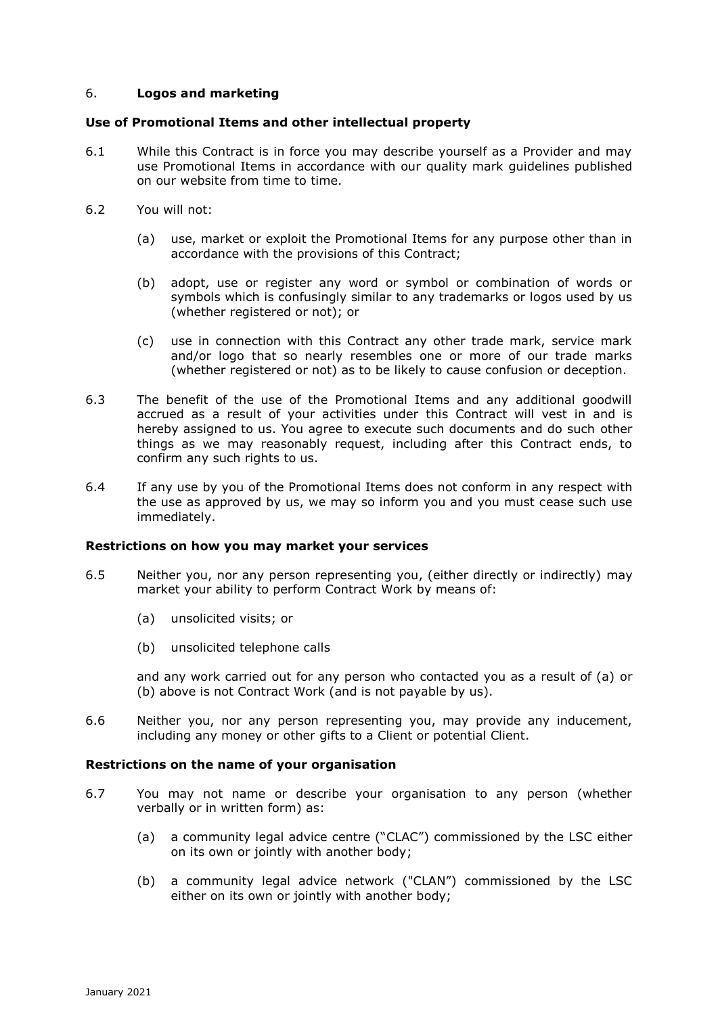## 6. **Logos and marketing**

## **Use of Promotional Items and other intellectual property**

- 6.1 While this Contract is in force you may describe yourself as a Provider and may use Promotional Items in accordance with our quality mark guidelines published on our website from time to time.
- 6.2 You will not:
	- (a) use, market or exploit the Promotional Items for any purpose other than in accordance with the provisions of this Contract;
	- (b) adopt, use or register any word or symbol or combination of words or symbols which is confusingly similar to any trademarks or logos used by us (whether registered or not); or
	- (c) use in connection with this Contract any other trade mark, service mark and/or logo that so nearly resembles one or more of our trade marks (whether registered or not) as to be likely to cause confusion or deception.
- 6.3 The benefit of the use of the Promotional Items and any additional goodwill accrued as a result of your activities under this Contract will vest in and is hereby assigned to us. You agree to execute such documents and do such other things as we may reasonably request, including after this Contract ends, to confirm any such rights to us.
- 6.4 If any use by you of the Promotional Items does not conform in any respect with the use as approved by us, we may so inform you and you must cease such use immediately.

## **Restrictions on how you may market your services**

- 6.5 Neither you, nor any person representing you, (either directly or indirectly) may market your ability to perform Contract Work by means of:
	- (a) unsolicited visits; or
	- (b) unsolicited telephone calls

and any work carried out for any person who contacted you as a result of (a) or (b) above is not Contract Work (and is not payable by us).

6.6 Neither you, nor any person representing you, may provide any inducement, including any money or other gifts to a Client or potential Client.

## **Restrictions on the name of your organisation**

- 6.7 You may not name or describe your organisation to any person (whether verbally or in written form) as:
	- (a) a community legal advice centre ("CLAC") commissioned by the LSC either on its own or jointly with another body;
	- (b) a community legal advice network ("CLAN") commissioned by the LSC either on its own or jointly with another body;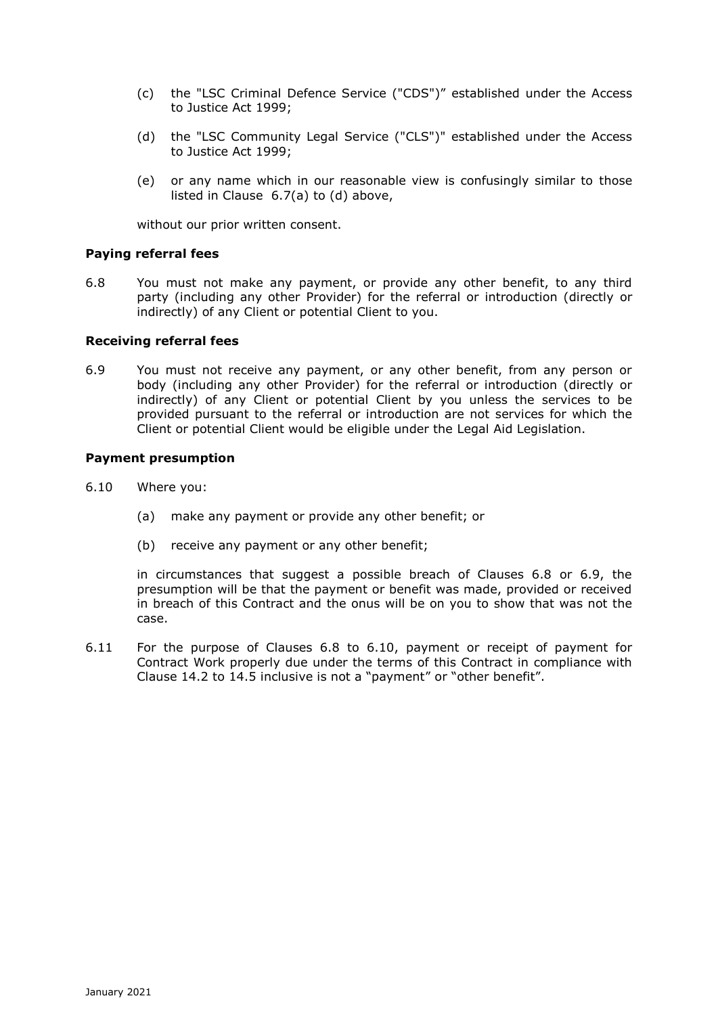- (c) the "LSC Criminal Defence Service ("CDS")" established under the Access to Justice Act 1999;
- (d) the "LSC Community Legal Service ("CLS")" established under the Access to Justice Act 1999;
- (e) or any name which in our reasonable view is confusingly similar to those listed in Clause 6.7(a) to (d) above,

without our prior written consent.

#### **Paying referral fees**

6.8 You must not make any payment, or provide any other benefit, to any third party (including any other Provider) for the referral or introduction (directly or indirectly) of any Client or potential Client to you.

#### **Receiving referral fees**

6.9 You must not receive any payment, or any other benefit, from any person or body (including any other Provider) for the referral or introduction (directly or indirectly) of any Client or potential Client by you unless the services to be provided pursuant to the referral or introduction are not services for which the Client or potential Client would be eligible under the Legal Aid Legislation.

## **Payment presumption**

- 6.10 Where you:
	- (a) make any payment or provide any other benefit; or
	- (b) receive any payment or any other benefit;

in circumstances that suggest a possible breach of Clauses 6.8 or 6.9, the presumption will be that the payment or benefit was made, provided or received in breach of this Contract and the onus will be on you to show that was not the case.

6.11 For the purpose of Clauses 6.8 to 6.10, payment or receipt of payment for Contract Work properly due under the terms of this Contract in compliance with Clause 14.2 to 14.5 inclusive is not a "payment" or "other benefit".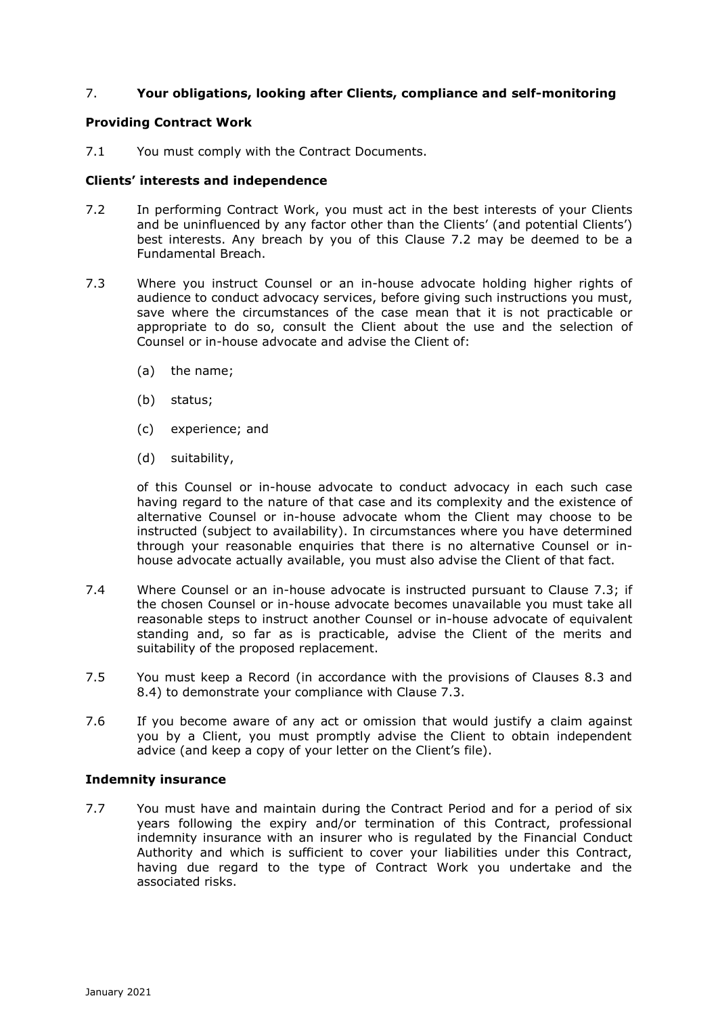# 7. **Your obligations, looking after Clients, compliance and self-monitoring**

## **Providing Contract Work**

7.1 You must comply with the Contract Documents.

#### **Clients' interests and independence**

- 7.2 In performing Contract Work, you must act in the best interests of your Clients and be uninfluenced by any factor other than the Clients' (and potential Clients') best interests. Any breach by you of this Clause 7.2 may be deemed to be a Fundamental Breach.
- 7.3 Where you instruct Counsel or an in-house advocate holding higher rights of audience to conduct advocacy services, before giving such instructions you must, save where the circumstances of the case mean that it is not practicable or appropriate to do so, consult the Client about the use and the selection of Counsel or in-house advocate and advise the Client of:
	- (a) the name;
	- (b) status;
	- (c) experience; and
	- (d) suitability,

of this Counsel or in-house advocate to conduct advocacy in each such case having regard to the nature of that case and its complexity and the existence of alternative Counsel or in-house advocate whom the Client may choose to be instructed (subject to availability). In circumstances where you have determined through your reasonable enquiries that there is no alternative Counsel or inhouse advocate actually available, you must also advise the Client of that fact.

- 7.4 Where Counsel or an in-house advocate is instructed pursuant to Clause 7.3; if the chosen Counsel or in-house advocate becomes unavailable you must take all reasonable steps to instruct another Counsel or in-house advocate of equivalent standing and, so far as is practicable, advise the Client of the merits and suitability of the proposed replacement.
- 7.5 You must keep a Record (in accordance with the provisions of Clauses 8.3 and 8.4) to demonstrate your compliance with Clause 7.3.
- 7.6 If you become aware of any act or omission that would justify a claim against you by a Client, you must promptly advise the Client to obtain independent advice (and keep a copy of your letter on the Client's file).

#### **Indemnity insurance**

7.7 You must have and maintain during the Contract Period and for a period of six years following the expiry and/or termination of this Contract, professional indemnity insurance with an insurer who is regulated by the Financial Conduct Authority and which is sufficient to cover your liabilities under this Contract, having due regard to the type of Contract Work you undertake and the associated risks.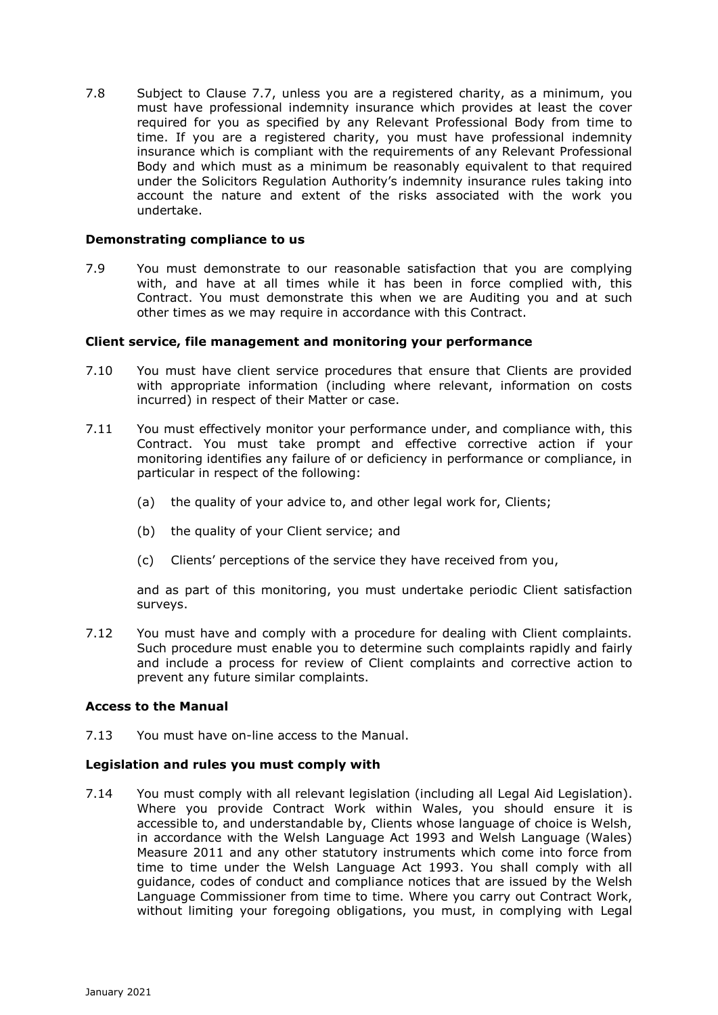7.8 Subject to Clause 7.7, unless you are a registered charity, as a minimum, you must have professional indemnity insurance which provides at least the cover required for you as specified by any Relevant Professional Body from time to time. If you are a registered charity, you must have professional indemnity insurance which is compliant with the requirements of any Relevant Professional Body and which must as a minimum be reasonably equivalent to that required under the Solicitors Regulation Authority's indemnity insurance rules taking into account the nature and extent of the risks associated with the work you undertake.

#### **Demonstrating compliance to us**

7.9 You must demonstrate to our reasonable satisfaction that you are complying with, and have at all times while it has been in force complied with, this Contract. You must demonstrate this when we are Auditing you and at such other times as we may require in accordance with this Contract.

#### **Client service, file management and monitoring your performance**

- 7.10 You must have client service procedures that ensure that Clients are provided with appropriate information (including where relevant, information on costs incurred) in respect of their Matter or case.
- 7.11 You must effectively monitor your performance under, and compliance with, this Contract. You must take prompt and effective corrective action if your monitoring identifies any failure of or deficiency in performance or compliance, in particular in respect of the following:
	- (a) the quality of your advice to, and other legal work for, Clients;
	- (b) the quality of your Client service; and
	- (c) Clients' perceptions of the service they have received from you,

and as part of this monitoring, you must undertake periodic Client satisfaction surveys.

7.12 You must have and comply with a procedure for dealing with Client complaints. Such procedure must enable you to determine such complaints rapidly and fairly and include a process for review of Client complaints and corrective action to prevent any future similar complaints.

## **Access to the Manual**

7.13 You must have on-line access to the Manual.

## **Legislation and rules you must comply with**

7.14 You must comply with all relevant legislation (including all Legal Aid Legislation). Where you provide Contract Work within Wales, you should ensure it is accessible to, and understandable by, Clients whose language of choice is Welsh, in accordance with the Welsh Language Act 1993 and Welsh Language (Wales) Measure 2011 and any other statutory instruments which come into force from time to time under the Welsh Language Act 1993. You shall comply with all guidance, codes of conduct and compliance notices that are issued by the Welsh Language Commissioner from time to time. Where you carry out Contract Work, without limiting your foregoing obligations, you must, in complying with Legal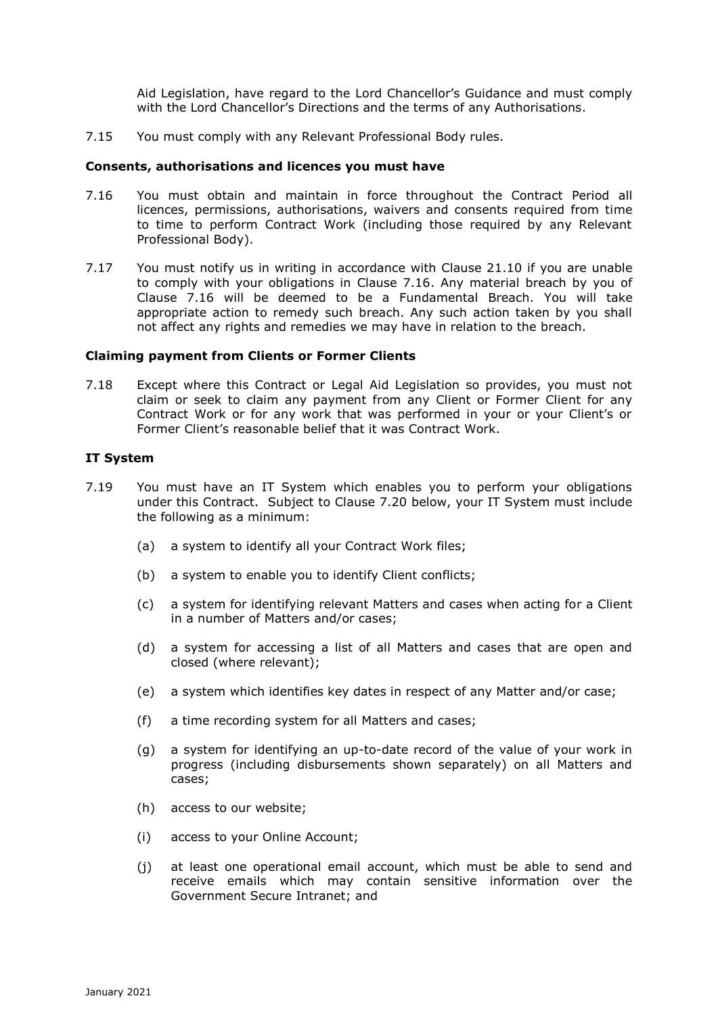Aid Legislation, have regard to the Lord Chancellor's Guidance and must comply with the Lord Chancellor's Directions and the terms of any Authorisations.

7.15 You must comply with any Relevant Professional Body rules.

#### **Consents, authorisations and licences you must have**

- 7.16 You must obtain and maintain in force throughout the Contract Period all licences, permissions, authorisations, waivers and consents required from time to time to perform Contract Work (including those required by any Relevant Professional Body).
- 7.17 You must notify us in writing in accordance with Clause 21.10 if you are unable to comply with your obligations in Clause 7.16. Any material breach by you of Clause 7.16 will be deemed to be a Fundamental Breach. You will take appropriate action to remedy such breach. Any such action taken by you shall not affect any rights and remedies we may have in relation to the breach.

#### **Claiming payment from Clients or Former Clients**

7.18 Except where this Contract or Legal Aid Legislation so provides, you must not claim or seek to claim any payment from any Client or Former Client for any Contract Work or for any work that was performed in your or your Client's or Former Client's reasonable belief that it was Contract Work.

#### **IT System**

- 7.19 You must have an IT System which enables you to perform your obligations under this Contract. Subject to Clause 7.20 below, your IT System must include the following as a minimum:
	- (a) a system to identify all your Contract Work files;
	- (b) a system to enable you to identify Client conflicts;
	- (c) a system for identifying relevant Matters and cases when acting for a Client in a number of Matters and/or cases;
	- (d) a system for accessing a list of all Matters and cases that are open and closed (where relevant);
	- (e) a system which identifies key dates in respect of any Matter and/or case;
	- (f) a time recording system for all Matters and cases;
	- (g) a system for identifying an up-to-date record of the value of your work in progress (including disbursements shown separately) on all Matters and cases;
	- (h) access to our website;
	- (i) access to your Online Account;
	- (j) at least one operational email account, which must be able to send and receive emails which may contain sensitive information over the Government Secure Intranet; and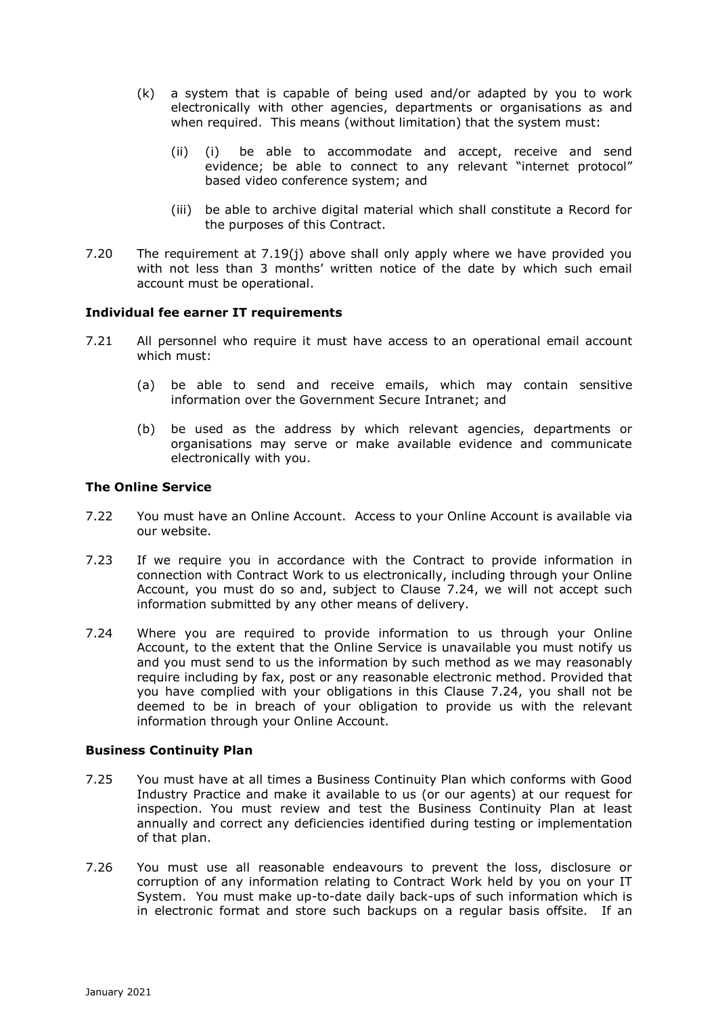- (k) a system that is capable of being used and/or adapted by you to work electronically with other agencies, departments or organisations as and when required. This means (without limitation) that the system must:
	- (ii) (i) be able to accommodate and accept, receive and send evidence; be able to connect to any relevant "internet protocol" based video conference system; and
	- (iii) be able to archive digital material which shall constitute a Record for the purposes of this Contract.
- 7.20 The requirement at 7.19(j) above shall only apply where we have provided you with not less than 3 months' written notice of the date by which such email account must be operational.

## **Individual fee earner IT requirements**

- 7.21 All personnel who require it must have access to an operational email account which must:
	- (a) be able to send and receive emails, which may contain sensitive information over the Government Secure Intranet; and
	- (b) be used as the address by which relevant agencies, departments or organisations may serve or make available evidence and communicate electronically with you.

## **The Online Service**

- 7.22 You must have an Online Account. Access to your Online Account is available via our website.
- 7.23 If we require you in accordance with the Contract to provide information in connection with Contract Work to us electronically, including through your Online Account, you must do so and, subject to Clause 7.24, we will not accept such information submitted by any other means of delivery.
- 7.24 Where you are required to provide information to us through your Online Account, to the extent that the Online Service is unavailable you must notify us and you must send to us the information by such method as we may reasonably require including by fax, post or any reasonable electronic method. Provided that you have complied with your obligations in this Clause 7.24, you shall not be deemed to be in breach of your obligation to provide us with the relevant information through your Online Account.

## **Business Continuity Plan**

- 7.25 You must have at all times a Business Continuity Plan which conforms with Good Industry Practice and make it available to us (or our agents) at our request for inspection. You must review and test the Business Continuity Plan at least annually and correct any deficiencies identified during testing or implementation of that plan.
- 7.26 You must use all reasonable endeavours to prevent the loss, disclosure or corruption of any information relating to Contract Work held by you on your IT System. You must make up-to-date daily back-ups of such information which is in electronic format and store such backups on a regular basis offsite. If an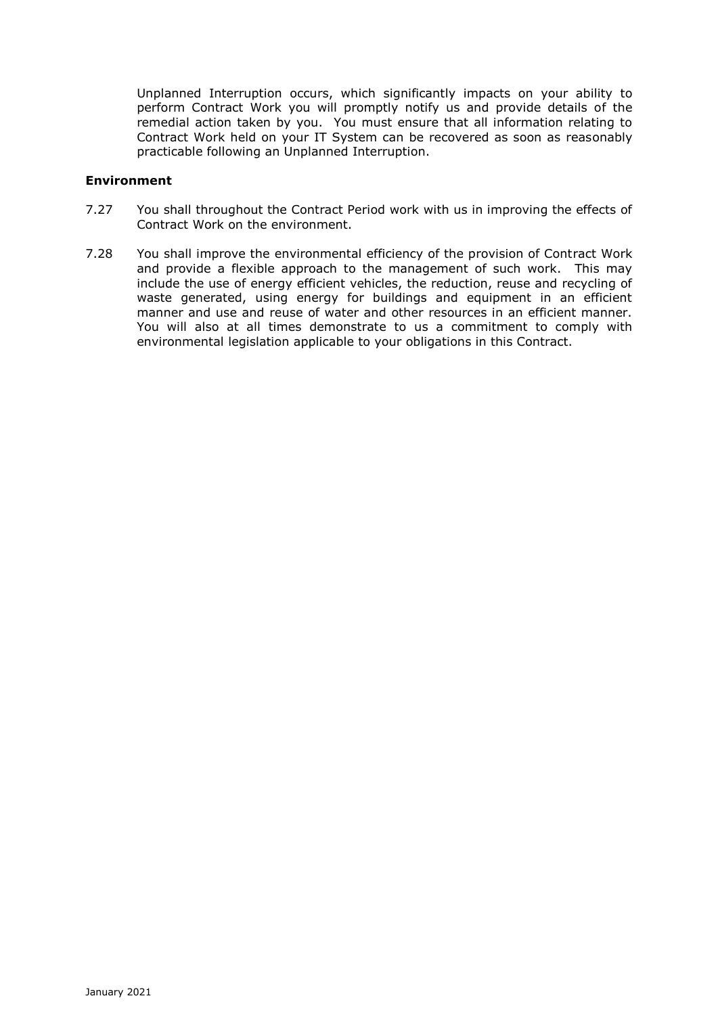Unplanned Interruption occurs, which significantly impacts on your ability to perform Contract Work you will promptly notify us and provide details of the remedial action taken by you. You must ensure that all information relating to Contract Work held on your IT System can be recovered as soon as reasonably practicable following an Unplanned Interruption.

## **Environment**

- 7.27 You shall throughout the Contract Period work with us in improving the effects of Contract Work on the environment.
- 7.28 You shall improve the environmental efficiency of the provision of Contract Work and provide a flexible approach to the management of such work. This may include the use of energy efficient vehicles, the reduction, reuse and recycling of waste generated, using energy for buildings and equipment in an efficient manner and use and reuse of water and other resources in an efficient manner. You will also at all times demonstrate to us a commitment to comply with environmental legislation applicable to your obligations in this Contract.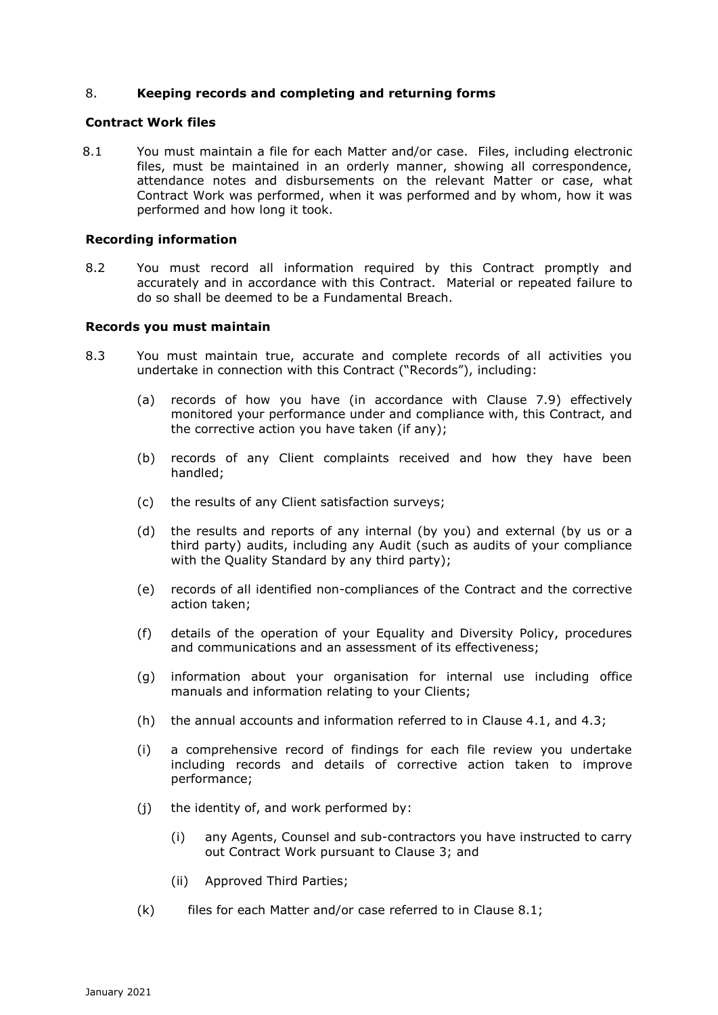## 8. **Keeping records and completing and returning forms**

#### **Contract Work files**

8.1 You must maintain a file for each Matter and/or case. Files, including electronic files, must be maintained in an orderly manner, showing all correspondence, attendance notes and disbursements on the relevant Matter or case, what Contract Work was performed, when it was performed and by whom, how it was performed and how long it took.

#### **Recording information**

8.2 You must record all information required by this Contract promptly and accurately and in accordance with this Contract. Material or repeated failure to do so shall be deemed to be a Fundamental Breach.

#### **Records you must maintain**

- 8.3 You must maintain true, accurate and complete records of all activities you undertake in connection with this Contract ("Records"), including:
	- (a) records of how you have (in accordance with Clause 7.9) effectively monitored your performance under and compliance with, this Contract, and the corrective action you have taken (if any);
	- (b) records of any Client complaints received and how they have been handled;
	- (c) the results of any Client satisfaction surveys;
	- (d) the results and reports of any internal (by you) and external (by us or a third party) audits, including any Audit (such as audits of your compliance with the Quality Standard by any third party);
	- (e) records of all identified non-compliances of the Contract and the corrective action taken;
	- (f) details of the operation of your Equality and Diversity Policy, procedures and communications and an assessment of its effectiveness;
	- (g) information about your organisation for internal use including office manuals and information relating to your Clients;
	- (h) the annual accounts and information referred to in Clause 4.1, and 4.3;
	- (i) a comprehensive record of findings for each file review you undertake including records and details of corrective action taken to improve performance;
	- (j) the identity of, and work performed by:
		- (i) any Agents, Counsel and sub-contractors you have instructed to carry out Contract Work pursuant to Clause 3; and
		- (ii) Approved Third Parties;
	- (k) files for each Matter and/or case referred to in Clause 8.1;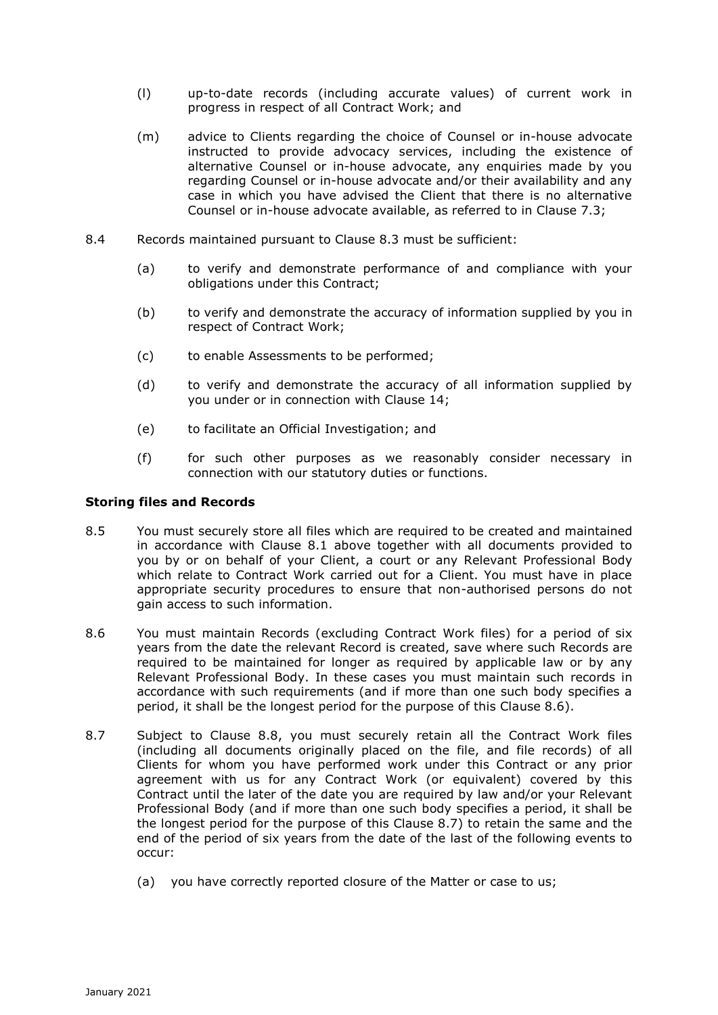- (l) up-to-date records (including accurate values) of current work in progress in respect of all Contract Work; and
- (m) advice to Clients regarding the choice of Counsel or in-house advocate instructed to provide advocacy services, including the existence of alternative Counsel or in-house advocate, any enquiries made by you regarding Counsel or in-house advocate and/or their availability and any case in which you have advised the Client that there is no alternative Counsel or in-house advocate available, as referred to in Clause 7.3;
- 8.4 Records maintained pursuant to Clause 8.3 must be sufficient:
	- (a) to verify and demonstrate performance of and compliance with your obligations under this Contract;
	- (b) to verify and demonstrate the accuracy of information supplied by you in respect of Contract Work;
	- (c) to enable Assessments to be performed;
	- (d) to verify and demonstrate the accuracy of all information supplied by you under or in connection with Clause 14;
	- (e) to facilitate an Official Investigation; and
	- (f) for such other purposes as we reasonably consider necessary in connection with our statutory duties or functions.

#### **Storing files and Records**

- 8.5 You must securely store all files which are required to be created and maintained in accordance with Clause 8.1 above together with all documents provided to you by or on behalf of your Client, a court or any Relevant Professional Body which relate to Contract Work carried out for a Client. You must have in place appropriate security procedures to ensure that non-authorised persons do not gain access to such information.
- 8.6 You must maintain Records (excluding Contract Work files) for a period of six years from the date the relevant Record is created, save where such Records are required to be maintained for longer as required by applicable law or by any Relevant Professional Body. In these cases you must maintain such records in accordance with such requirements (and if more than one such body specifies a period, it shall be the longest period for the purpose of this Clause 8.6).
- 8.7 Subject to Clause 8.8, you must securely retain all the Contract Work files (including all documents originally placed on the file, and file records) of all Clients for whom you have performed work under this Contract or any prior agreement with us for any Contract Work (or equivalent) covered by this Contract until the later of the date you are required by law and/or your Relevant Professional Body (and if more than one such body specifies a period, it shall be the longest period for the purpose of this Clause 8.7) to retain the same and the end of the period of six years from the date of the last of the following events to occur:
	- (a) you have correctly reported closure of the Matter or case to us;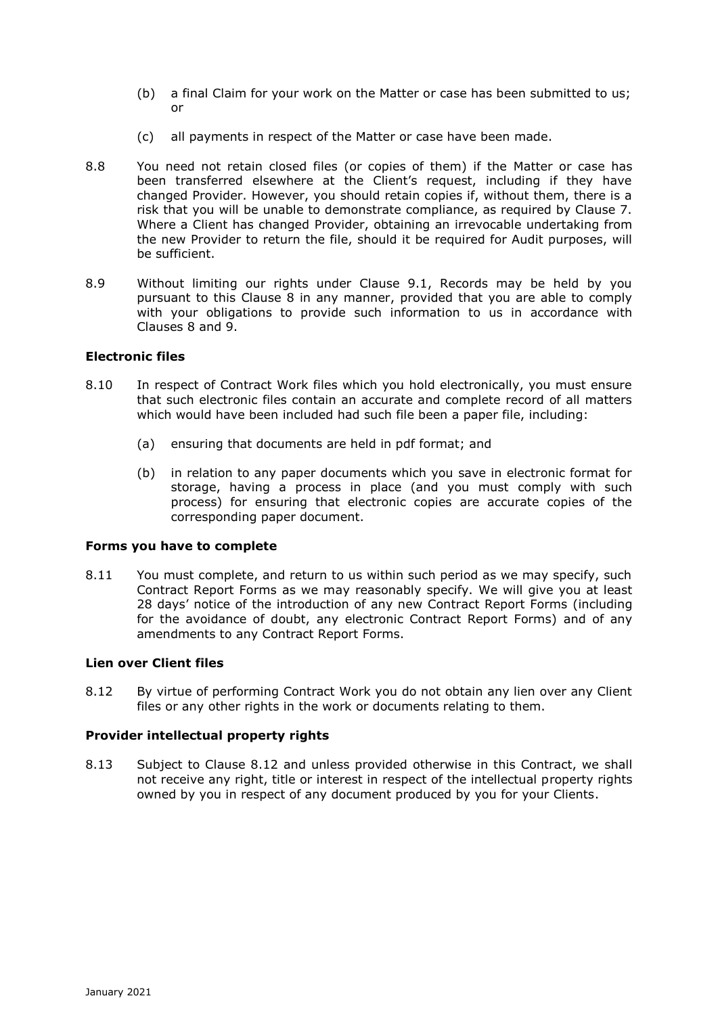- (b) a final Claim for your work on the Matter or case has been submitted to us; or
- (c) all payments in respect of the Matter or case have been made.
- 8.8 You need not retain closed files (or copies of them) if the Matter or case has been transferred elsewhere at the Client's request, including if they have changed Provider. However, you should retain copies if, without them, there is a risk that you will be unable to demonstrate compliance, as required by Clause 7. Where a Client has changed Provider, obtaining an irrevocable undertaking from the new Provider to return the file, should it be required for Audit purposes, will be sufficient.
- 8.9 Without limiting our rights under Clause 9.1, Records may be held by you pursuant to this Clause 8 in any manner, provided that you are able to comply with your obligations to provide such information to us in accordance with Clauses 8 and 9.

## **Electronic files**

- 8.10 In respect of Contract Work files which you hold electronically, you must ensure that such electronic files contain an accurate and complete record of all matters which would have been included had such file been a paper file, including:
	- (a) ensuring that documents are held in pdf format; and
	- (b) in relation to any paper documents which you save in electronic format for storage, having a process in place (and you must comply with such process) for ensuring that electronic copies are accurate copies of the corresponding paper document.

## **Forms you have to complete**

8.11 You must complete, and return to us within such period as we may specify, such Contract Report Forms as we may reasonably specify. We will give you at least 28 days' notice of the introduction of any new Contract Report Forms (including for the avoidance of doubt, any electronic Contract Report Forms) and of any amendments to any Contract Report Forms.

## **Lien over Client files**

8.12 By virtue of performing Contract Work you do not obtain any lien over any Client files or any other rights in the work or documents relating to them.

## **Provider intellectual property rights**

8.13 Subject to Clause 8.12 and unless provided otherwise in this Contract, we shall not receive any right, title or interest in respect of the intellectual property rights owned by you in respect of any document produced by you for your Clients.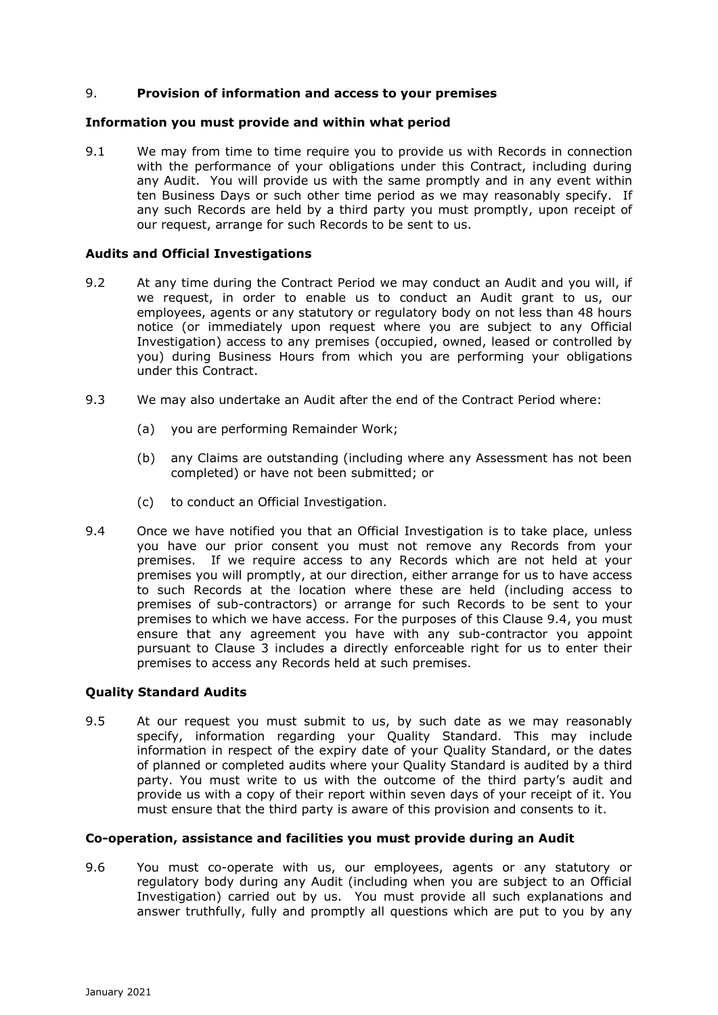## 9. **Provision of information and access to your premises**

### **Information you must provide and within what period**

9.1 We may from time to time require you to provide us with Records in connection with the performance of your obligations under this Contract, including during any Audit. You will provide us with the same promptly and in any event within ten Business Days or such other time period as we may reasonably specify. If any such Records are held by a third party you must promptly, upon receipt of our request, arrange for such Records to be sent to us.

#### **Audits and Official Investigations**

- 9.2 At any time during the Contract Period we may conduct an Audit and you will, if we request, in order to enable us to conduct an Audit grant to us, our employees, agents or any statutory or regulatory body on not less than 48 hours notice (or immediately upon request where you are subject to any Official Investigation) access to any premises (occupied, owned, leased or controlled by you) during Business Hours from which you are performing your obligations under this Contract.
- 9.3 We may also undertake an Audit after the end of the Contract Period where:
	- (a) you are performing Remainder Work;
	- (b) any Claims are outstanding (including where any Assessment has not been completed) or have not been submitted; or
	- (c) to conduct an Official Investigation.
- 9.4 Once we have notified you that an Official Investigation is to take place, unless you have our prior consent you must not remove any Records from your premises. If we require access to any Records which are not held at your premises you will promptly, at our direction, either arrange for us to have access to such Records at the location where these are held (including access to premises of sub-contractors) or arrange for such Records to be sent to your premises to which we have access. For the purposes of this Clause 9.4, you must ensure that any agreement you have with any sub-contractor you appoint pursuant to Clause 3 includes a directly enforceable right for us to enter their premises to access any Records held at such premises.

## **Quality Standard Audits**

9.5 At our request you must submit to us, by such date as we may reasonably specify, information regarding your Quality Standard. This may include information in respect of the expiry date of your Quality Standard, or the dates of planned or completed audits where your Quality Standard is audited by a third party. You must write to us with the outcome of the third party's audit and provide us with a copy of their report within seven days of your receipt of it. You must ensure that the third party is aware of this provision and consents to it.

## **Co-operation, assistance and facilities you must provide during an Audit**

9.6 You must co-operate with us, our employees, agents or any statutory or regulatory body during any Audit (including when you are subject to an Official Investigation) carried out by us. You must provide all such explanations and answer truthfully, fully and promptly all questions which are put to you by any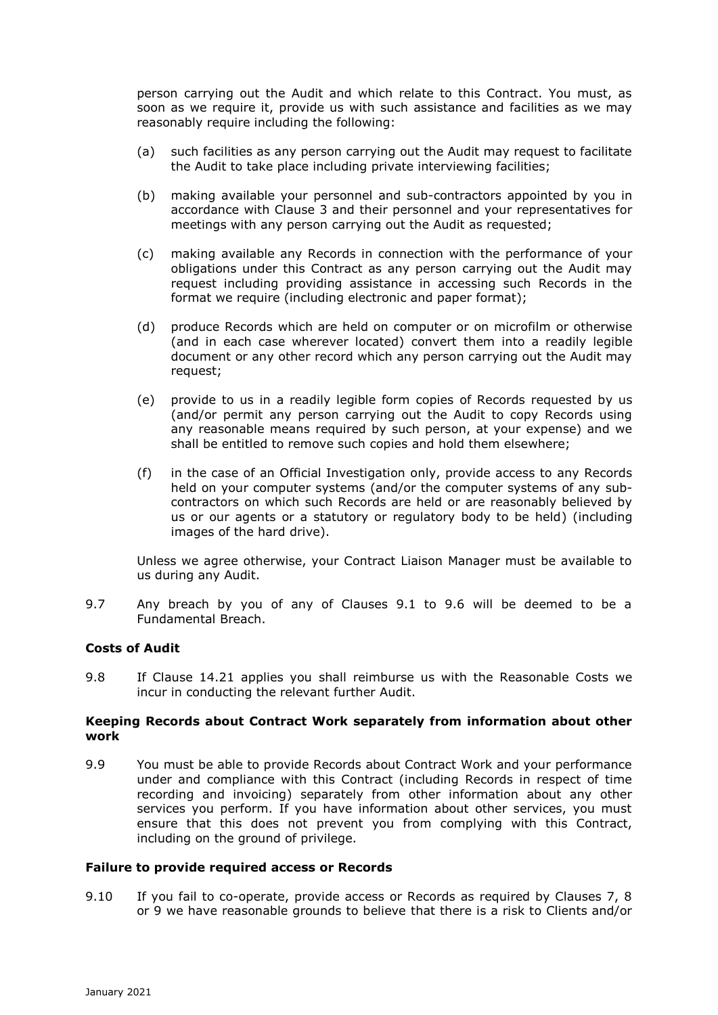person carrying out the Audit and which relate to this Contract. You must, as soon as we require it, provide us with such assistance and facilities as we may reasonably require including the following:

- (a) such facilities as any person carrying out the Audit may request to facilitate the Audit to take place including private interviewing facilities;
- (b) making available your personnel and sub-contractors appointed by you in accordance with Clause 3 and their personnel and your representatives for meetings with any person carrying out the Audit as requested;
- (c) making available any Records in connection with the performance of your obligations under this Contract as any person carrying out the Audit may request including providing assistance in accessing such Records in the format we require (including electronic and paper format);
- (d) produce Records which are held on computer or on microfilm or otherwise (and in each case wherever located) convert them into a readily legible document or any other record which any person carrying out the Audit may request;
- (e) provide to us in a readily legible form copies of Records requested by us (and/or permit any person carrying out the Audit to copy Records using any reasonable means required by such person, at your expense) and we shall be entitled to remove such copies and hold them elsewhere;
- (f) in the case of an Official Investigation only, provide access to any Records held on your computer systems (and/or the computer systems of any subcontractors on which such Records are held or are reasonably believed by us or our agents or a statutory or regulatory body to be held) (including images of the hard drive).

Unless we agree otherwise, your Contract Liaison Manager must be available to us during any Audit.

9.7 Any breach by you of any of Clauses 9.1 to 9.6 will be deemed to be a Fundamental Breach.

### **Costs of Audit**

9.8 If Clause 14.21 applies you shall reimburse us with the Reasonable Costs we incur in conducting the relevant further Audit.

### **Keeping Records about Contract Work separately from information about other work**

9.9 You must be able to provide Records about Contract Work and your performance under and compliance with this Contract (including Records in respect of time recording and invoicing) separately from other information about any other services you perform. If you have information about other services, you must ensure that this does not prevent you from complying with this Contract, including on the ground of privilege.

### **Failure to provide required access or Records**

9.10 If you fail to co-operate, provide access or Records as required by Clauses 7, 8 or 9 we have reasonable grounds to believe that there is a risk to Clients and/or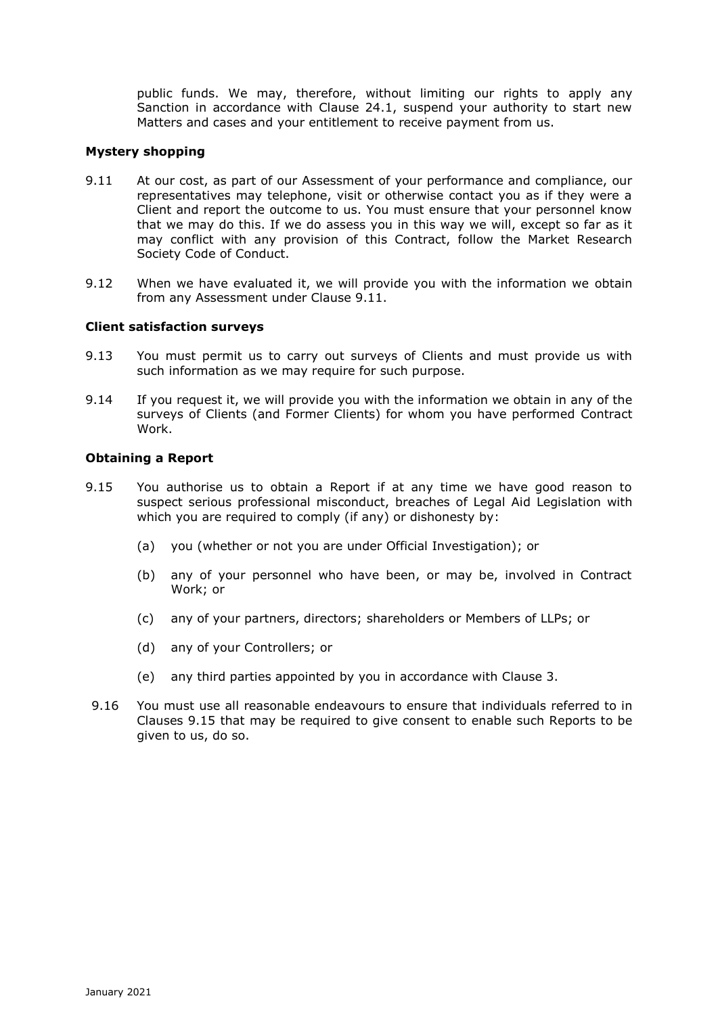public funds. We may, therefore, without limiting our rights to apply any Sanction in accordance with Clause 24.1, suspend your authority to start new Matters and cases and your entitlement to receive payment from us.

# **Mystery shopping**

- 9.11 At our cost, as part of our Assessment of your performance and compliance, our representatives may telephone, visit or otherwise contact you as if they were a Client and report the outcome to us. You must ensure that your personnel know that we may do this. If we do assess you in this way we will, except so far as it may conflict with any provision of this Contract, follow the Market Research Society Code of Conduct.
- 9.12 When we have evaluated it, we will provide you with the information we obtain from any Assessment under Clause 9.11.

### **Client satisfaction surveys**

- 9.13 You must permit us to carry out surveys of Clients and must provide us with such information as we may require for such purpose.
- 9.14 If you request it, we will provide you with the information we obtain in any of the surveys of Clients (and Former Clients) for whom you have performed Contract Work.

### **Obtaining a Report**

- 9.15 You authorise us to obtain a Report if at any time we have good reason to suspect serious professional misconduct, breaches of Legal Aid Legislation with which you are required to comply (if any) or dishonesty by:
	- (a) you (whether or not you are under Official Investigation); or
	- (b) any of your personnel who have been, or may be, involved in Contract Work; or
	- (c) any of your partners, directors; shareholders or Members of LLPs; or
	- (d) any of your Controllers; or
	- (e) any third parties appointed by you in accordance with Clause 3.
- 9.16 You must use all reasonable endeavours to ensure that individuals referred to in Clauses 9.15 that may be required to give consent to enable such Reports to be given to us, do so.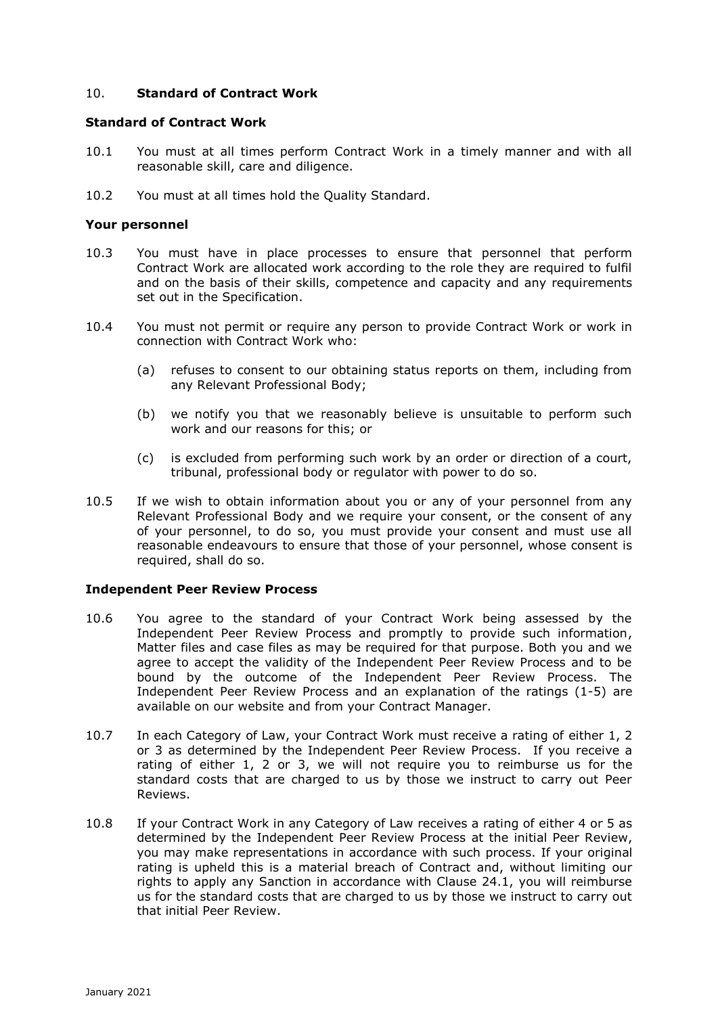# 10. **Standard of Contract Work**

#### **Standard of Contract Work**

- 10.1 You must at all times perform Contract Work in a timely manner and with all reasonable skill, care and diligence.
- 10.2 You must at all times hold the Quality Standard.

#### **Your personnel**

- 10.3 You must have in place processes to ensure that personnel that perform Contract Work are allocated work according to the role they are required to fulfil and on the basis of their skills, competence and capacity and any requirements set out in the Specification.
- 10.4 You must not permit or require any person to provide Contract Work or work in connection with Contract Work who:
	- (a) refuses to consent to our obtaining status reports on them, including from any Relevant Professional Body;
	- (b) we notify you that we reasonably believe is unsuitable to perform such work and our reasons for this; or
	- (c) is excluded from performing such work by an order or direction of a court, tribunal, professional body or regulator with power to do so.
- 10.5 If we wish to obtain information about you or any of your personnel from any Relevant Professional Body and we require your consent, or the consent of any of your personnel, to do so, you must provide your consent and must use all reasonable endeavours to ensure that those of your personnel, whose consent is required, shall do so.

### **Independent Peer Review Process**

- 10.6 You agree to the standard of your Contract Work being assessed by the Independent Peer Review Process and promptly to provide such information, Matter files and case files as may be required for that purpose. Both you and we agree to accept the validity of the Independent Peer Review Process and to be bound by the outcome of the Independent Peer Review Process. The Independent Peer Review Process and an explanation of the ratings (1-5) are available on our website and from your Contract Manager.
- 10.7 In each Category of Law, your Contract Work must receive a rating of either 1, 2 or 3 as determined by the Independent Peer Review Process. If you receive a rating of either 1, 2 or 3, we will not require you to reimburse us for the standard costs that are charged to us by those we instruct to carry out Peer Reviews.
- 10.8 If your Contract Work in any Category of Law receives a rating of either 4 or 5 as determined by the Independent Peer Review Process at the initial Peer Review, you may make representations in accordance with such process. If your original rating is upheld this is a material breach of Contract and, without limiting our rights to apply any Sanction in accordance with Clause 24.1, you will reimburse us for the standard costs that are charged to us by those we instruct to carry out that initial Peer Review.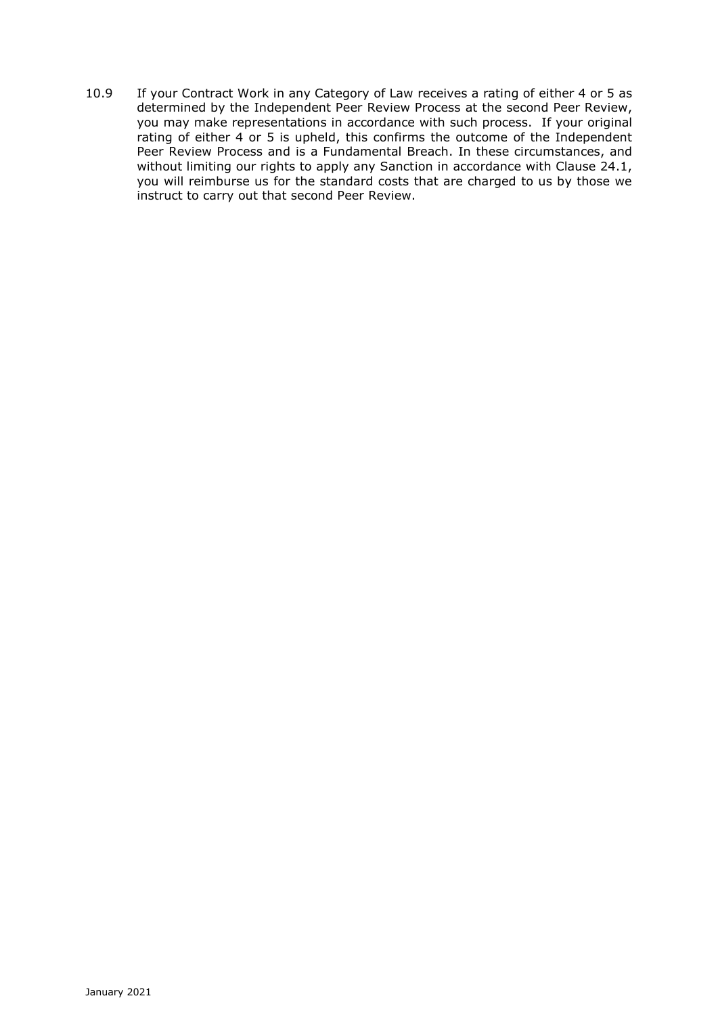10.9 If your Contract Work in any Category of Law receives a rating of either 4 or 5 as determined by the Independent Peer Review Process at the second Peer Review, you may make representations in accordance with such process. If your original rating of either 4 or 5 is upheld, this confirms the outcome of the Independent Peer Review Process and is a Fundamental Breach. In these circumstances, and without limiting our rights to apply any Sanction in accordance with Clause 24.1, you will reimburse us for the standard costs that are charged to us by those we instruct to carry out that second Peer Review.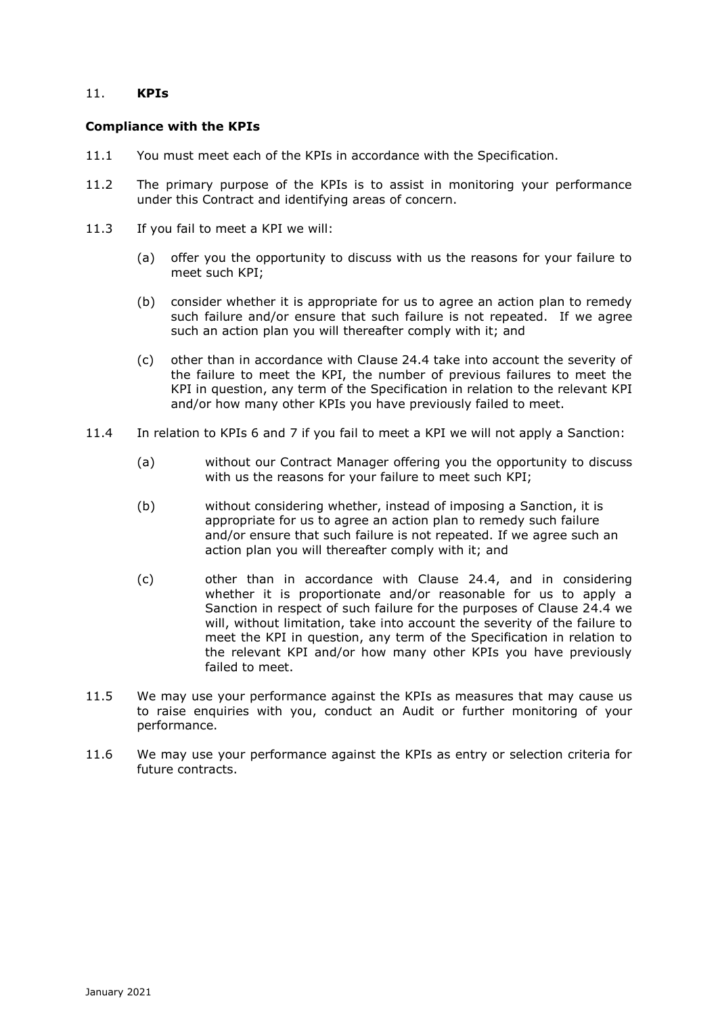# 11. **KPIs**

### **Compliance with the KPIs**

- 11.1 You must meet each of the KPIs in accordance with the Specification.
- 11.2 The primary purpose of the KPIs is to assist in monitoring your performance under this Contract and identifying areas of concern.
- 11.3 If you fail to meet a KPI we will:
	- (a) offer you the opportunity to discuss with us the reasons for your failure to meet such KPI;
	- (b) consider whether it is appropriate for us to agree an action plan to remedy such failure and/or ensure that such failure is not repeated. If we agree such an action plan you will thereafter comply with it; and
	- (c) other than in accordance with Clause 24.4 take into account the severity of the failure to meet the KPI, the number of previous failures to meet the KPI in question, any term of the Specification in relation to the relevant KPI and/or how many other KPIs you have previously failed to meet.
- 11.4 In relation to KPIs 6 and 7 if you fail to meet a KPI we will not apply a Sanction:
	- (a) without our Contract Manager offering you the opportunity to discuss with us the reasons for your failure to meet such KPI;
	- (b) without considering whether, instead of imposing a Sanction, it is appropriate for us to agree an action plan to remedy such failure and/or ensure that such failure is not repeated. If we agree such an action plan you will thereafter comply with it; and
	- (c) other than in accordance with Clause 24.4, and in considering whether it is proportionate and/or reasonable for us to apply a Sanction in respect of such failure for the purposes of Clause 24.4 we will, without limitation, take into account the severity of the failure to meet the KPI in question, any term of the Specification in relation to the relevant KPI and/or how many other KPIs you have previously failed to meet.
- 11.5 We may use your performance against the KPIs as measures that may cause us to raise enquiries with you, conduct an Audit or further monitoring of your performance.
- 11.6 We may use your performance against the KPIs as entry or selection criteria for future contracts.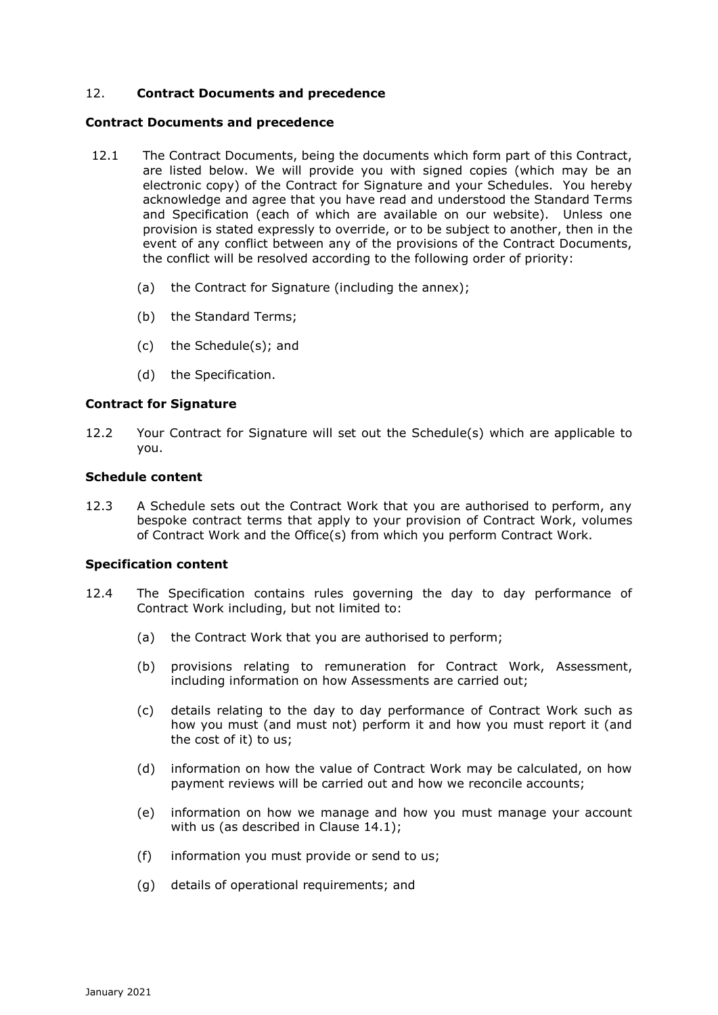# 12. **Contract Documents and precedence**

#### **Contract Documents and precedence**

- 12.1 The Contract Documents, being the documents which form part of this Contract, are listed below. We will provide you with signed copies (which may be an electronic copy) of the Contract for Signature and your Schedules. You hereby acknowledge and agree that you have read and understood the Standard Terms and Specification (each of which are available on our website). Unless one provision is stated expressly to override, or to be subject to another, then in the event of any conflict between any of the provisions of the Contract Documents, the conflict will be resolved according to the following order of priority:
	- (a) the Contract for Signature (including the annex);
	- (b) the Standard Terms;
	- (c) the Schedule(s); and
	- (d) the Specification.

#### **Contract for Signature**

12.2 Your Contract for Signature will set out the Schedule(s) which are applicable to you.

#### **Schedule content**

12.3 A Schedule sets out the Contract Work that you are authorised to perform, any bespoke contract terms that apply to your provision of Contract Work, volumes of Contract Work and the Office(s) from which you perform Contract Work.

#### **Specification content**

- 12.4 The Specification contains rules governing the day to day performance of Contract Work including, but not limited to:
	- (a) the Contract Work that you are authorised to perform;
	- (b) provisions relating to remuneration for Contract Work, Assessment, including information on how Assessments are carried out;
	- (c) details relating to the day to day performance of Contract Work such as how you must (and must not) perform it and how you must report it (and the cost of it) to us;
	- (d) information on how the value of Contract Work may be calculated, on how payment reviews will be carried out and how we reconcile accounts;
	- (e) information on how we manage and how you must manage your account with us (as described in Clause 14.1);
	- (f) information you must provide or send to us;
	- (g) details of operational requirements; and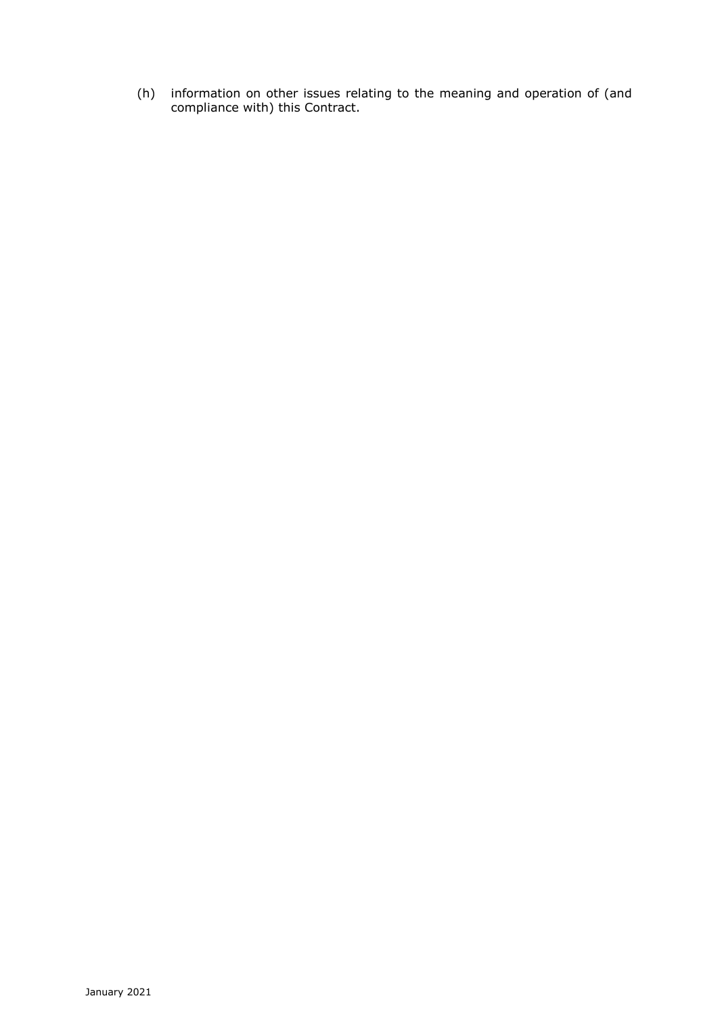(h) information on other issues relating to the meaning and operation of (and compliance with) this Contract.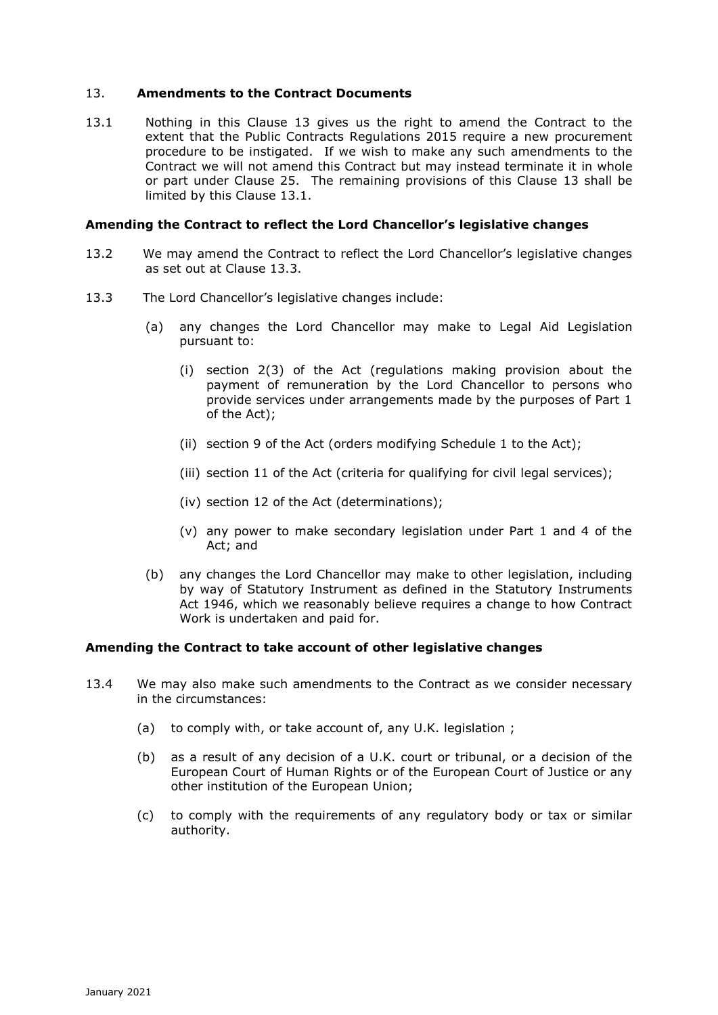# 13. **Amendments to the Contract Documents**

13.1 Nothing in this Clause 13 gives us the right to amend the Contract to the extent that the Public Contracts Regulations 2015 require a new procurement procedure to be instigated. If we wish to make any such amendments to the Contract we will not amend this Contract but may instead terminate it in whole or part under Clause 25. The remaining provisions of this Clause 13 shall be limited by this Clause 13.1.

# **Amending the Contract to reflect the Lord Chancellor's legislative changes**

- 13.2 We may amend the Contract to reflect the Lord Chancellor's legislative changes as set out at Clause 13.3.
- 13.3 The Lord Chancellor's legislative changes include:
	- (a) any changes the Lord Chancellor may make to Legal Aid Legislation pursuant to:
		- (i) section 2(3) of the Act (regulations making provision about the payment of remuneration by the Lord Chancellor to persons who provide services under arrangements made by the purposes of Part 1 of the Act);
		- (ii) section 9 of the Act (orders modifying Schedule 1 to the Act);
		- (iii) section 11 of the Act (criteria for qualifying for civil legal services);
		- (iv) section 12 of the Act (determinations);
		- (v) any power to make secondary legislation under Part 1 and 4 of the Act; and
	- (b) any changes the Lord Chancellor may make to other legislation, including by way of Statutory Instrument as defined in the Statutory Instruments Act 1946, which we reasonably believe requires a change to how Contract Work is undertaken and paid for.

### **Amending the Contract to take account of other legislative changes**

- 13.4 We may also make such amendments to the Contract as we consider necessary in the circumstances:
	- (a) to comply with, or take account of, any U.K. legislation ;
	- (b) as a result of any decision of a U.K. court or tribunal, or a decision of the European Court of Human Rights or of the European Court of Justice or any other institution of the European Union;
	- (c) to comply with the requirements of any regulatory body or tax or similar authority.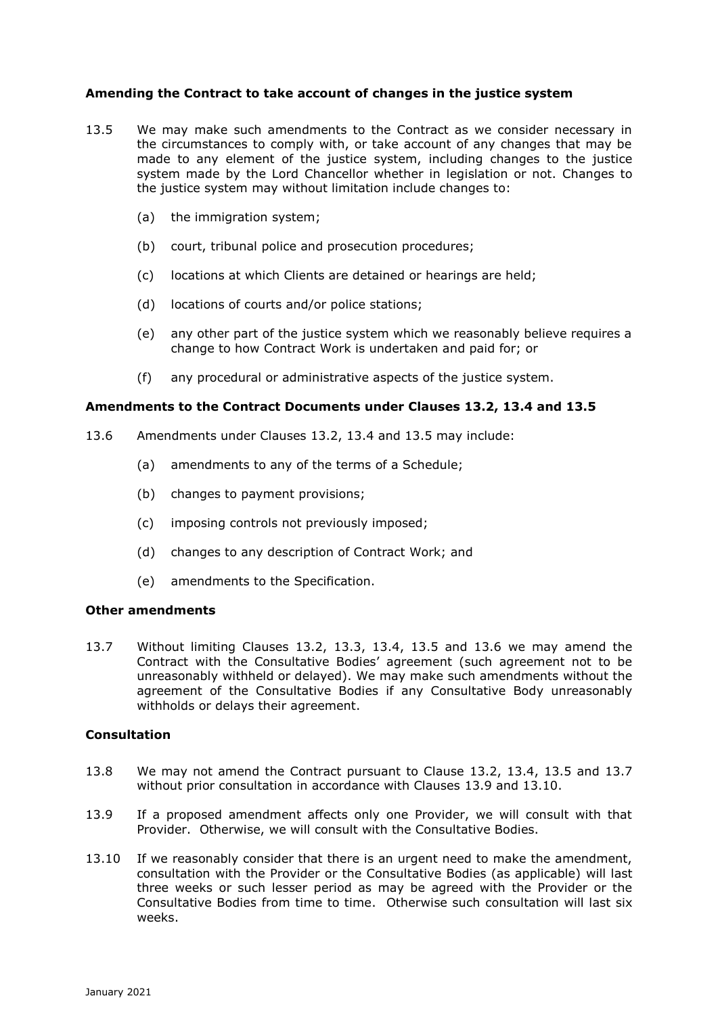# **Amending the Contract to take account of changes in the justice system**

- 13.5 We may make such amendments to the Contract as we consider necessary in the circumstances to comply with, or take account of any changes that may be made to any element of the justice system, including changes to the justice system made by the Lord Chancellor whether in legislation or not. Changes to the justice system may without limitation include changes to:
	- (a) the immigration system;
	- (b) court, tribunal police and prosecution procedures;
	- (c) locations at which Clients are detained or hearings are held;
	- (d) locations of courts and/or police stations;
	- (e) any other part of the justice system which we reasonably believe requires a change to how Contract Work is undertaken and paid for; or
	- (f) any procedural or administrative aspects of the justice system.

#### **Amendments to the Contract Documents under Clauses 13.2, 13.4 and 13.5**

- 13.6 Amendments under Clauses 13.2, 13.4 and 13.5 may include:
	- (a) amendments to any of the terms of a Schedule;
	- (b) changes to payment provisions;
	- (c) imposing controls not previously imposed;
	- (d) changes to any description of Contract Work; and
	- (e) amendments to the Specification.

#### **Other amendments**

13.7 Without limiting Clauses 13.2, 13.3, 13.4, 13.5 and 13.6 we may amend the Contract with the Consultative Bodies' agreement (such agreement not to be unreasonably withheld or delayed). We may make such amendments without the agreement of the Consultative Bodies if any Consultative Body unreasonably withholds or delays their agreement.

### **Consultation**

- 13.8 We may not amend the Contract pursuant to Clause 13.2, 13.4, 13.5 and 13.7 without prior consultation in accordance with Clauses 13.9 and 13.10.
- 13.9 If a proposed amendment affects only one Provider, we will consult with that Provider. Otherwise, we will consult with the Consultative Bodies.
- 13.10 If we reasonably consider that there is an urgent need to make the amendment, consultation with the Provider or the Consultative Bodies (as applicable) will last three weeks or such lesser period as may be agreed with the Provider or the Consultative Bodies from time to time. Otherwise such consultation will last six weeks.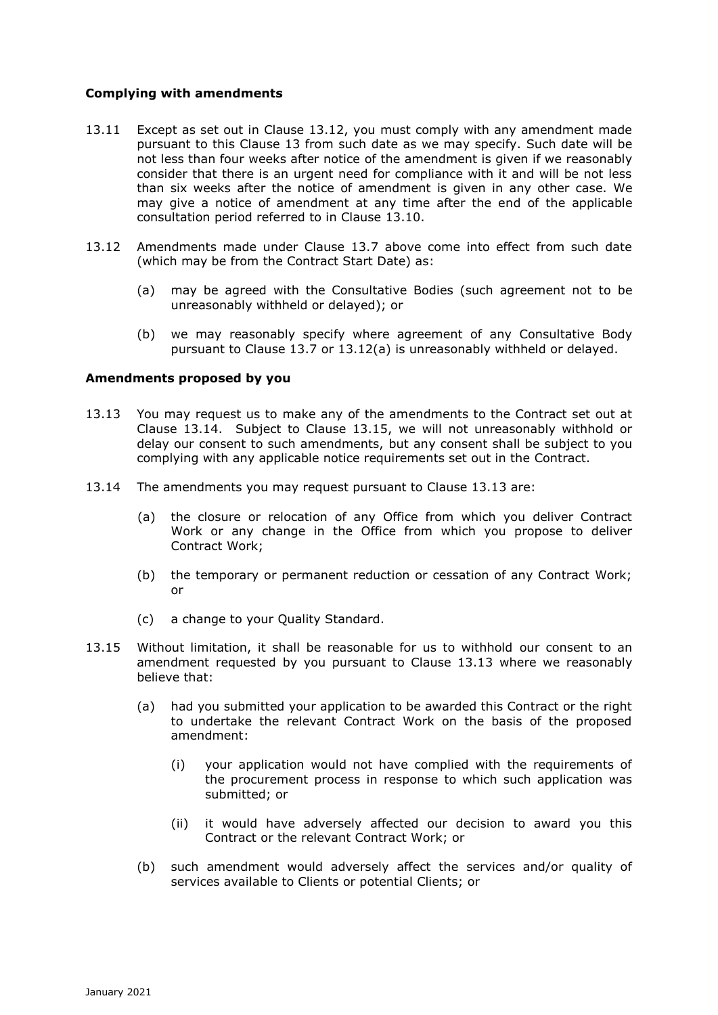# **Complying with amendments**

- 13.11 Except as set out in Clause 13.12, you must comply with any amendment made pursuant to this Clause 13 from such date as we may specify. Such date will be not less than four weeks after notice of the amendment is given if we reasonably consider that there is an urgent need for compliance with it and will be not less than six weeks after the notice of amendment is given in any other case. We may give a notice of amendment at any time after the end of the applicable consultation period referred to in Clause 13.10.
- 13.12 Amendments made under Clause 13.7 above come into effect from such date (which may be from the Contract Start Date) as:
	- (a) may be agreed with the Consultative Bodies (such agreement not to be unreasonably withheld or delayed); or
	- (b) we may reasonably specify where agreement of any Consultative Body pursuant to Clause 13.7 or 13.12(a) is unreasonably withheld or delayed.

### **Amendments proposed by you**

- 13.13 You may request us to make any of the amendments to the Contract set out at Clause 13.14. Subject to Clause 13.15, we will not unreasonably withhold or delay our consent to such amendments, but any consent shall be subject to you complying with any applicable notice requirements set out in the Contract.
- 13.14 The amendments you may request pursuant to Clause 13.13 are:
	- (a) the closure or relocation of any Office from which you deliver Contract Work or any change in the Office from which you propose to deliver Contract Work;
	- (b) the temporary or permanent reduction or cessation of any Contract Work; or
	- (c) a change to your Quality Standard.
- 13.15 Without limitation, it shall be reasonable for us to withhold our consent to an amendment requested by you pursuant to Clause 13.13 where we reasonably believe that:
	- (a) had you submitted your application to be awarded this Contract or the right to undertake the relevant Contract Work on the basis of the proposed amendment:
		- (i) your application would not have complied with the requirements of the procurement process in response to which such application was submitted; or
		- (ii) it would have adversely affected our decision to award you this Contract or the relevant Contract Work; or
	- (b) such amendment would adversely affect the services and/or quality of services available to Clients or potential Clients; or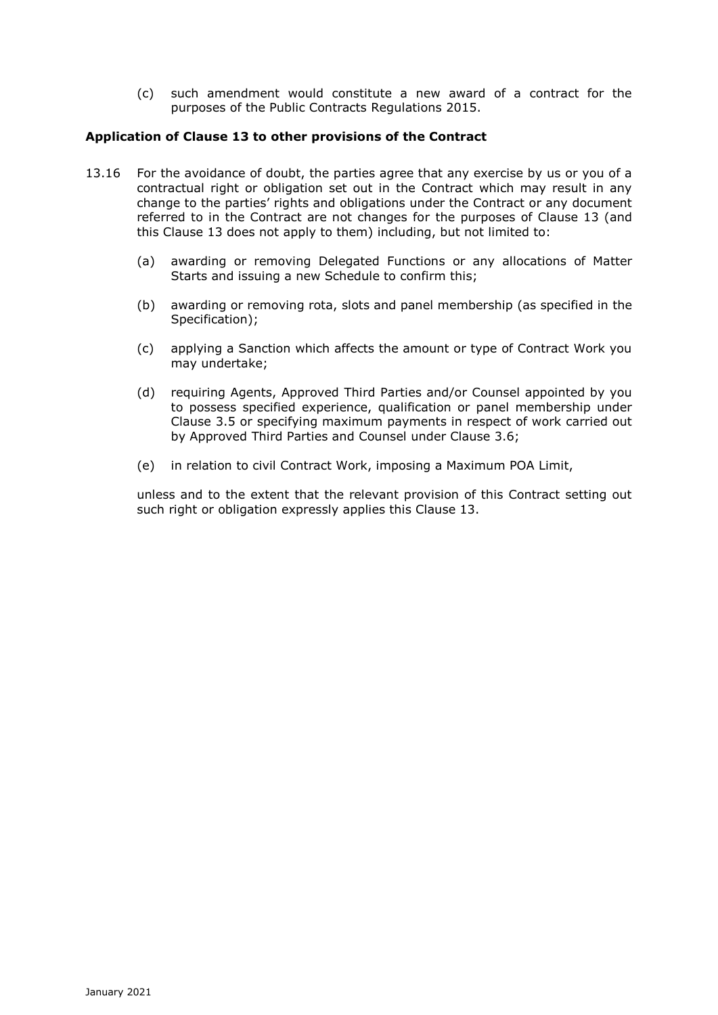(c) such amendment would constitute a new award of a contract for the purposes of the Public Contracts Regulations 2015.

# **Application of Clause 13 to other provisions of the Contract**

- 13.16 For the avoidance of doubt, the parties agree that any exercise by us or you of a contractual right or obligation set out in the Contract which may result in any change to the parties' rights and obligations under the Contract or any document referred to in the Contract are not changes for the purposes of Clause 13 (and this Clause 13 does not apply to them) including, but not limited to:
	- (a) awarding or removing Delegated Functions or any allocations of Matter Starts and issuing a new Schedule to confirm this;
	- (b) awarding or removing rota, slots and panel membership (as specified in the Specification);
	- (c) applying a Sanction which affects the amount or type of Contract Work you may undertake;
	- (d) requiring Agents, Approved Third Parties and/or Counsel appointed by you to possess specified experience, qualification or panel membership under Clause 3.5 or specifying maximum payments in respect of work carried out by Approved Third Parties and Counsel under Clause 3.6;
	- (e) in relation to civil Contract Work, imposing a Maximum POA Limit,

unless and to the extent that the relevant provision of this Contract setting out such right or obligation expressly applies this Clause 13.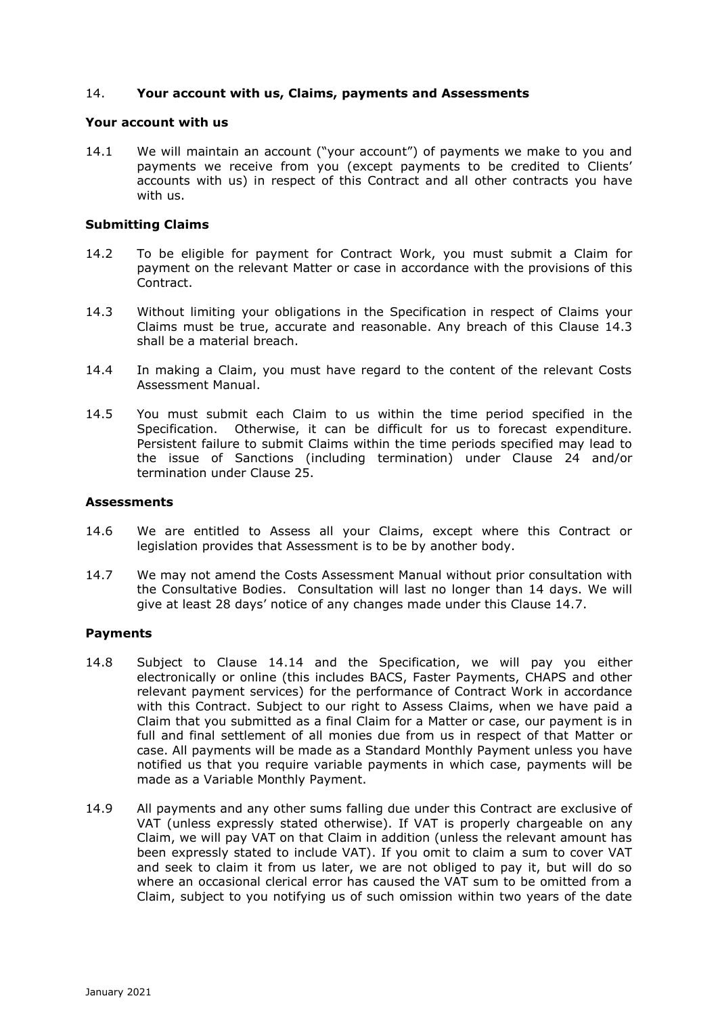### 14. **Your account with us, Claims, payments and Assessments**

#### **Your account with us**

14.1 We will maintain an account ("your account") of payments we make to you and payments we receive from you (except payments to be credited to Clients' accounts with us) in respect of this Contract and all other contracts you have with us.

### **Submitting Claims**

- 14.2 To be eligible for payment for Contract Work, you must submit a Claim for payment on the relevant Matter or case in accordance with the provisions of this Contract.
- 14.3 Without limiting your obligations in the Specification in respect of Claims your Claims must be true, accurate and reasonable. Any breach of this Clause 14.3 shall be a material breach.
- 14.4 In making a Claim, you must have regard to the content of the relevant Costs Assessment Manual.
- 14.5 You must submit each Claim to us within the time period specified in the Specification. Otherwise, it can be difficult for us to forecast expenditure. Persistent failure to submit Claims within the time periods specified may lead to the issue of Sanctions (including termination) under Clause 24 and/or termination under Clause 25.

#### **Assessments**

- 14.6 We are entitled to Assess all your Claims, except where this Contract or legislation provides that Assessment is to be by another body.
- 14.7 We may not amend the Costs Assessment Manual without prior consultation with the Consultative Bodies. Consultation will last no longer than 14 days. We will give at least 28 days' notice of any changes made under this Clause 14.7.

### **Payments**

- 14.8 Subject to Clause 14.14 and the Specification, we will pay you either electronically or online (this includes BACS, Faster Payments, CHAPS and other relevant payment services) for the performance of Contract Work in accordance with this Contract. Subject to our right to Assess Claims, when we have paid a Claim that you submitted as a final Claim for a Matter or case, our payment is in full and final settlement of all monies due from us in respect of that Matter or case. All payments will be made as a Standard Monthly Payment unless you have notified us that you require variable payments in which case, payments will be made as a Variable Monthly Payment.
- 14.9 All payments and any other sums falling due under this Contract are exclusive of VAT (unless expressly stated otherwise). If VAT is properly chargeable on any Claim, we will pay VAT on that Claim in addition (unless the relevant amount has been expressly stated to include VAT). If you omit to claim a sum to cover VAT and seek to claim it from us later, we are not obliged to pay it, but will do so where an occasional clerical error has caused the VAT sum to be omitted from a Claim, subject to you notifying us of such omission within two years of the date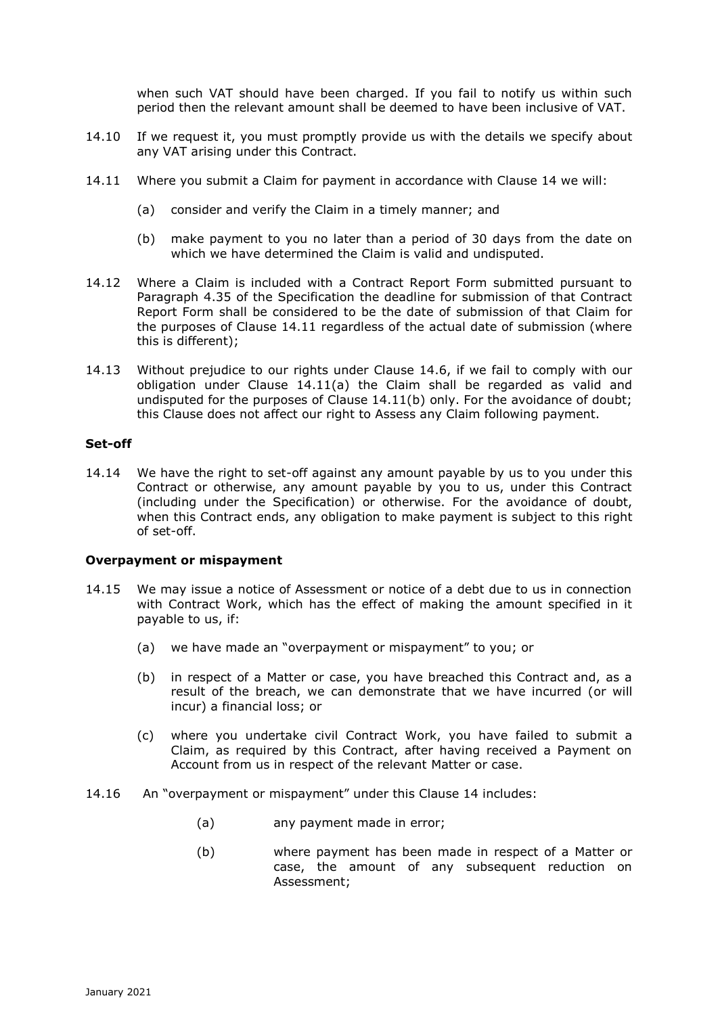when such VAT should have been charged. If you fail to notify us within such period then the relevant amount shall be deemed to have been inclusive of VAT.

- 14.10 If we request it, you must promptly provide us with the details we specify about any VAT arising under this Contract.
- 14.11 Where you submit a Claim for payment in accordance with Clause 14 we will:
	- (a) consider and verify the Claim in a timely manner; and
	- (b) make payment to you no later than a period of 30 days from the date on which we have determined the Claim is valid and undisputed.
- 14.12 Where a Claim is included with a Contract Report Form submitted pursuant to Paragraph 4.35 of the Specification the deadline for submission of that Contract Report Form shall be considered to be the date of submission of that Claim for the purposes of Clause 14.11 regardless of the actual date of submission (where this is different);
- 14.13 Without prejudice to our rights under Clause 14.6, if we fail to comply with our obligation under Clause 14.11(a) the Claim shall be regarded as valid and undisputed for the purposes of Clause 14.11(b) only. For the avoidance of doubt; this Clause does not affect our right to Assess any Claim following payment.

#### **Set-off**

14.14 We have the right to set-off against any amount payable by us to you under this Contract or otherwise, any amount payable by you to us, under this Contract (including under the Specification) or otherwise. For the avoidance of doubt, when this Contract ends, any obligation to make payment is subject to this right of set-off.

#### **Overpayment or mispayment**

- 14.15 We may issue a notice of Assessment or notice of a debt due to us in connection with Contract Work, which has the effect of making the amount specified in it payable to us, if:
	- (a) we have made an "overpayment or mispayment" to you; or
	- (b) in respect of a Matter or case, you have breached this Contract and, as a result of the breach, we can demonstrate that we have incurred (or will incur) a financial loss; or
	- (c) where you undertake civil Contract Work, you have failed to submit a Claim, as required by this Contract, after having received a Payment on Account from us in respect of the relevant Matter or case.
- 14.16 An "overpayment or mispayment" under this Clause 14 includes:
	- (a) any payment made in error;
	- (b) where payment has been made in respect of a Matter or case, the amount of any subsequent reduction on Assessment;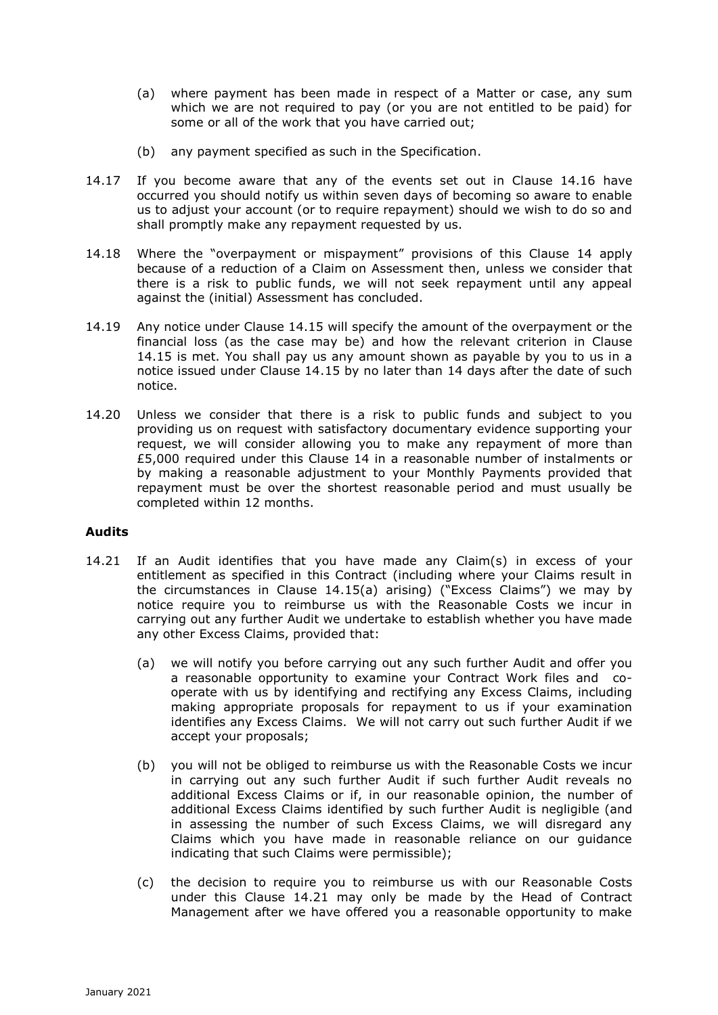- (a) where payment has been made in respect of a Matter or case, any sum which we are not required to pay (or you are not entitled to be paid) for some or all of the work that you have carried out;
- (b) any payment specified as such in the Specification.
- 14.17 If you become aware that any of the events set out in Clause 14.16 have occurred you should notify us within seven days of becoming so aware to enable us to adjust your account (or to require repayment) should we wish to do so and shall promptly make any repayment requested by us.
- 14.18 Where the "overpayment or mispayment" provisions of this Clause 14 apply because of a reduction of a Claim on Assessment then, unless we consider that there is a risk to public funds, we will not seek repayment until any appeal against the (initial) Assessment has concluded.
- 14.19 Any notice under Clause 14.15 will specify the amount of the overpayment or the financial loss (as the case may be) and how the relevant criterion in Clause 14.15 is met. You shall pay us any amount shown as payable by you to us in a notice issued under Clause 14.15 by no later than 14 days after the date of such notice.
- 14.20 Unless we consider that there is a risk to public funds and subject to you providing us on request with satisfactory documentary evidence supporting your request, we will consider allowing you to make any repayment of more than £5,000 required under this Clause 14 in a reasonable number of instalments or by making a reasonable adjustment to your Monthly Payments provided that repayment must be over the shortest reasonable period and must usually be completed within 12 months.

### **Audits**

- 14.21 If an Audit identifies that you have made any Claim(s) in excess of your entitlement as specified in this Contract (including where your Claims result in the circumstances in Clause 14.15(a) arising) ("Excess Claims") we may by notice require you to reimburse us with the Reasonable Costs we incur in carrying out any further Audit we undertake to establish whether you have made any other Excess Claims, provided that:
	- (a) we will notify you before carrying out any such further Audit and offer you a reasonable opportunity to examine your Contract Work files and cooperate with us by identifying and rectifying any Excess Claims, including making appropriate proposals for repayment to us if your examination identifies any Excess Claims. We will not carry out such further Audit if we accept your proposals;
	- (b) you will not be obliged to reimburse us with the Reasonable Costs we incur in carrying out any such further Audit if such further Audit reveals no additional Excess Claims or if, in our reasonable opinion, the number of additional Excess Claims identified by such further Audit is negligible (and in assessing the number of such Excess Claims, we will disregard any Claims which you have made in reasonable reliance on our guidance indicating that such Claims were permissible);
	- (c) the decision to require you to reimburse us with our Reasonable Costs under this Clause 14.21 may only be made by the Head of Contract Management after we have offered you a reasonable opportunity to make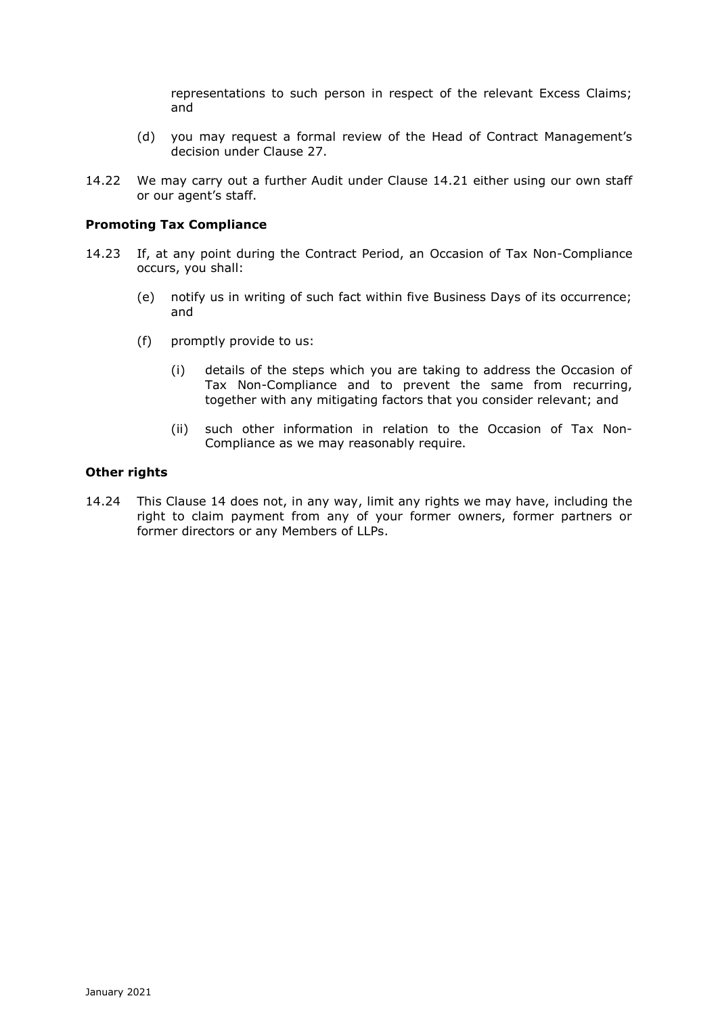representations to such person in respect of the relevant Excess Claims; and

- (d) you may request a formal review of the Head of Contract Management's decision under Clause 27.
- 14.22 We may carry out a further Audit under Clause 14.21 either using our own staff or our agent's staff.

#### **Promoting Tax Compliance**

- 14.23 If, at any point during the Contract Period, an Occasion of Tax Non-Compliance occurs, you shall:
	- (e) notify us in writing of such fact within five Business Days of its occurrence; and
	- (f) promptly provide to us:
		- (i) details of the steps which you are taking to address the Occasion of Tax Non-Compliance and to prevent the same from recurring, together with any mitigating factors that you consider relevant; and
		- (ii) such other information in relation to the Occasion of Tax Non-Compliance as we may reasonably require.

#### **Other rights**

14.24 This Clause 14 does not, in any way, limit any rights we may have, including the right to claim payment from any of your former owners, former partners or former directors or any Members of LLPs.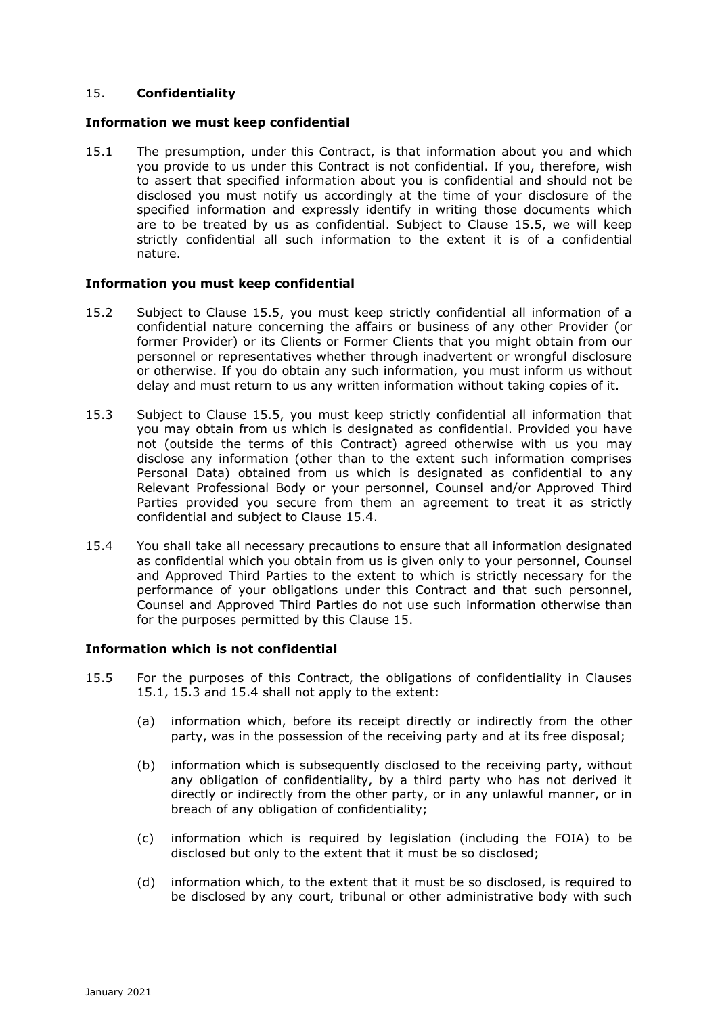# 15. **Confidentiality**

#### **Information we must keep confidential**

15.1 The presumption, under this Contract, is that information about you and which you provide to us under this Contract is not confidential. If you, therefore, wish to assert that specified information about you is confidential and should not be disclosed you must notify us accordingly at the time of your disclosure of the specified information and expressly identify in writing those documents which are to be treated by us as confidential. Subject to Clause 15.5, we will keep strictly confidential all such information to the extent it is of a confidential nature.

#### **Information you must keep confidential**

- 15.2 Subject to Clause 15.5, you must keep strictly confidential all information of a confidential nature concerning the affairs or business of any other Provider (or former Provider) or its Clients or Former Clients that you might obtain from our personnel or representatives whether through inadvertent or wrongful disclosure or otherwise. If you do obtain any such information, you must inform us without delay and must return to us any written information without taking copies of it.
- 15.3 Subject to Clause 15.5, you must keep strictly confidential all information that you may obtain from us which is designated as confidential. Provided you have not (outside the terms of this Contract) agreed otherwise with us you may disclose any information (other than to the extent such information comprises Personal Data) obtained from us which is designated as confidential to any Relevant Professional Body or your personnel, Counsel and/or Approved Third Parties provided you secure from them an agreement to treat it as strictly confidential and subject to Clause 15.4.
- 15.4 You shall take all necessary precautions to ensure that all information designated as confidential which you obtain from us is given only to your personnel, Counsel and Approved Third Parties to the extent to which is strictly necessary for the performance of your obligations under this Contract and that such personnel, Counsel and Approved Third Parties do not use such information otherwise than for the purposes permitted by this Clause 15.

### **Information which is not confidential**

- 15.5 For the purposes of this Contract, the obligations of confidentiality in Clauses 15.1, 15.3 and 15.4 shall not apply to the extent:
	- (a) information which, before its receipt directly or indirectly from the other party, was in the possession of the receiving party and at its free disposal;
	- (b) information which is subsequently disclosed to the receiving party, without any obligation of confidentiality, by a third party who has not derived it directly or indirectly from the other party, or in any unlawful manner, or in breach of any obligation of confidentiality;
	- (c) information which is required by legislation (including the FOIA) to be disclosed but only to the extent that it must be so disclosed;
	- (d) information which, to the extent that it must be so disclosed, is required to be disclosed by any court, tribunal or other administrative body with such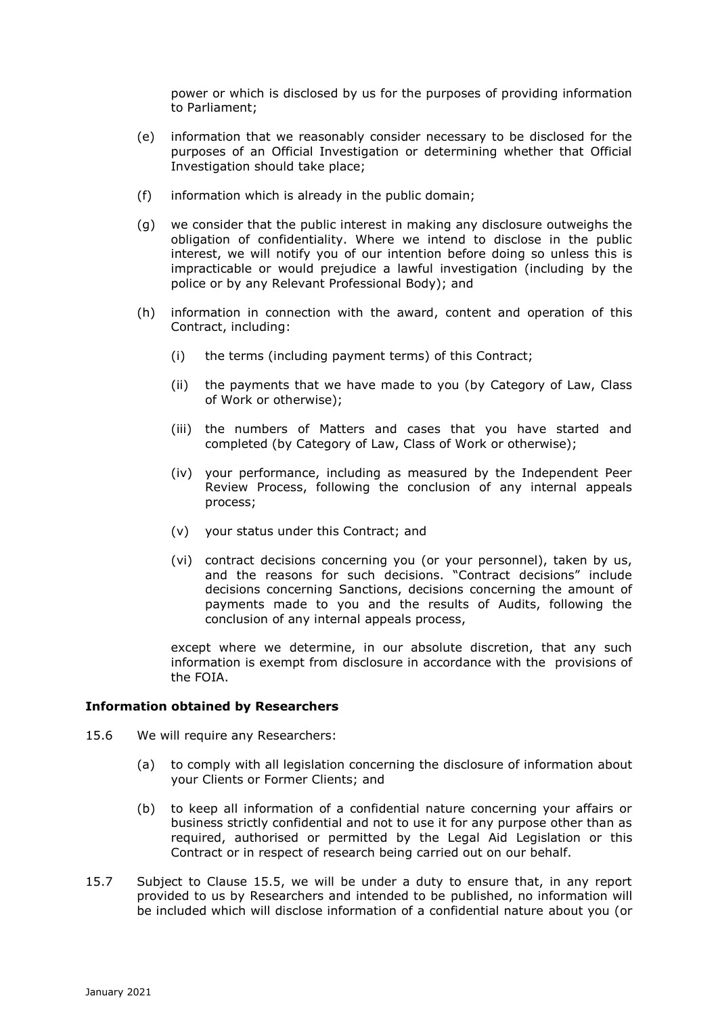power or which is disclosed by us for the purposes of providing information to Parliament;

- (e) information that we reasonably consider necessary to be disclosed for the purposes of an Official Investigation or determining whether that Official Investigation should take place;
- (f) information which is already in the public domain;
- (g) we consider that the public interest in making any disclosure outweighs the obligation of confidentiality. Where we intend to disclose in the public interest, we will notify you of our intention before doing so unless this is impracticable or would prejudice a lawful investigation (including by the police or by any Relevant Professional Body); and
- (h) information in connection with the award, content and operation of this Contract, including:
	- (i) the terms (including payment terms) of this Contract;
	- (ii) the payments that we have made to you (by Category of Law, Class of Work or otherwise);
	- (iii) the numbers of Matters and cases that you have started and completed (by Category of Law, Class of Work or otherwise);
	- (iv) your performance, including as measured by the Independent Peer Review Process, following the conclusion of any internal appeals process;
	- (v) your status under this Contract; and
	- (vi) contract decisions concerning you (or your personnel), taken by us, and the reasons for such decisions. "Contract decisions" include decisions concerning Sanctions, decisions concerning the amount of payments made to you and the results of Audits, following the conclusion of any internal appeals process,

except where we determine, in our absolute discretion, that any such information is exempt from disclosure in accordance with the provisions of the FOIA.

### **Information obtained by Researchers**

- 15.6 We will require any Researchers:
	- (a) to comply with all legislation concerning the disclosure of information about your Clients or Former Clients; and
	- (b) to keep all information of a confidential nature concerning your affairs or business strictly confidential and not to use it for any purpose other than as required, authorised or permitted by the Legal Aid Legislation or this Contract or in respect of research being carried out on our behalf.
- 15.7 Subject to Clause 15.5, we will be under a duty to ensure that, in any report provided to us by Researchers and intended to be published, no information will be included which will disclose information of a confidential nature about you (or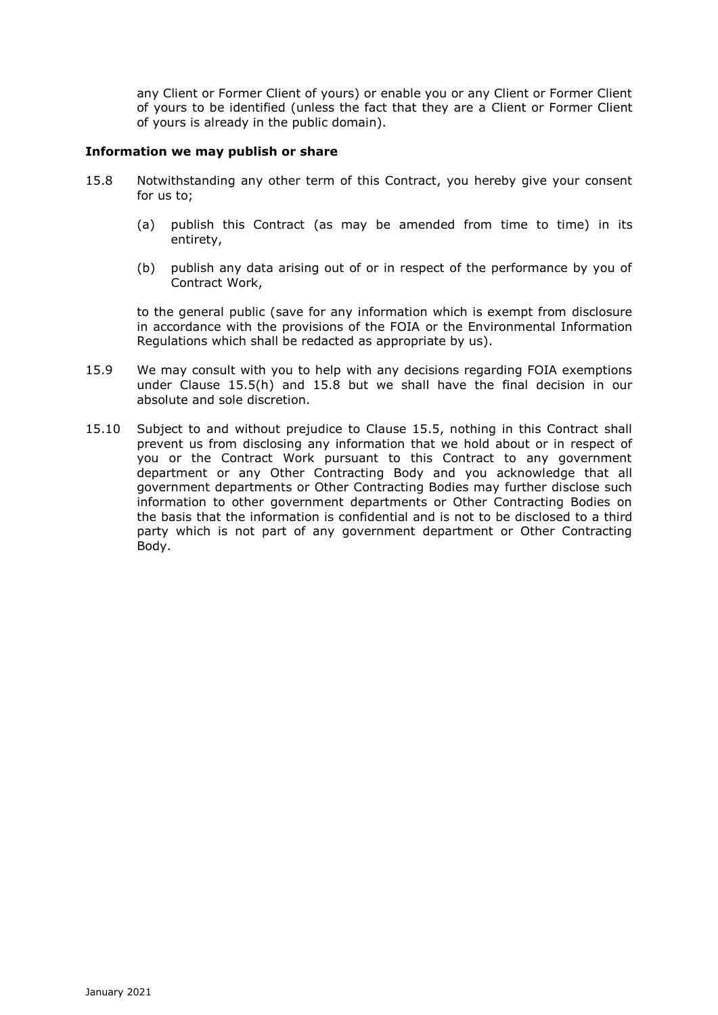any Client or Former Client of yours) or enable you or any Client or Former Client of yours to be identified (unless the fact that they are a Client or Former Client of yours is already in the public domain).

# **Information we may publish or share**

- 15.8 Notwithstanding any other term of this Contract, you hereby give your consent for us to;
	- (a) publish this Contract (as may be amended from time to time) in its entirety,
	- (b) publish any data arising out of or in respect of the performance by you of Contract Work,

to the general public (save for any information which is exempt from disclosure in accordance with the provisions of the FOIA or the Environmental Information Regulations which shall be redacted as appropriate by us).

- 15.9 We may consult with you to help with any decisions regarding FOIA exemptions under Clause 15.5(h) and 15.8 but we shall have the final decision in our absolute and sole discretion.
- 15.10 Subject to and without prejudice to Clause 15.5, nothing in this Contract shall prevent us from disclosing any information that we hold about or in respect of you or the Contract Work pursuant to this Contract to any government department or any Other Contracting Body and you acknowledge that all government departments or Other Contracting Bodies may further disclose such information to other government departments or Other Contracting Bodies on the basis that the information is confidential and is not to be disclosed to a third party which is not part of any government department or Other Contracting Body.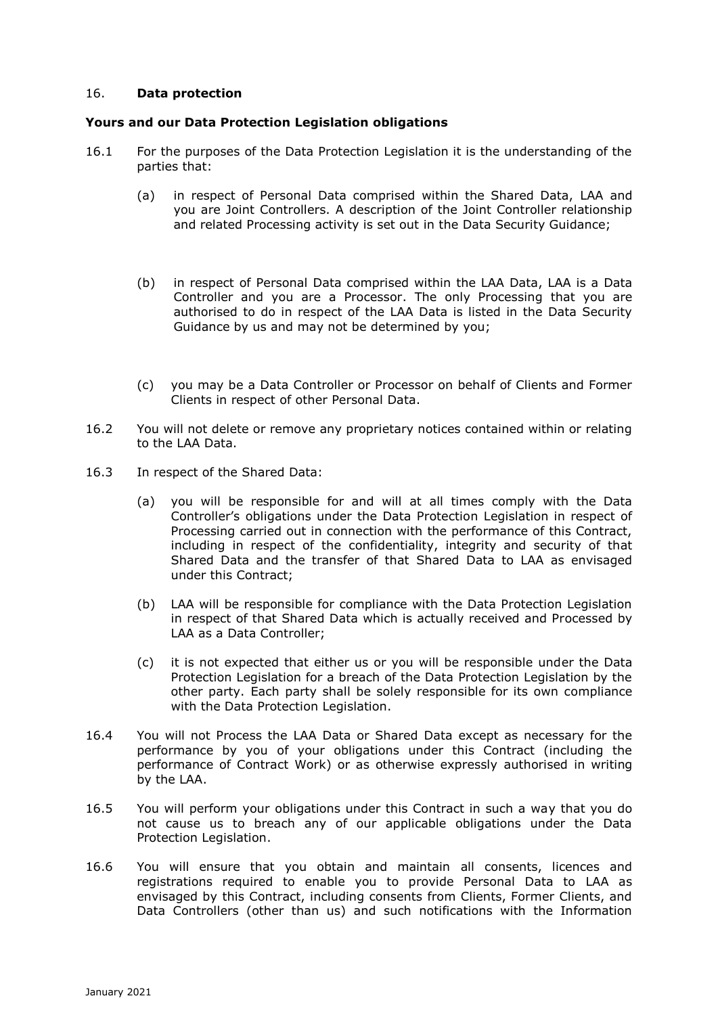### 16. **Data protection**

## **Yours and our Data Protection Legislation obligations**

- 16.1 For the purposes of the Data Protection Legislation it is the understanding of the parties that:
	- (a) in respect of Personal Data comprised within the Shared Data, LAA and you are Joint Controllers. A description of the Joint Controller relationship and related Processing activity is set out in the Data Security Guidance;
	- (b) in respect of Personal Data comprised within the LAA Data, LAA is a Data Controller and you are a Processor. The only Processing that you are authorised to do in respect of the LAA Data is listed in the Data Security Guidance by us and may not be determined by you;
	- (c) you may be a Data Controller or Processor on behalf of Clients and Former Clients in respect of other Personal Data.
- 16.2 You will not delete or remove any proprietary notices contained within or relating to the LAA Data.
- 16.3 In respect of the Shared Data:
	- (a) you will be responsible for and will at all times comply with the Data Controller's obligations under the Data Protection Legislation in respect of Processing carried out in connection with the performance of this Contract, including in respect of the confidentiality, integrity and security of that Shared Data and the transfer of that Shared Data to LAA as envisaged under this Contract;
	- (b) LAA will be responsible for compliance with the Data Protection Legislation in respect of that Shared Data which is actually received and Processed by LAA as a Data Controller;
	- (c) it is not expected that either us or you will be responsible under the Data Protection Legislation for a breach of the Data Protection Legislation by the other party. Each party shall be solely responsible for its own compliance with the Data Protection Legislation.
- 16.4 You will not Process the LAA Data or Shared Data except as necessary for the performance by you of your obligations under this Contract (including the performance of Contract Work) or as otherwise expressly authorised in writing by the LAA.
- 16.5 You will perform your obligations under this Contract in such a way that you do not cause us to breach any of our applicable obligations under the Data Protection Legislation.
- 16.6 You will ensure that you obtain and maintain all consents, licences and registrations required to enable you to provide Personal Data to LAA as envisaged by this Contract, including consents from Clients, Former Clients, and Data Controllers (other than us) and such notifications with the Information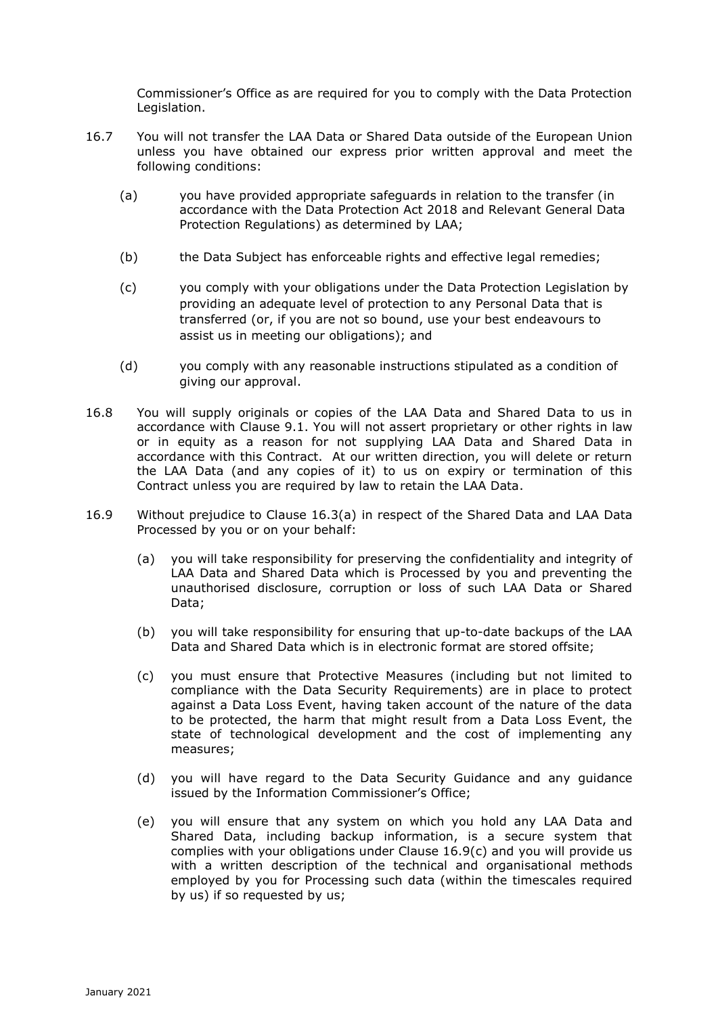Commissioner's Office as are required for you to comply with the Data Protection Legislation.

- 16.7 You will not transfer the LAA Data or Shared Data outside of the European Union unless you have obtained our express prior written approval and meet the following conditions:
	- (a) you have provided appropriate safeguards in relation to the transfer (in accordance with the Data Protection Act 2018 and Relevant General Data Protection Regulations) as determined by LAA;
	- (b) the Data Subject has enforceable rights and effective legal remedies;
	- (c) you comply with your obligations under the Data Protection Legislation by providing an adequate level of protection to any Personal Data that is transferred (or, if you are not so bound, use your best endeavours to assist us in meeting our obligations); and
	- (d) you comply with any reasonable instructions stipulated as a condition of giving our approval.
- 16.8 You will supply originals or copies of the LAA Data and Shared Data to us in accordance with Clause 9.1. You will not assert proprietary or other rights in law or in equity as a reason for not supplying LAA Data and Shared Data in accordance with this Contract. At our written direction, you will delete or return the LAA Data (and any copies of it) to us on expiry or termination of this Contract unless you are required by law to retain the LAA Data.
- 16.9 Without prejudice to Clause 16.3(a) in respect of the Shared Data and LAA Data Processed by you or on your behalf:
	- (a) you will take responsibility for preserving the confidentiality and integrity of LAA Data and Shared Data which is Processed by you and preventing the unauthorised disclosure, corruption or loss of such LAA Data or Shared Data;
	- (b) you will take responsibility for ensuring that up-to-date backups of the LAA Data and Shared Data which is in electronic format are stored offsite;
	- (c) you must ensure that Protective Measures (including but not limited to compliance with the Data Security Requirements) are in place to protect against a Data Loss Event, having taken account of the nature of the data to be protected, the harm that might result from a Data Loss Event, the state of technological development and the cost of implementing any measures;
	- (d) you will have regard to the Data Security Guidance and any guidance issued by the Information Commissioner's Office;
	- (e) you will ensure that any system on which you hold any LAA Data and Shared Data, including backup information, is a secure system that complies with your obligations under Clause 16.9(c) and you will provide us with a written description of the technical and organisational methods employed by you for Processing such data (within the timescales required by us) if so requested by us;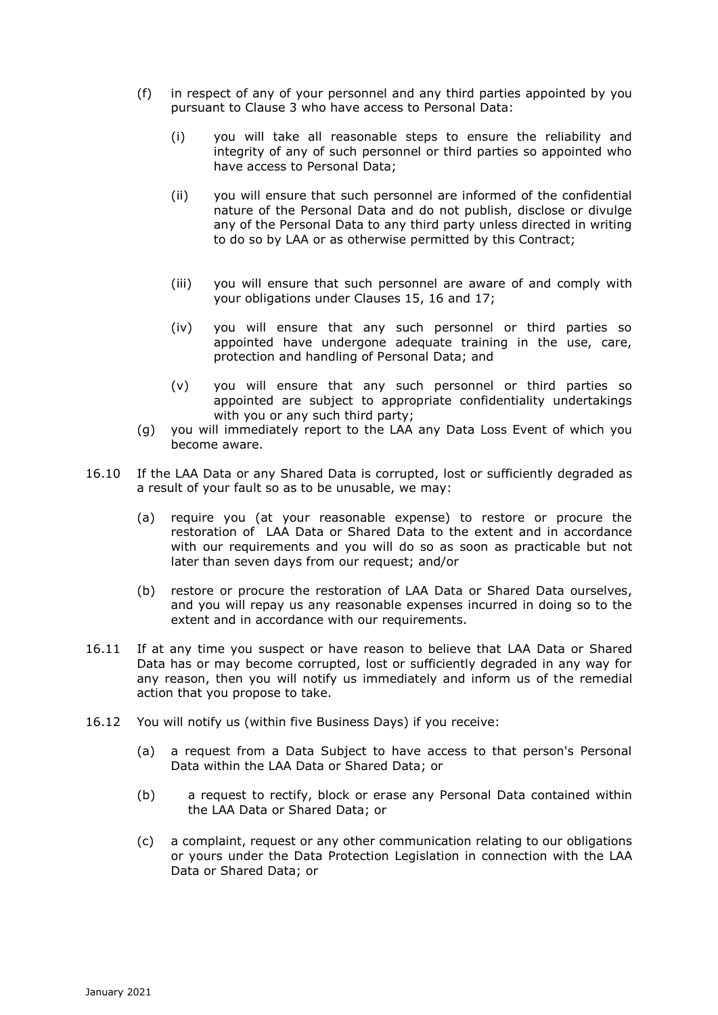- (f) in respect of any of your personnel and any third parties appointed by you pursuant to Clause 3 who have access to Personal Data:
	- (i) you will take all reasonable steps to ensure the reliability and integrity of any of such personnel or third parties so appointed who have access to Personal Data;
	- (ii) you will ensure that such personnel are informed of the confidential nature of the Personal Data and do not publish, disclose or divulge any of the Personal Data to any third party unless directed in writing to do so by LAA or as otherwise permitted by this Contract;
	- (iii) you will ensure that such personnel are aware of and comply with your obligations under Clauses 15, 16 and 17;
	- (iv) you will ensure that any such personnel or third parties so appointed have undergone adequate training in the use, care, protection and handling of Personal Data; and
	- (v) you will ensure that any such personnel or third parties so appointed are subject to appropriate confidentiality undertakings with you or any such third party;
- (g) you will immediately report to the LAA any Data Loss Event of which you become aware.
- 16.10 If the LAA Data or any Shared Data is corrupted, lost or sufficiently degraded as a result of your fault so as to be unusable, we may:
	- (a) require you (at your reasonable expense) to restore or procure the restoration of LAA Data or Shared Data to the extent and in accordance with our requirements and you will do so as soon as practicable but not later than seven days from our request; and/or
	- (b) restore or procure the restoration of LAA Data or Shared Data ourselves, and you will repay us any reasonable expenses incurred in doing so to the extent and in accordance with our requirements.
- 16.11 If at any time you suspect or have reason to believe that LAA Data or Shared Data has or may become corrupted, lost or sufficiently degraded in any way for any reason, then you will notify us immediately and inform us of the remedial action that you propose to take.
- 16.12 You will notify us (within five Business Days) if you receive:
	- (a) a request from a Data Subject to have access to that person's Personal Data within the LAA Data or Shared Data; or
	- (b) a request to rectify, block or erase any Personal Data contained within the LAA Data or Shared Data; or
	- (c) a complaint, request or any other communication relating to our obligations or yours under the Data Protection Legislation in connection with the LAA Data or Shared Data; or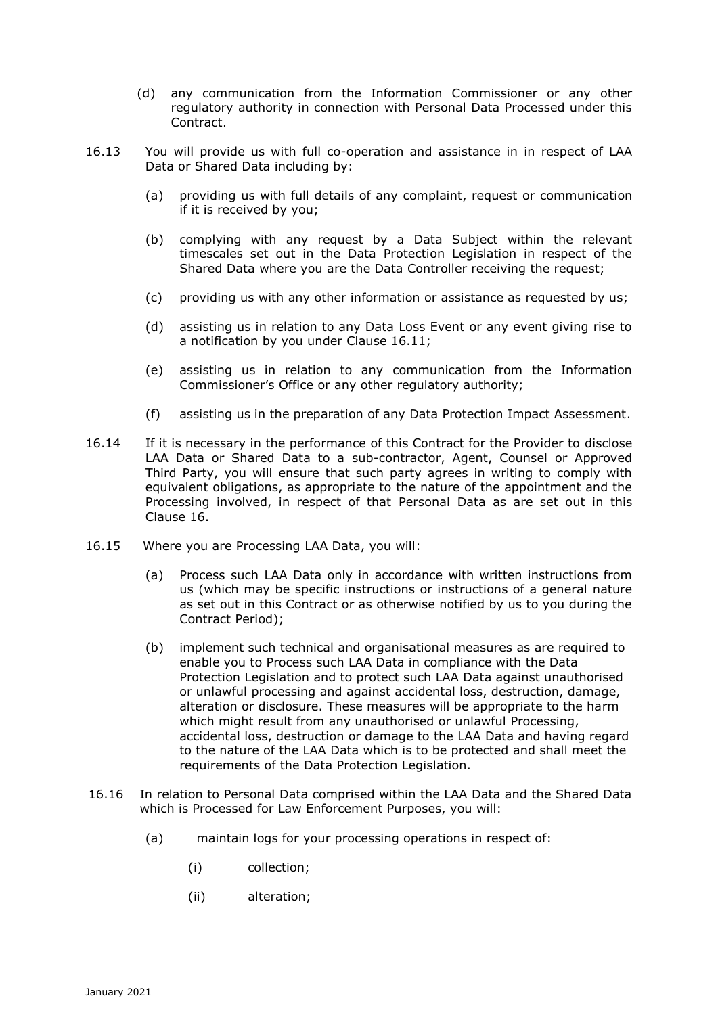- (d) any communication from the Information Commissioner or any other regulatory authority in connection with Personal Data Processed under this Contract.
- 16.13 You will provide us with full co-operation and assistance in in respect of LAA Data or Shared Data including by:
	- (a) providing us with full details of any complaint, request or communication if it is received by you;
	- (b) complying with any request by a Data Subject within the relevant timescales set out in the Data Protection Legislation in respect of the Shared Data where you are the Data Controller receiving the request;
	- (c) providing us with any other information or assistance as requested by us;
	- (d) assisting us in relation to any Data Loss Event or any event giving rise to a notification by you under Clause 16.11;
	- (e) assisting us in relation to any communication from the Information Commissioner's Office or any other regulatory authority;
	- (f) assisting us in the preparation of any Data Protection Impact Assessment.
- 16.14 If it is necessary in the performance of this Contract for the Provider to disclose LAA Data or Shared Data to a sub-contractor, Agent, Counsel or Approved Third Party, you will ensure that such party agrees in writing to comply with equivalent obligations, as appropriate to the nature of the appointment and the Processing involved, in respect of that Personal Data as are set out in this Clause 16.
- 16.15 Where you are Processing LAA Data, you will:
	- (a) Process such LAA Data only in accordance with written instructions from us (which may be specific instructions or instructions of a general nature as set out in this Contract or as otherwise notified by us to you during the Contract Period);
	- (b) implement such technical and organisational measures as are required to enable you to Process such LAA Data in compliance with the Data Protection Legislation and to protect such LAA Data against unauthorised or unlawful processing and against accidental loss, destruction, damage, alteration or disclosure. These measures will be appropriate to the harm which might result from any unauthorised or unlawful Processing, accidental loss, destruction or damage to the LAA Data and having regard to the nature of the LAA Data which is to be protected and shall meet the requirements of the Data Protection Legislation.
- 16.16 In relation to Personal Data comprised within the LAA Data and the Shared Data which is Processed for Law Enforcement Purposes, you will:
	- (a) maintain logs for your processing operations in respect of:
		- (i) collection;
		- (ii) alteration;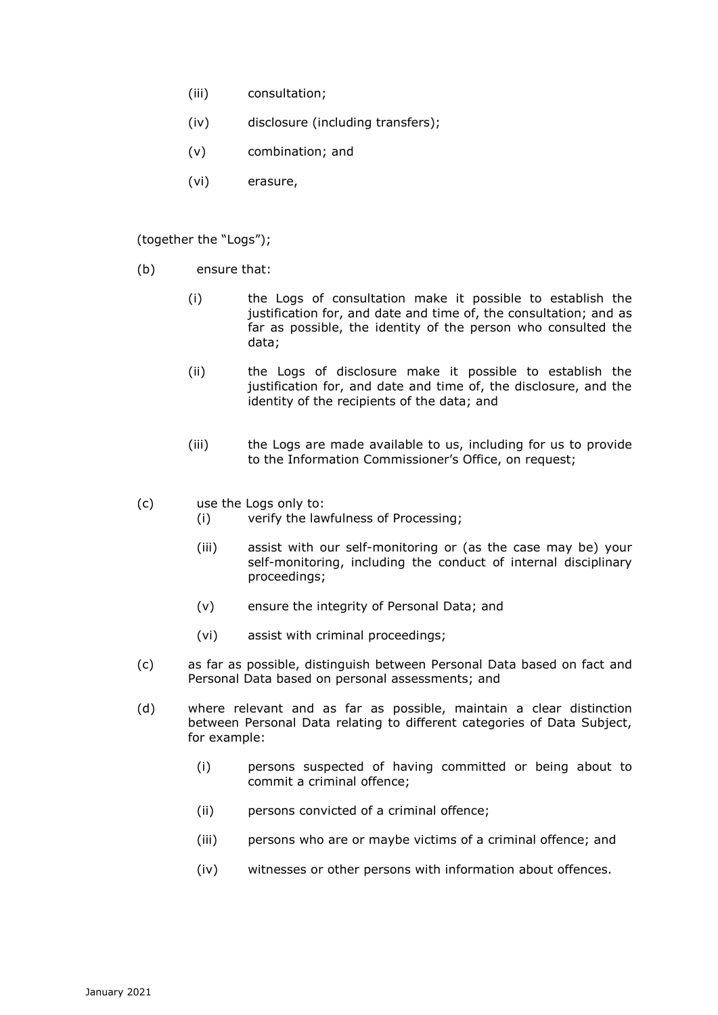- (iii) consultation;
- (iv) disclosure (including transfers);
- (v) combination; and
- (vi) erasure,

(together the "Logs");

- (b) ensure that:
	- (i) the Logs of consultation make it possible to establish the justification for, and date and time of, the consultation; and as far as possible, the identity of the person who consulted the data;
	- (ii) the Logs of disclosure make it possible to establish the justification for, and date and time of, the disclosure, and the identity of the recipients of the data; and
	- (iii) the Logs are made available to us, including for us to provide to the Information Commissioner's Office, on request;
- (c) use the Logs only to:
	- (i) verify the lawfulness of Processing;
	- (iii) assist with our self-monitoring or (as the case may be) your self-monitoring, including the conduct of internal disciplinary proceedings;
	- (v) ensure the integrity of Personal Data; and
	- (vi) assist with criminal proceedings;
- (c) as far as possible, distinguish between Personal Data based on fact and Personal Data based on personal assessments; and
- (d) where relevant and as far as possible, maintain a clear distinction between Personal Data relating to different categories of Data Subject, for example:
	- (i) persons suspected of having committed or being about to commit a criminal offence;
	- (ii) persons convicted of a criminal offence;
	- (iii) persons who are or maybe victims of a criminal offence; and
	- (iv) witnesses or other persons with information about offences.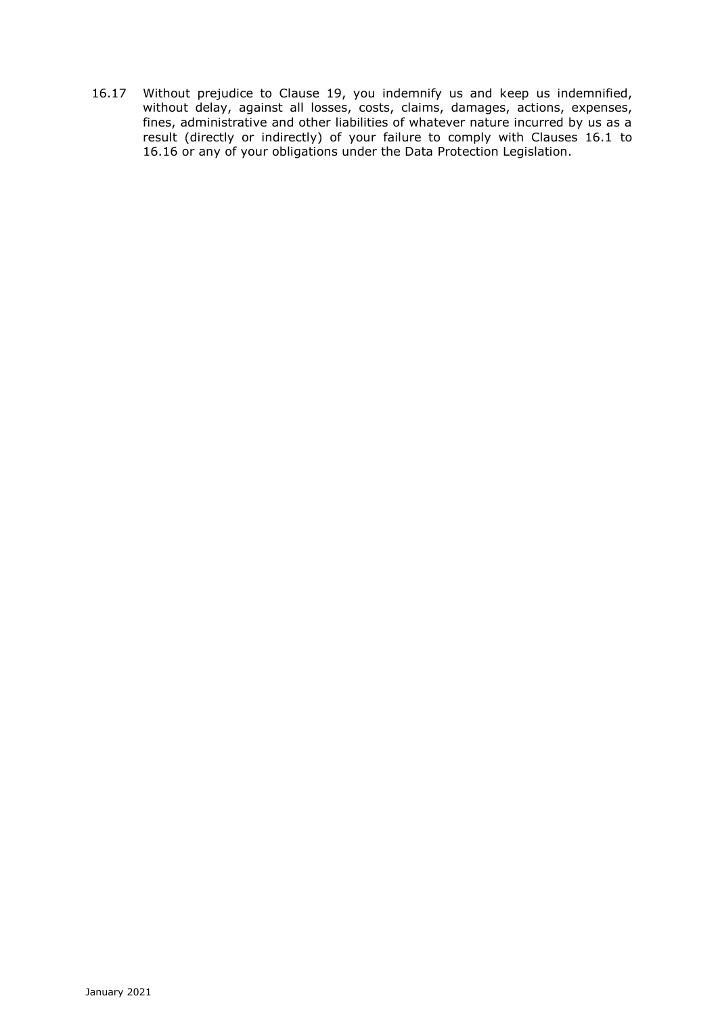16.17 Without prejudice to Clause 19, you indemnify us and keep us indemnified, without delay, against all losses, costs, claims, damages, actions, expenses, fines, administrative and other liabilities of whatever nature incurred by us as a result (directly or indirectly) of your failure to comply with Clauses 16.1 to 16.16 or any of your obligations under the Data Protection Legislation.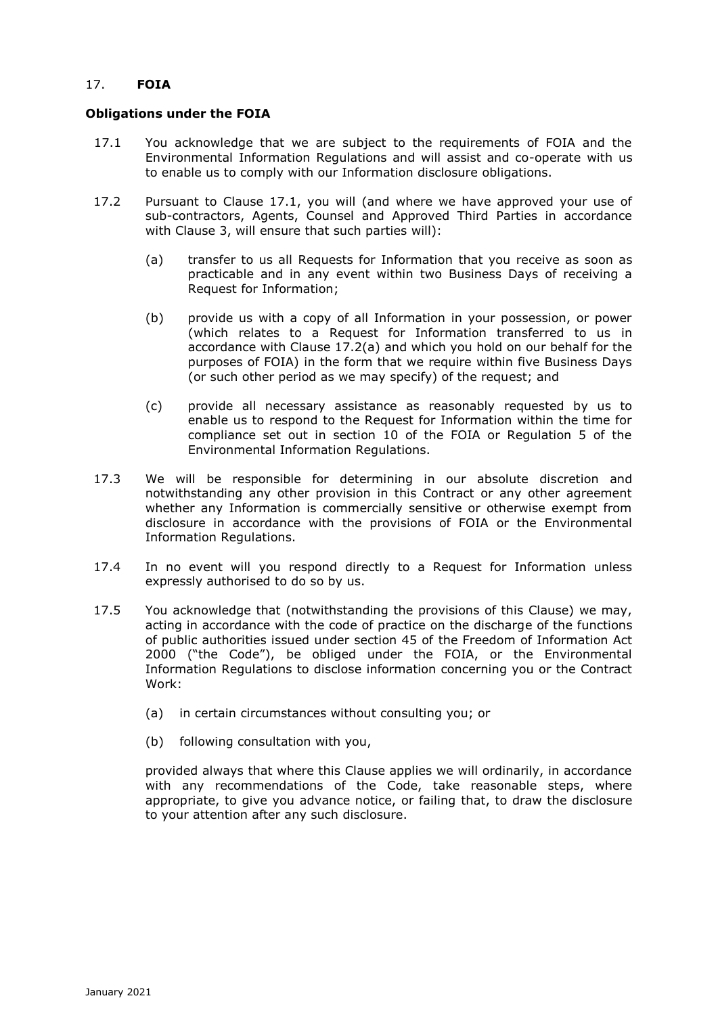# 17. **FOIA**

### **Obligations under the FOIA**

- 17.1 You acknowledge that we are subject to the requirements of FOIA and the Environmental Information Regulations and will assist and co-operate with us to enable us to comply with our Information disclosure obligations.
- 17.2 Pursuant to Clause 17.1, you will (and where we have approved your use of sub-contractors, Agents, Counsel and Approved Third Parties in accordance with Clause 3, will ensure that such parties will):
	- (a) transfer to us all Requests for Information that you receive as soon as practicable and in any event within two Business Days of receiving a Request for Information;
	- (b) provide us with a copy of all Information in your possession, or power (which relates to a Request for Information transferred to us in accordance with Clause 17.2(a) and which you hold on our behalf for the purposes of FOIA) in the form that we require within five Business Days (or such other period as we may specify) of the request; and
	- (c) provide all necessary assistance as reasonably requested by us to enable us to respond to the Request for Information within the time for compliance set out in section 10 of the FOIA or Regulation 5 of the Environmental Information Regulations.
- 17.3 We will be responsible for determining in our absolute discretion and notwithstanding any other provision in this Contract or any other agreement whether any Information is commercially sensitive or otherwise exempt from disclosure in accordance with the provisions of FOIA or the Environmental Information Regulations.
- 17.4 In no event will you respond directly to a Request for Information unless expressly authorised to do so by us.
- 17.5 You acknowledge that (notwithstanding the provisions of this Clause) we may, acting in accordance with the code of practice on the discharge of the functions of public authorities issued under section 45 of the Freedom of Information Act 2000 ("the Code"), be obliged under the FOIA, or the Environmental Information Regulations to disclose information concerning you or the Contract Work:
	- (a) in certain circumstances without consulting you; or
	- (b) following consultation with you,

provided always that where this Clause applies we will ordinarily, in accordance with any recommendations of the Code, take reasonable steps, where appropriate, to give you advance notice, or failing that, to draw the disclosure to your attention after any such disclosure.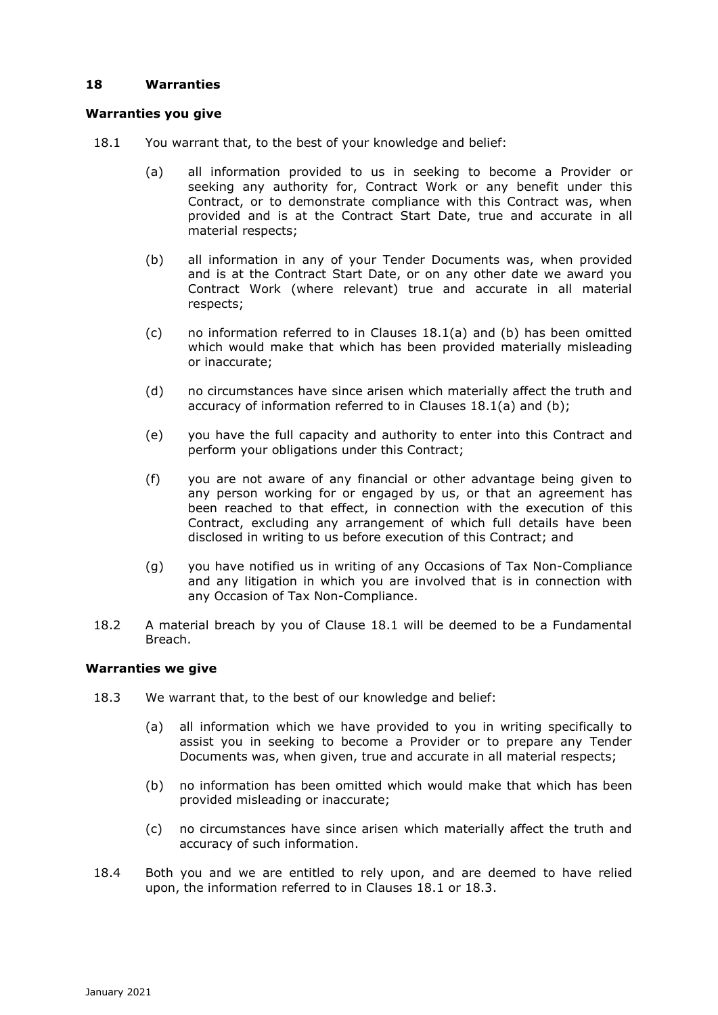# **18 Warranties**

# **Warranties you give**

- 18.1 You warrant that, to the best of your knowledge and belief:
	- (a) all information provided to us in seeking to become a Provider or seeking any authority for, Contract Work or any benefit under this Contract, or to demonstrate compliance with this Contract was, when provided and is at the Contract Start Date, true and accurate in all material respects;
	- (b) all information in any of your Tender Documents was, when provided and is at the Contract Start Date, or on any other date we award you Contract Work (where relevant) true and accurate in all material respects;
	- (c) no information referred to in Clauses 18.1(a) and (b) has been omitted which would make that which has been provided materially misleading or inaccurate;
	- (d) no circumstances have since arisen which materially affect the truth and accuracy of information referred to in Clauses 18.1(a) and (b);
	- (e) you have the full capacity and authority to enter into this Contract and perform your obligations under this Contract;
	- (f) you are not aware of any financial or other advantage being given to any person working for or engaged by us, or that an agreement has been reached to that effect, in connection with the execution of this Contract, excluding any arrangement of which full details have been disclosed in writing to us before execution of this Contract; and
	- (g) you have notified us in writing of any Occasions of Tax Non-Compliance and any litigation in which you are involved that is in connection with any Occasion of Tax Non-Compliance.
- 18.2 A material breach by you of Clause 18.1 will be deemed to be a Fundamental Breach.

### **Warranties we give**

- 18.3 We warrant that, to the best of our knowledge and belief:
	- (a) all information which we have provided to you in writing specifically to assist you in seeking to become a Provider or to prepare any Tender Documents was, when given, true and accurate in all material respects;
	- (b) no information has been omitted which would make that which has been provided misleading or inaccurate;
	- (c) no circumstances have since arisen which materially affect the truth and accuracy of such information.
- 18.4 Both you and we are entitled to rely upon, and are deemed to have relied upon, the information referred to in Clauses 18.1 or 18.3.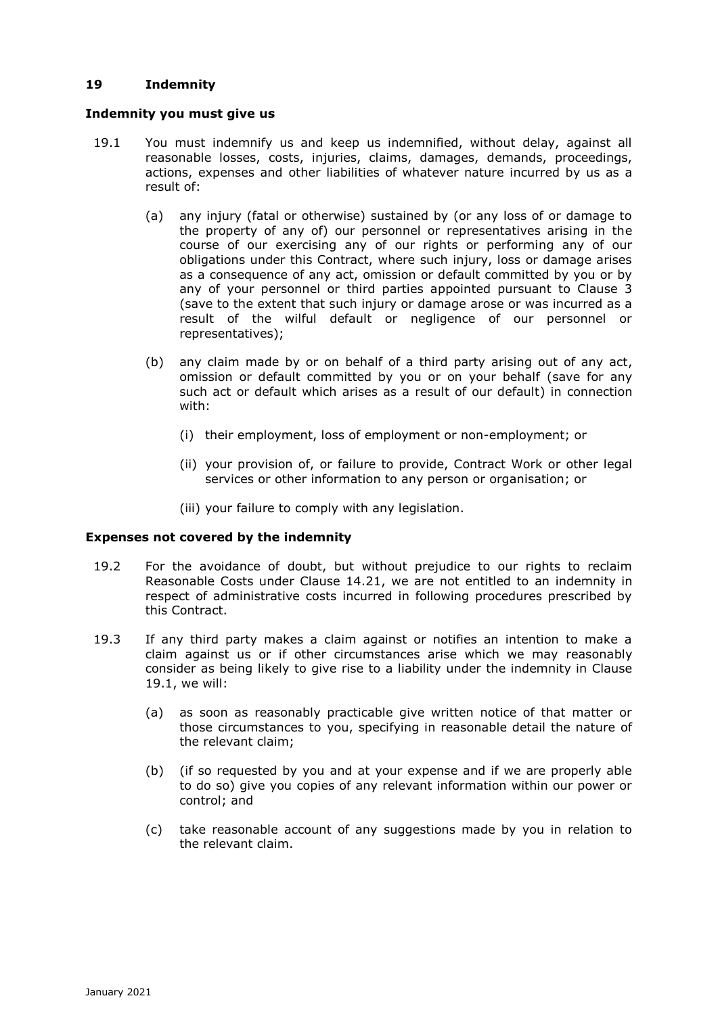# **19 Indemnity**

### **Indemnity you must give us**

- 19.1 You must indemnify us and keep us indemnified, without delay, against all reasonable losses, costs, injuries, claims, damages, demands, proceedings, actions, expenses and other liabilities of whatever nature incurred by us as a result of:
	- (a) any injury (fatal or otherwise) sustained by (or any loss of or damage to the property of any of) our personnel or representatives arising in the course of our exercising any of our rights or performing any of our obligations under this Contract, where such injury, loss or damage arises as a consequence of any act, omission or default committed by you or by any of your personnel or third parties appointed pursuant to Clause 3 (save to the extent that such injury or damage arose or was incurred as a result of the wilful default or negligence of our personnel or representatives);
	- (b) any claim made by or on behalf of a third party arising out of any act, omission or default committed by you or on your behalf (save for any such act or default which arises as a result of our default) in connection with:
		- (i) their employment, loss of employment or non-employment; or
		- (ii) your provision of, or failure to provide, Contract Work or other legal services or other information to any person or organisation; or
		- (iii) your failure to comply with any legislation.

### **Expenses not covered by the indemnity**

- 19.2 For the avoidance of doubt, but without prejudice to our rights to reclaim Reasonable Costs under Clause 14.21, we are not entitled to an indemnity in respect of administrative costs incurred in following procedures prescribed by this Contract.
- 19.3 If any third party makes a claim against or notifies an intention to make a claim against us or if other circumstances arise which we may reasonably consider as being likely to give rise to a liability under the indemnity in Clause 19.1, we will:
	- (a) as soon as reasonably practicable give written notice of that matter or those circumstances to you, specifying in reasonable detail the nature of the relevant claim;
	- (b) (if so requested by you and at your expense and if we are properly able to do so) give you copies of any relevant information within our power or control; and
	- (c) take reasonable account of any suggestions made by you in relation to the relevant claim.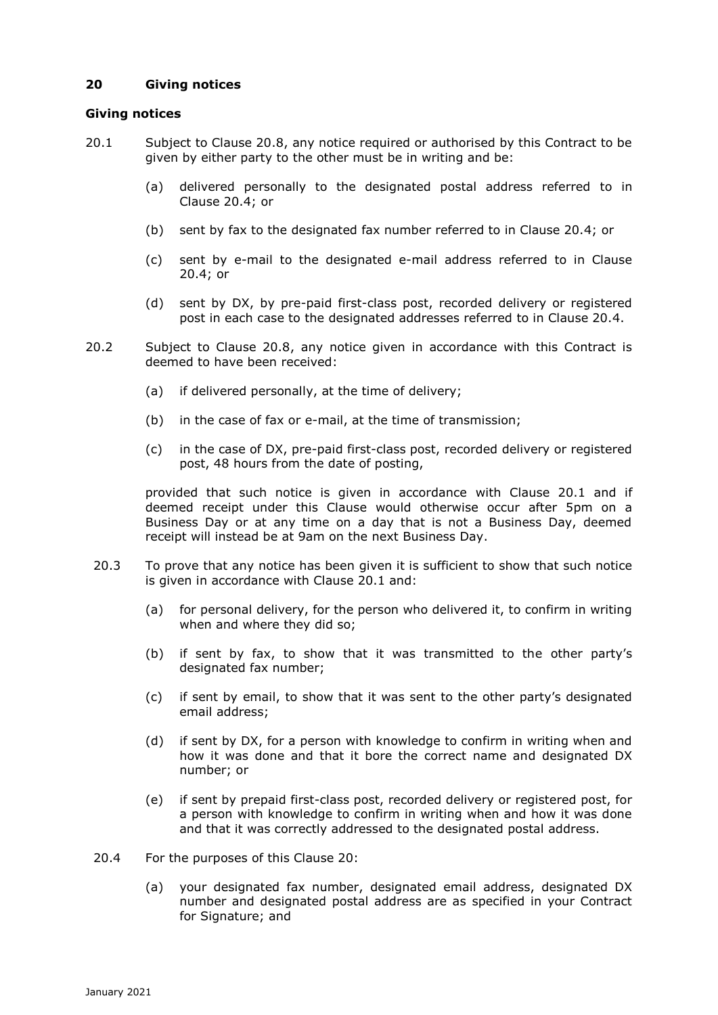# **20 Giving notices**

### **Giving notices**

- 20.1 Subject to Clause 20.8, any notice required or authorised by this Contract to be given by either party to the other must be in writing and be:
	- (a) delivered personally to the designated postal address referred to in Clause 20.4; or
	- (b) sent by fax to the designated fax number referred to in Clause 20.4; or
	- (c) sent by e-mail to the designated e-mail address referred to in Clause 20.4; or
	- (d) sent by DX, by pre-paid first-class post, recorded delivery or registered post in each case to the designated addresses referred to in Clause 20.4.
- 20.2 Subject to Clause 20.8, any notice given in accordance with this Contract is deemed to have been received:
	- (a) if delivered personally, at the time of delivery;
	- (b) in the case of fax or e-mail, at the time of transmission;
	- (c) in the case of DX, pre-paid first-class post, recorded delivery or registered post, 48 hours from the date of posting,

provided that such notice is given in accordance with Clause 20.1 and if deemed receipt under this Clause would otherwise occur after 5pm on a Business Day or at any time on a day that is not a Business Day, deemed receipt will instead be at 9am on the next Business Day.

- 20.3 To prove that any notice has been given it is sufficient to show that such notice is given in accordance with Clause 20.1 and:
	- (a) for personal delivery, for the person who delivered it, to confirm in writing when and where they did so;
	- (b) if sent by fax, to show that it was transmitted to the other party's designated fax number;
	- (c) if sent by email, to show that it was sent to the other party's designated email address;
	- (d) if sent by DX, for a person with knowledge to confirm in writing when and how it was done and that it bore the correct name and designated DX number; or
	- (e) if sent by prepaid first-class post, recorded delivery or registered post, for a person with knowledge to confirm in writing when and how it was done and that it was correctly addressed to the designated postal address.
- 20.4 For the purposes of this Clause 20:
	- (a) your designated fax number, designated email address, designated DX number and designated postal address are as specified in your Contract for Signature; and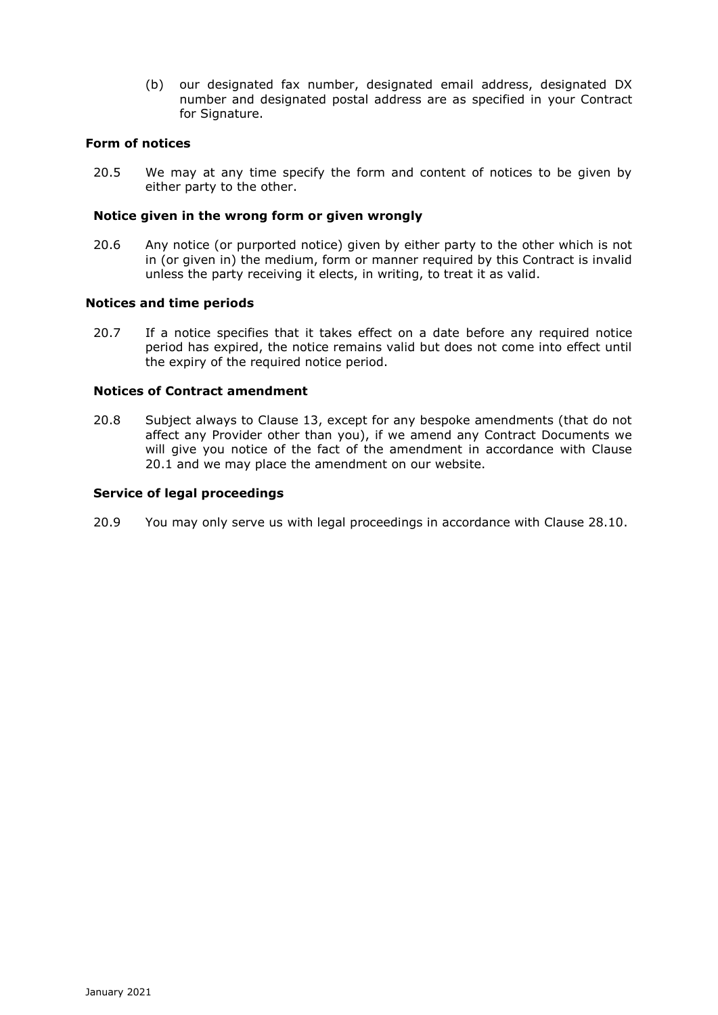(b) our designated fax number, designated email address, designated DX number and designated postal address are as specified in your Contract for Signature.

#### **Form of notices**

20.5 We may at any time specify the form and content of notices to be given by either party to the other.

#### **Notice given in the wrong form or given wrongly**

20.6 Any notice (or purported notice) given by either party to the other which is not in (or given in) the medium, form or manner required by this Contract is invalid unless the party receiving it elects, in writing, to treat it as valid.

#### **Notices and time periods**

20.7 If a notice specifies that it takes effect on a date before any required notice period has expired, the notice remains valid but does not come into effect until the expiry of the required notice period.

### **Notices of Contract amendment**

20.8 Subject always to Clause 13, except for any bespoke amendments (that do not affect any Provider other than you), if we amend any Contract Documents we will give you notice of the fact of the amendment in accordance with Clause 20.1 and we may place the amendment on our website.

#### **Service of legal proceedings**

20.9 You may only serve us with legal proceedings in accordance with Clause 28.10.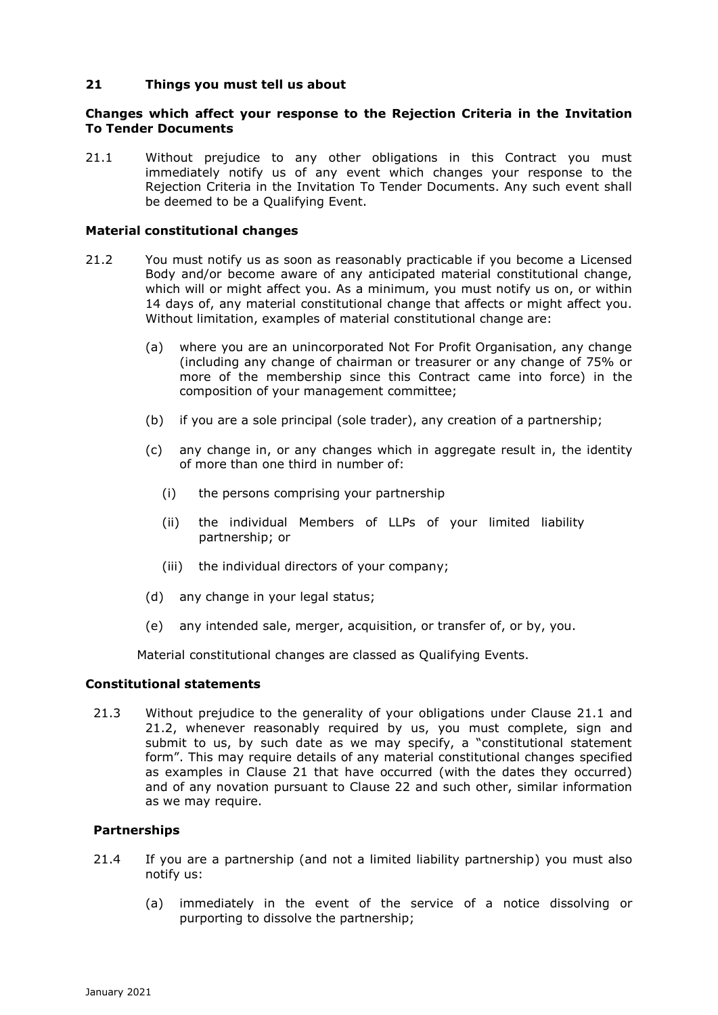### **21 Things you must tell us about**

### **Changes which affect your response to the Rejection Criteria in the Invitation To Tender Documents**

21.1 Without prejudice to any other obligations in this Contract you must immediately notify us of any event which changes your response to the Rejection Criteria in the Invitation To Tender Documents. Any such event shall be deemed to be a Qualifying Event.

### **Material constitutional changes**

- 21.2 You must notify us as soon as reasonably practicable if you become a Licensed Body and/or become aware of any anticipated material constitutional change, which will or might affect you. As a minimum, you must notify us on, or within 14 days of, any material constitutional change that affects or might affect you. Without limitation, examples of material constitutional change are:
	- (a) where you are an unincorporated Not For Profit Organisation, any change (including any change of chairman or treasurer or any change of 75% or more of the membership since this Contract came into force) in the composition of your management committee;
	- (b) if you are a sole principal (sole trader), any creation of a partnership;
	- (c) any change in, or any changes which in aggregate result in, the identity of more than one third in number of:
		- (i) the persons comprising your partnership
		- (ii) the individual Members of LLPs of your limited liability partnership; or
		- (iii) the individual directors of your company;
	- (d) any change in your legal status;
	- (e) any intended sale, merger, acquisition, or transfer of, or by, you.

Material constitutional changes are classed as Qualifying Events.

### **Constitutional statements**

21.3 Without prejudice to the generality of your obligations under Clause 21.1 and 21.2, whenever reasonably required by us, you must complete, sign and submit to us, by such date as we may specify, a "constitutional statement form". This may require details of any material constitutional changes specified as examples in Clause 21 that have occurred (with the dates they occurred) and of any novation pursuant to Clause 22 and such other, similar information as we may require.

### **Partnerships**

- 21.4 If you are a partnership (and not a limited liability partnership) you must also notify us:
	- (a) immediately in the event of the service of a notice dissolving or purporting to dissolve the partnership;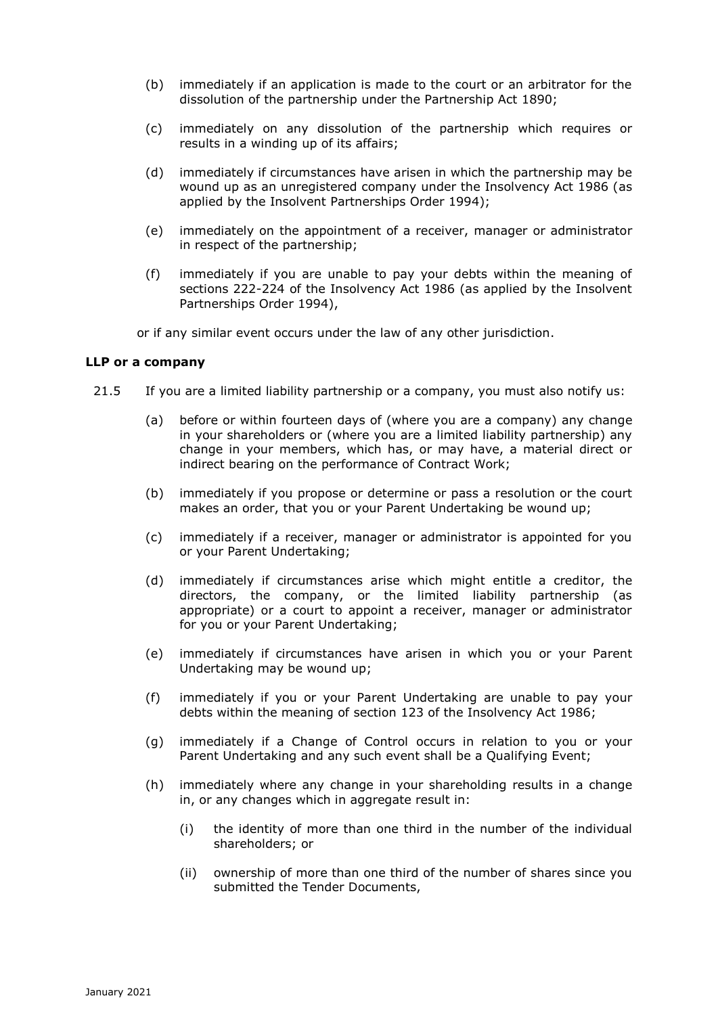- (b) immediately if an application is made to the court or an arbitrator for the dissolution of the partnership under the Partnership Act 1890;
- (c) immediately on any dissolution of the partnership which requires or results in a winding up of its affairs;
- (d) immediately if circumstances have arisen in which the partnership may be wound up as an unregistered company under the Insolvency Act 1986 (as applied by the Insolvent Partnerships Order 1994);
- (e) immediately on the appointment of a receiver, manager or administrator in respect of the partnership;
- (f) immediately if you are unable to pay your debts within the meaning of sections 222-224 of the Insolvency Act 1986 (as applied by the Insolvent Partnerships Order 1994),

or if any similar event occurs under the law of any other jurisdiction.

#### **LLP or a company**

- 21.5 If you are a limited liability partnership or a company, you must also notify us:
	- (a) before or within fourteen days of (where you are a company) any change in your shareholders or (where you are a limited liability partnership) any change in your members, which has, or may have, a material direct or indirect bearing on the performance of Contract Work;
	- (b) immediately if you propose or determine or pass a resolution or the court makes an order, that you or your Parent Undertaking be wound up;
	- (c) immediately if a receiver, manager or administrator is appointed for you or your Parent Undertaking;
	- (d) immediately if circumstances arise which might entitle a creditor, the directors, the company, or the limited liability partnership (as appropriate) or a court to appoint a receiver, manager or administrator for you or your Parent Undertaking;
	- (e) immediately if circumstances have arisen in which you or your Parent Undertaking may be wound up;
	- (f) immediately if you or your Parent Undertaking are unable to pay your debts within the meaning of section 123 of the Insolvency Act 1986;
	- (g) immediately if a Change of Control occurs in relation to you or your Parent Undertaking and any such event shall be a Qualifying Event;
	- (h) immediately where any change in your shareholding results in a change in, or any changes which in aggregate result in:
		- (i) the identity of more than one third in the number of the individual shareholders; or
		- (ii) ownership of more than one third of the number of shares since you submitted the Tender Documents,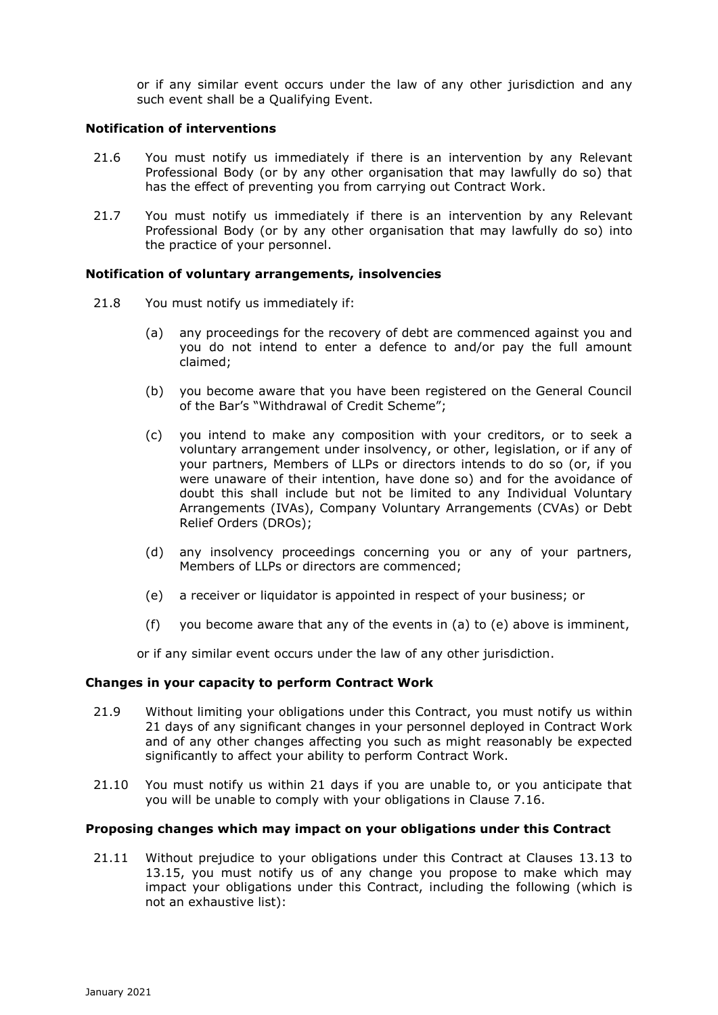or if any similar event occurs under the law of any other jurisdiction and any such event shall be a Qualifying Event.

#### **Notification of interventions**

- 21.6 You must notify us immediately if there is an intervention by any Relevant Professional Body (or by any other organisation that may lawfully do so) that has the effect of preventing you from carrying out Contract Work.
- 21.7 You must notify us immediately if there is an intervention by any Relevant Professional Body (or by any other organisation that may lawfully do so) into the practice of your personnel.

### **Notification of voluntary arrangements, insolvencies**

- 21.8 You must notify us immediately if:
	- (a) any proceedings for the recovery of debt are commenced against you and you do not intend to enter a defence to and/or pay the full amount claimed;
	- (b) you become aware that you have been registered on the General Council of the Bar's "Withdrawal of Credit Scheme";
	- (c) you intend to make any composition with your creditors, or to seek a voluntary arrangement under insolvency, or other, legislation, or if any of your partners, Members of LLPs or directors intends to do so (or, if you were unaware of their intention, have done so) and for the avoidance of doubt this shall include but not be limited to any Individual Voluntary Arrangements (IVAs), Company Voluntary Arrangements (CVAs) or Debt Relief Orders (DROs);
	- (d) any insolvency proceedings concerning you or any of your partners, Members of LLPs or directors are commenced;
	- (e) a receiver or liquidator is appointed in respect of your business; or
	- (f) you become aware that any of the events in (a) to (e) above is imminent,

or if any similar event occurs under the law of any other jurisdiction.

### **Changes in your capacity to perform Contract Work**

- 21.9 Without limiting your obligations under this Contract, you must notify us within 21 days of any significant changes in your personnel deployed in Contract Work and of any other changes affecting you such as might reasonably be expected significantly to affect your ability to perform Contract Work.
- 21.10 You must notify us within 21 days if you are unable to, or you anticipate that you will be unable to comply with your obligations in Clause 7.16.

#### **Proposing changes which may impact on your obligations under this Contract**

21.11 Without prejudice to your obligations under this Contract at Clauses 13.13 to 13.15, you must notify us of any change you propose to make which may impact your obligations under this Contract, including the following (which is not an exhaustive list):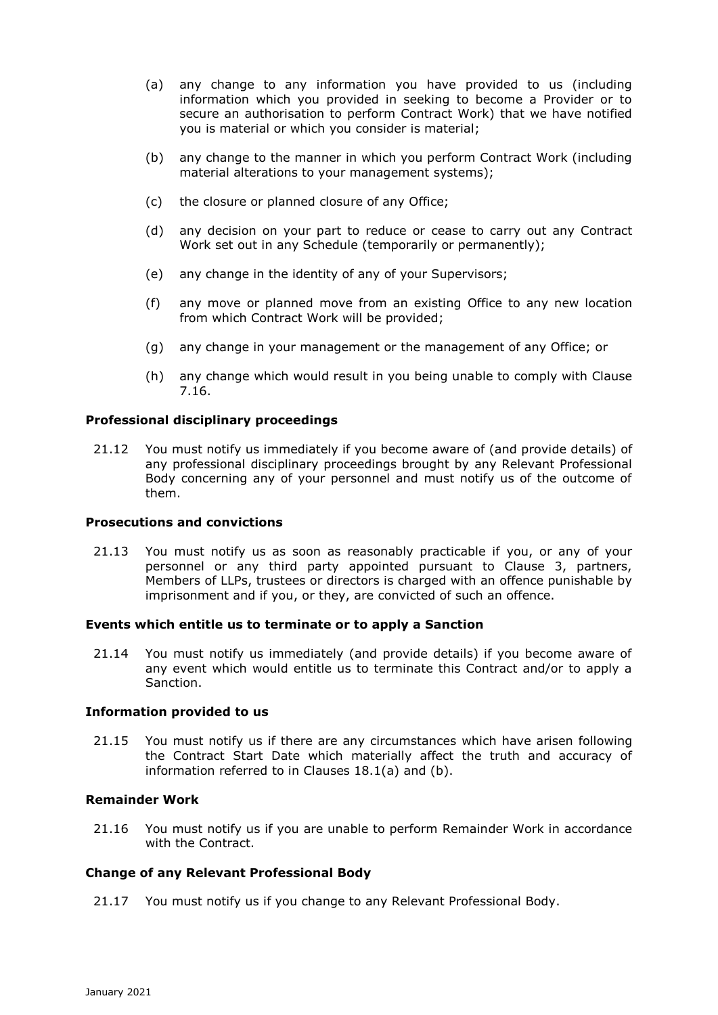- (a) any change to any information you have provided to us (including information which you provided in seeking to become a Provider or to secure an authorisation to perform Contract Work) that we have notified you is material or which you consider is material;
- (b) any change to the manner in which you perform Contract Work (including material alterations to your management systems);
- (c) the closure or planned closure of any Office;
- (d) any decision on your part to reduce or cease to carry out any Contract Work set out in any Schedule (temporarily or permanently);
- (e) any change in the identity of any of your Supervisors;
- (f) any move or planned move from an existing Office to any new location from which Contract Work will be provided;
- (g) any change in your management or the management of any Office; or
- (h) any change which would result in you being unable to comply with Clause 7.16.

# **Professional disciplinary proceedings**

21.12 You must notify us immediately if you become aware of (and provide details) of any professional disciplinary proceedings brought by any Relevant Professional Body concerning any of your personnel and must notify us of the outcome of them.

# **Prosecutions and convictions**

21.13 You must notify us as soon as reasonably practicable if you, or any of your personnel or any third party appointed pursuant to Clause 3, partners, Members of LLPs, trustees or directors is charged with an offence punishable by imprisonment and if you, or they, are convicted of such an offence.

### **Events which entitle us to terminate or to apply a Sanction**

21.14 You must notify us immediately (and provide details) if you become aware of any event which would entitle us to terminate this Contract and/or to apply a Sanction.

### **Information provided to us**

21.15 You must notify us if there are any circumstances which have arisen following the Contract Start Date which materially affect the truth and accuracy of information referred to in Clauses 18.1(a) and (b).

# **Remainder Work**

21.16 You must notify us if you are unable to perform Remainder Work in accordance with the Contract.

### **Change of any Relevant Professional Body**

21.17 You must notify us if you change to any Relevant Professional Body.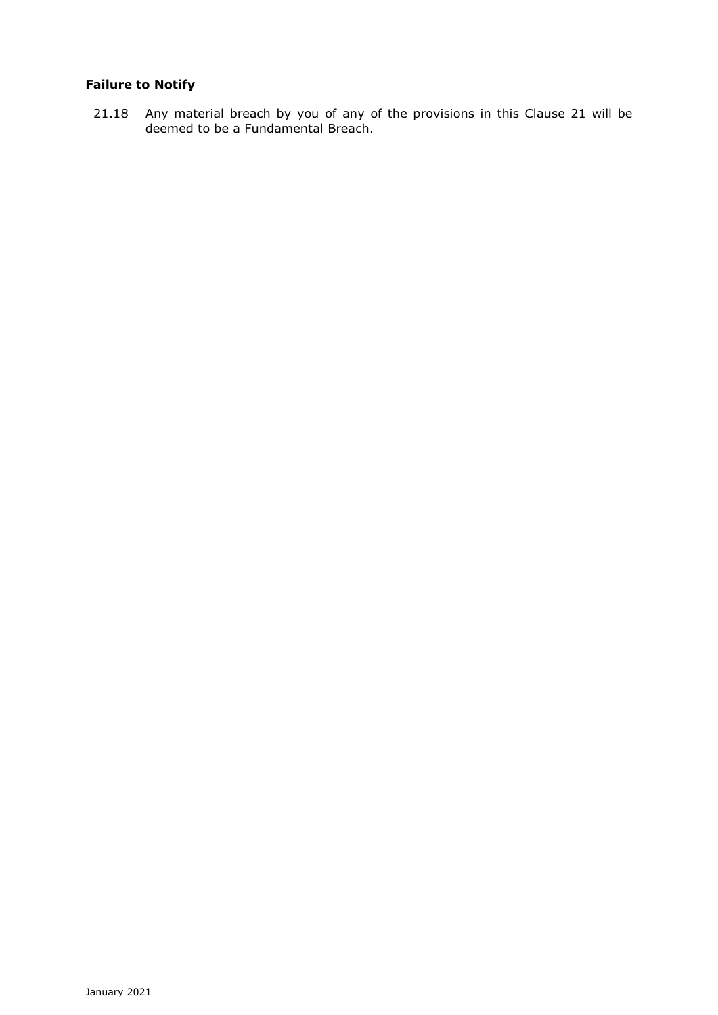# **Failure to Notify**

21.18 Any material breach by you of any of the provisions in this Clause 21 will be deemed to be a Fundamental Breach.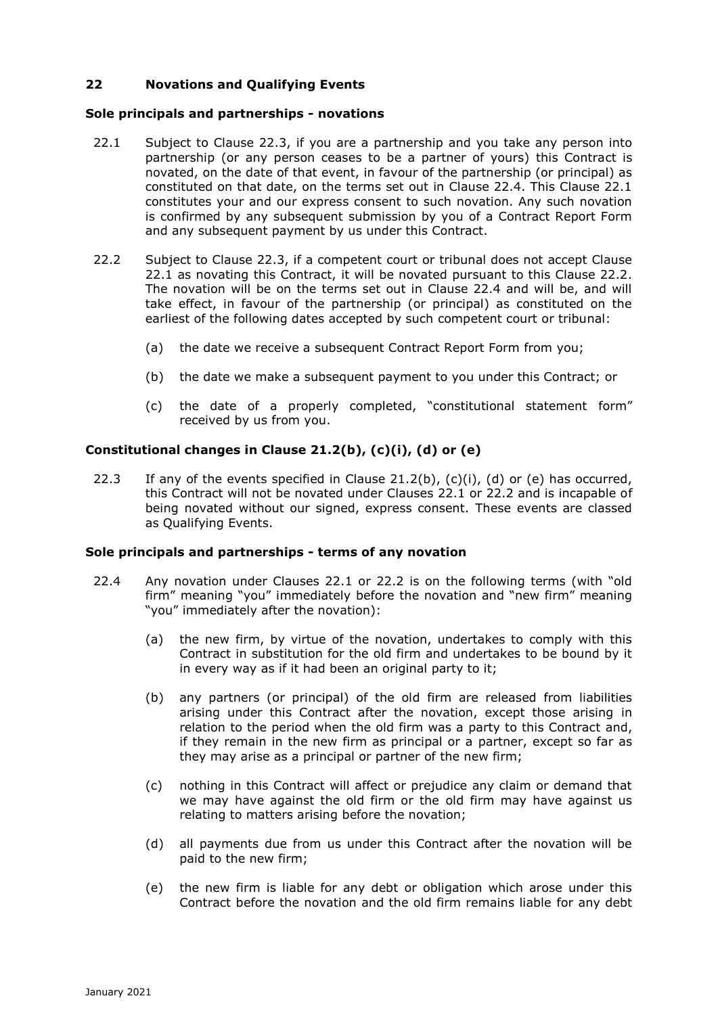# **22 Novations and Qualifying Events**

### **Sole principals and partnerships - novations**

- 22.1 Subject to Clause 22.3, if you are a partnership and you take any person into partnership (or any person ceases to be a partner of yours) this Contract is novated, on the date of that event, in favour of the partnership (or principal) as constituted on that date, on the terms set out in Clause 22.4. This Clause 22.1 constitutes your and our express consent to such novation. Any such novation is confirmed by any subsequent submission by you of a Contract Report Form and any subsequent payment by us under this Contract.
- 22.2 Subject to Clause 22.3, if a competent court or tribunal does not accept Clause 22.1 as novating this Contract, it will be novated pursuant to this Clause 22.2. The novation will be on the terms set out in Clause 22.4 and will be, and will take effect, in favour of the partnership (or principal) as constituted on the earliest of the following dates accepted by such competent court or tribunal:
	- (a) the date we receive a subsequent Contract Report Form from you;
	- (b) the date we make a subsequent payment to you under this Contract; or
	- (c) the date of a properly completed, "constitutional statement form" received by us from you.

#### **Constitutional changes in Clause 21.2(b), (c)(i), (d) or (e)**

22.3 If any of the events specified in Clause 21.2(b),  $(c)(i)$ ,  $(d)$  or  $(e)$  has occurred, this Contract will not be novated under Clauses 22.1 or 22.2 and is incapable of being novated without our signed, express consent. These events are classed as Qualifying Events.

#### **Sole principals and partnerships - terms of any novation**

- 22.4 Any novation under Clauses 22.1 or 22.2 is on the following terms (with "old firm" meaning "you" immediately before the novation and "new firm" meaning "you" immediately after the novation):
	- (a) the new firm, by virtue of the novation, undertakes to comply with this Contract in substitution for the old firm and undertakes to be bound by it in every way as if it had been an original party to it;
	- (b) any partners (or principal) of the old firm are released from liabilities arising under this Contract after the novation, except those arising in relation to the period when the old firm was a party to this Contract and, if they remain in the new firm as principal or a partner, except so far as they may arise as a principal or partner of the new firm;
	- (c) nothing in this Contract will affect or prejudice any claim or demand that we may have against the old firm or the old firm may have against us relating to matters arising before the novation;
	- (d) all payments due from us under this Contract after the novation will be paid to the new firm;
	- (e) the new firm is liable for any debt or obligation which arose under this Contract before the novation and the old firm remains liable for any debt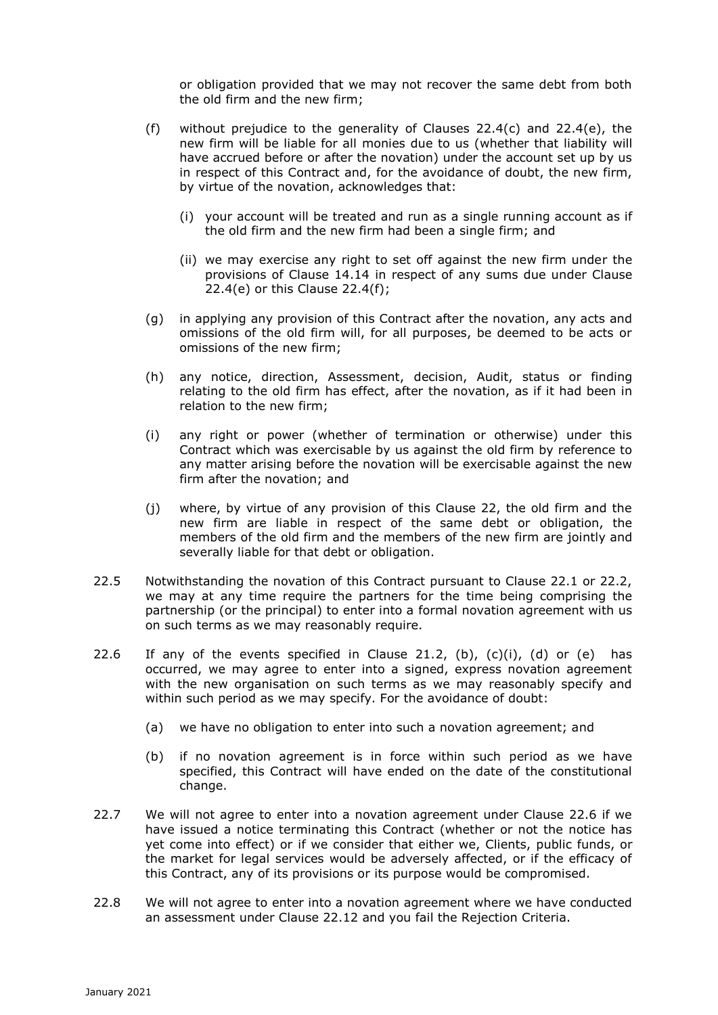or obligation provided that we may not recover the same debt from both the old firm and the new firm;

- (f) without prejudice to the generality of Clauses  $22.4(c)$  and  $22.4(e)$ , the new firm will be liable for all monies due to us (whether that liability will have accrued before or after the novation) under the account set up by us in respect of this Contract and, for the avoidance of doubt, the new firm, by virtue of the novation, acknowledges that:
	- (i) your account will be treated and run as a single running account as if the old firm and the new firm had been a single firm; and
	- (ii) we may exercise any right to set off against the new firm under the provisions of Clause 14.14 in respect of any sums due under Clause 22.4(e) or this Clause 22.4(f);
- (g) in applying any provision of this Contract after the novation, any acts and omissions of the old firm will, for all purposes, be deemed to be acts or omissions of the new firm;
- (h) any notice, direction, Assessment, decision, Audit, status or finding relating to the old firm has effect, after the novation, as if it had been in relation to the new firm;
- (i) any right or power (whether of termination or otherwise) under this Contract which was exercisable by us against the old firm by reference to any matter arising before the novation will be exercisable against the new firm after the novation; and
- (j) where, by virtue of any provision of this Clause 22, the old firm and the new firm are liable in respect of the same debt or obligation, the members of the old firm and the members of the new firm are jointly and severally liable for that debt or obligation.
- 22.5 Notwithstanding the novation of this Contract pursuant to Clause 22.1 or 22.2, we may at any time require the partners for the time being comprising the partnership (or the principal) to enter into a formal novation agreement with us on such terms as we may reasonably require.
- 22.6 If any of the events specified in Clause 21.2, (b),  $(c)(i)$ ,  $(d)$  or  $(e)$  has occurred, we may agree to enter into a signed, express novation agreement with the new organisation on such terms as we may reasonably specify and within such period as we may specify. For the avoidance of doubt:
	- (a) we have no obligation to enter into such a novation agreement; and
	- (b) if no novation agreement is in force within such period as we have specified, this Contract will have ended on the date of the constitutional change.
- 22.7 We will not agree to enter into a novation agreement under Clause 22.6 if we have issued a notice terminating this Contract (whether or not the notice has yet come into effect) or if we consider that either we, Clients, public funds, or the market for legal services would be adversely affected, or if the efficacy of this Contract, any of its provisions or its purpose would be compromised.
- 22.8 We will not agree to enter into a novation agreement where we have conducted an assessment under Clause 22.12 and you fail the Rejection Criteria.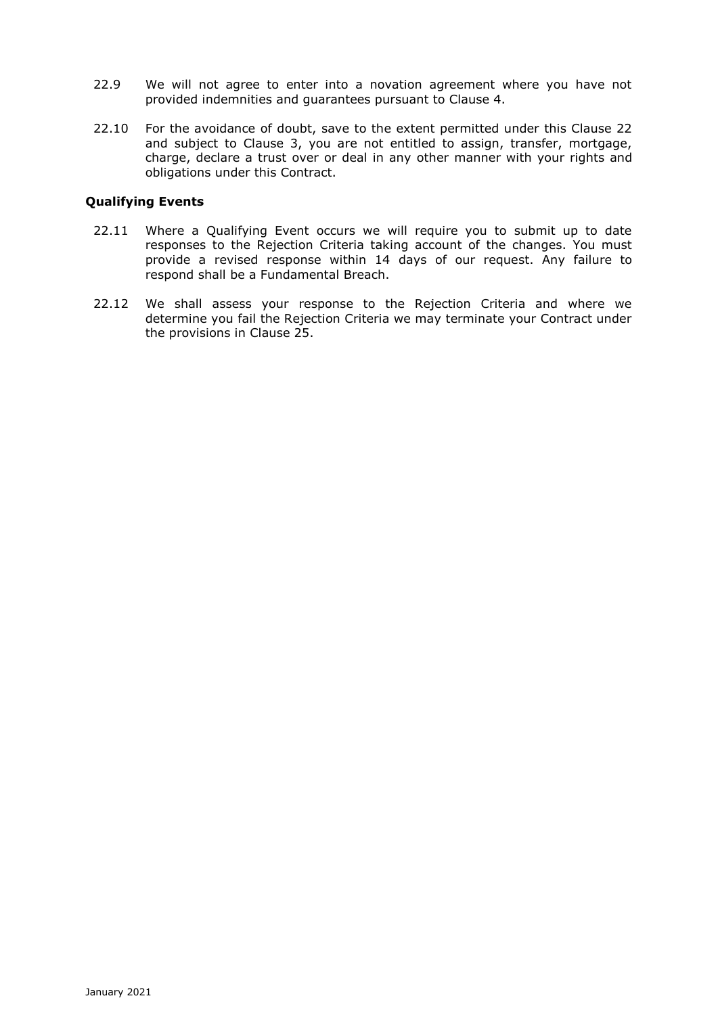- 22.9 We will not agree to enter into a novation agreement where you have not provided indemnities and guarantees pursuant to Clause 4.
- 22.10 For the avoidance of doubt, save to the extent permitted under this Clause 22 and subject to Clause 3, you are not entitled to assign, transfer, mortgage, charge, declare a trust over or deal in any other manner with your rights and obligations under this Contract.

# **Qualifying Events**

- 22.11 Where a Qualifying Event occurs we will require you to submit up to date responses to the Rejection Criteria taking account of the changes. You must provide a revised response within 14 days of our request. Any failure to respond shall be a Fundamental Breach.
- 22.12 We shall assess your response to the Rejection Criteria and where we determine you fail the Rejection Criteria we may terminate your Contract under the provisions in Clause 25.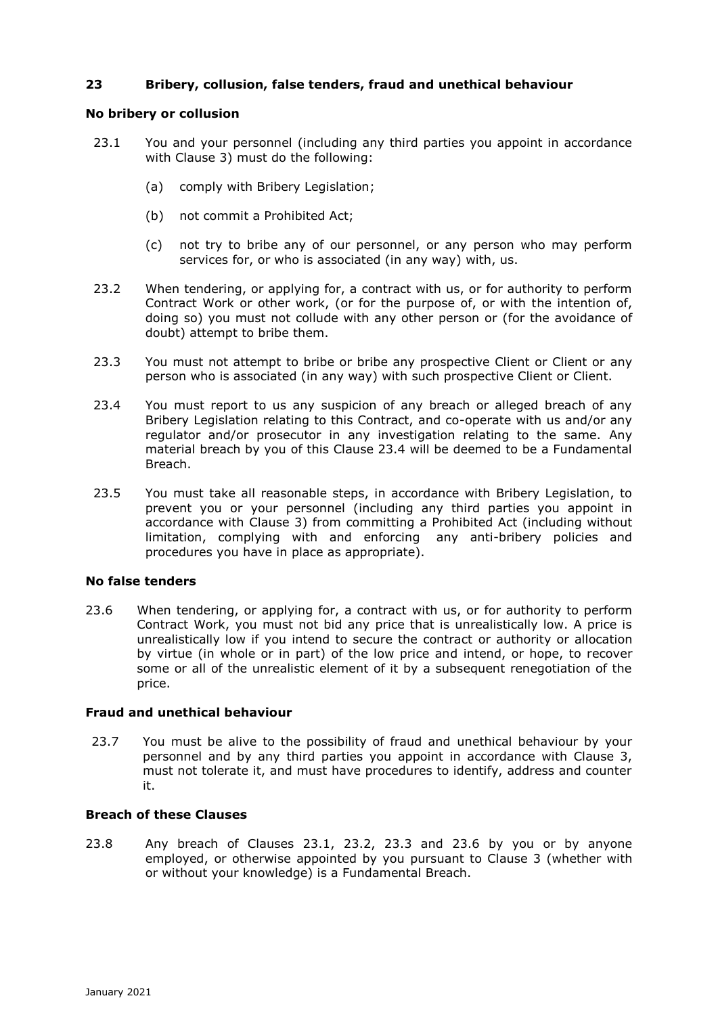# **23 Bribery, collusion, false tenders, fraud and unethical behaviour**

### **No bribery or collusion**

- 23.1 You and your personnel (including any third parties you appoint in accordance with Clause 3) must do the following:
	- (a) comply with Bribery Legislation;
	- (b) not commit a Prohibited Act;
	- (c) not try to bribe any of our personnel, or any person who may perform services for, or who is associated (in any way) with, us.
- 23.2 When tendering, or applying for, a contract with us, or for authority to perform Contract Work or other work, (or for the purpose of, or with the intention of, doing so) you must not collude with any other person or (for the avoidance of doubt) attempt to bribe them.
- 23.3 You must not attempt to bribe or bribe any prospective Client or Client or any person who is associated (in any way) with such prospective Client or Client.
- 23.4 You must report to us any suspicion of any breach or alleged breach of any Bribery Legislation relating to this Contract, and co-operate with us and/or any regulator and/or prosecutor in any investigation relating to the same. Any material breach by you of this Clause 23.4 will be deemed to be a Fundamental Breach.
- 23.5 You must take all reasonable steps, in accordance with Bribery Legislation, to prevent you or your personnel (including any third parties you appoint in accordance with Clause 3) from committing a Prohibited Act (including without limitation, complying with and enforcing any anti-bribery policies and procedures you have in place as appropriate).

#### **No false tenders**

23.6 When tendering, or applying for, a contract with us, or for authority to perform Contract Work, you must not bid any price that is unrealistically low. A price is unrealistically low if you intend to secure the contract or authority or allocation by virtue (in whole or in part) of the low price and intend, or hope, to recover some or all of the unrealistic element of it by a subsequent renegotiation of the price.

#### **Fraud and unethical behaviour**

23.7 You must be alive to the possibility of fraud and unethical behaviour by your personnel and by any third parties you appoint in accordance with Clause 3, must not tolerate it, and must have procedures to identify, address and counter it.

# **Breach of these Clauses**

23.8 Any breach of Clauses 23.1, 23.2, 23.3 and 23.6 by you or by anyone employed, or otherwise appointed by you pursuant to Clause 3 (whether with or without your knowledge) is a Fundamental Breach.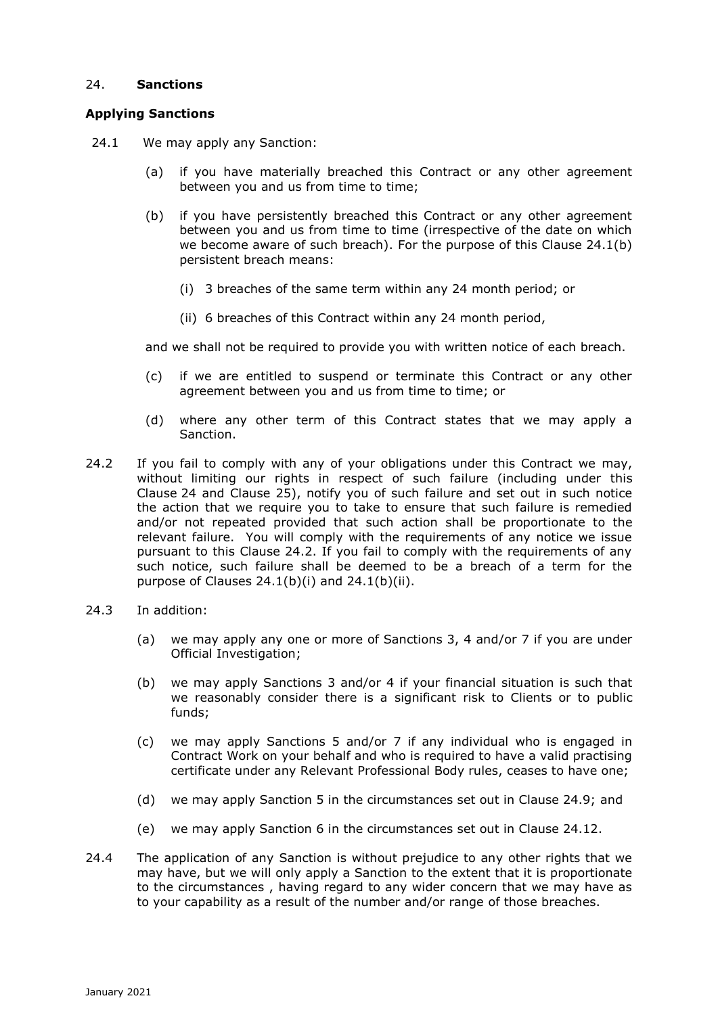# 24. **Sanctions**

# **Applying Sanctions**

- 24.1 We may apply any Sanction:
	- (a) if you have materially breached this Contract or any other agreement between you and us from time to time;
	- (b) if you have persistently breached this Contract or any other agreement between you and us from time to time (irrespective of the date on which we become aware of such breach). For the purpose of this Clause 24.1(b) persistent breach means:
		- (i) 3 breaches of the same term within any 24 month period; or
		- (ii) 6 breaches of this Contract within any 24 month period,

and we shall not be required to provide you with written notice of each breach.

- (c) if we are entitled to suspend or terminate this Contract or any other agreement between you and us from time to time; or
- (d) where any other term of this Contract states that we may apply a Sanction.
- 24.2 If you fail to comply with any of your obligations under this Contract we may, without limiting our rights in respect of such failure (including under this Clause 24 and Clause 25), notify you of such failure and set out in such notice the action that we require you to take to ensure that such failure is remedied and/or not repeated provided that such action shall be proportionate to the relevant failure. You will comply with the requirements of any notice we issue pursuant to this Clause 24.2. If you fail to comply with the requirements of any such notice, such failure shall be deemed to be a breach of a term for the purpose of Clauses  $24.1(b)(i)$  and  $24.1(b)(ii)$ .
- 24.3 In addition:
	- (a) we may apply any one or more of Sanctions 3, 4 and/or 7 if you are under Official Investigation;
	- (b) we may apply Sanctions 3 and/or 4 if your financial situation is such that we reasonably consider there is a significant risk to Clients or to public funds;
	- (c) we may apply Sanctions 5 and/or 7 if any individual who is engaged in Contract Work on your behalf and who is required to have a valid practising certificate under any Relevant Professional Body rules, ceases to have one;
	- (d) we may apply Sanction 5 in the circumstances set out in Clause 24.9; and
	- (e) we may apply Sanction 6 in the circumstances set out in Clause 24.12.
- 24.4 The application of any Sanction is without prejudice to any other rights that we may have, but we will only apply a Sanction to the extent that it is proportionate to the circumstances , having regard to any wider concern that we may have as to your capability as a result of the number and/or range of those breaches.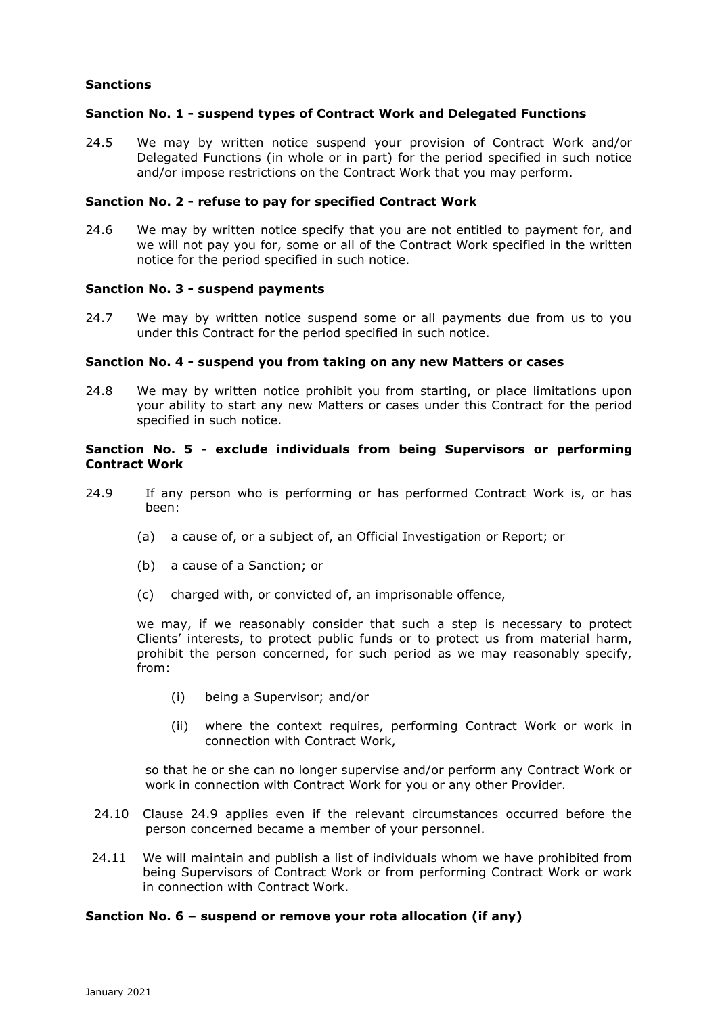# **Sanctions**

### **Sanction No. 1 - suspend types of Contract Work and Delegated Functions**

24.5 We may by written notice suspend your provision of Contract Work and/or Delegated Functions (in whole or in part) for the period specified in such notice and/or impose restrictions on the Contract Work that you may perform.

### **Sanction No. 2 - refuse to pay for specified Contract Work**

24.6 We may by written notice specify that you are not entitled to payment for, and we will not pay you for, some or all of the Contract Work specified in the written notice for the period specified in such notice.

### **Sanction No. 3 - suspend payments**

24.7 We may by written notice suspend some or all payments due from us to you under this Contract for the period specified in such notice.

### **Sanction No. 4 - suspend you from taking on any new Matters or cases**

24.8 We may by written notice prohibit you from starting, or place limitations upon your ability to start any new Matters or cases under this Contract for the period specified in such notice.

### **Sanction No. 5 - exclude individuals from being Supervisors or performing Contract Work**

- 24.9 If any person who is performing or has performed Contract Work is, or has been:
	- (a) a cause of, or a subject of, an Official Investigation or Report; or
	- (b) a cause of a Sanction; or
	- (c) charged with, or convicted of, an imprisonable offence,

we may, if we reasonably consider that such a step is necessary to protect Clients' interests, to protect public funds or to protect us from material harm, prohibit the person concerned, for such period as we may reasonably specify, from:

- (i) being a Supervisor; and/or
- (ii) where the context requires, performing Contract Work or work in connection with Contract Work,

so that he or she can no longer supervise and/or perform any Contract Work or work in connection with Contract Work for you or any other Provider.

- 24.10 Clause 24.9 applies even if the relevant circumstances occurred before the person concerned became a member of your personnel.
- 24.11 We will maintain and publish a list of individuals whom we have prohibited from being Supervisors of Contract Work or from performing Contract Work or work in connection with Contract Work.

## **Sanction No. 6 – suspend or remove your rota allocation (if any)**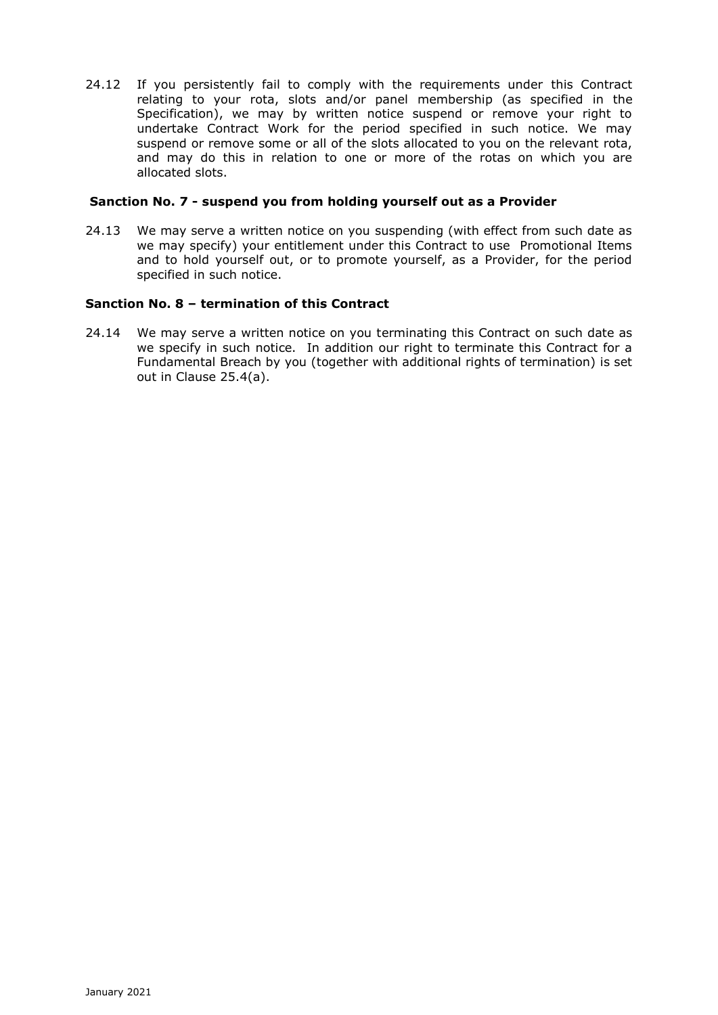24.12 If you persistently fail to comply with the requirements under this Contract relating to your rota, slots and/or panel membership (as specified in the Specification), we may by written notice suspend or remove your right to undertake Contract Work for the period specified in such notice. We may suspend or remove some or all of the slots allocated to you on the relevant rota, and may do this in relation to one or more of the rotas on which you are allocated slots.

### **Sanction No. 7 - suspend you from holding yourself out as a Provider**

24.13 We may serve a written notice on you suspending (with effect from such date as we may specify) your entitlement under this Contract to use Promotional Items and to hold yourself out, or to promote yourself, as a Provider, for the period specified in such notice.

## **Sanction No. 8 – termination of this Contract**

24.14 We may serve a written notice on you terminating this Contract on such date as we specify in such notice. In addition our right to terminate this Contract for a Fundamental Breach by you (together with additional rights of termination) is set out in Clause 25.4(a).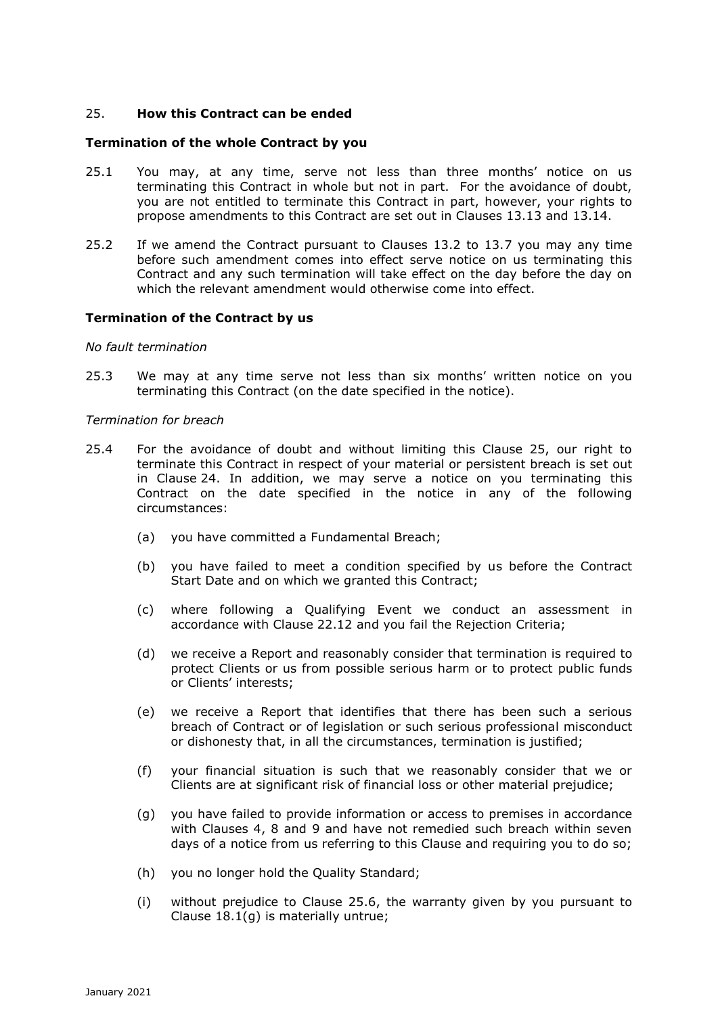# 25. **How this Contract can be ended**

### **Termination of the whole Contract by you**

- 25.1 You may, at any time, serve not less than three months' notice on us terminating this Contract in whole but not in part. For the avoidance of doubt, you are not entitled to terminate this Contract in part, however, your rights to propose amendments to this Contract are set out in Clauses 13.13 and 13.14.
- 25.2 If we amend the Contract pursuant to Clauses 13.2 to 13.7 you may any time before such amendment comes into effect serve notice on us terminating this Contract and any such termination will take effect on the day before the day on which the relevant amendment would otherwise come into effect.

### **Termination of the Contract by us**

#### *No fault termination*

25.3 We may at any time serve not less than six months' written notice on you terminating this Contract (on the date specified in the notice).

#### *Termination for breach*

- 25.4 For the avoidance of doubt and without limiting this Clause 25, our right to terminate this Contract in respect of your material or persistent breach is set out in Clause 24. In addition, we may serve a notice on you terminating this Contract on the date specified in the notice in any of the following circumstances:
	- (a) you have committed a Fundamental Breach;
	- (b) you have failed to meet a condition specified by us before the Contract Start Date and on which we granted this Contract;
	- (c) where following a Qualifying Event we conduct an assessment in accordance with Clause 22.12 and you fail the Rejection Criteria;
	- (d) we receive a Report and reasonably consider that termination is required to protect Clients or us from possible serious harm or to protect public funds or Clients' interests;
	- (e) we receive a Report that identifies that there has been such a serious breach of Contract or of legislation or such serious professional misconduct or dishonesty that, in all the circumstances, termination is justified;
	- (f) your financial situation is such that we reasonably consider that we or Clients are at significant risk of financial loss or other material prejudice;
	- (g) you have failed to provide information or access to premises in accordance with Clauses 4, 8 and 9 and have not remedied such breach within seven days of a notice from us referring to this Clause and requiring you to do so;
	- (h) you no longer hold the Quality Standard;
	- (i) without prejudice to Clause 25.6, the warranty given by you pursuant to Clause 18.1(g) is materially untrue;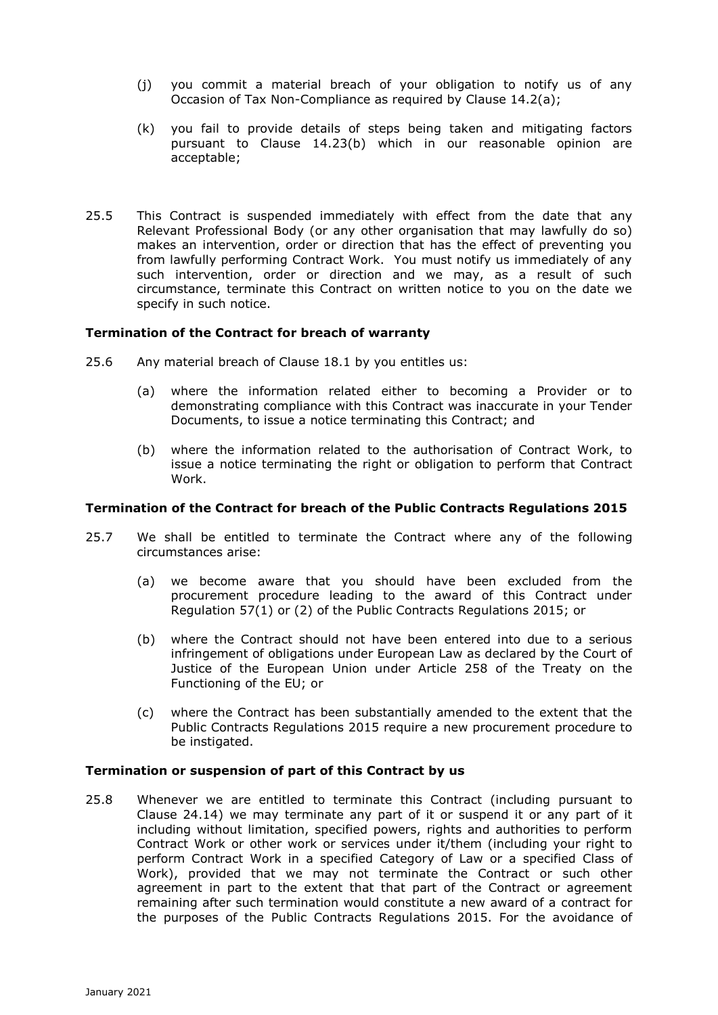- (j) you commit a material breach of your obligation to notify us of any Occasion of Tax Non-Compliance as required by Clause 14.2(a);
- (k) you fail to provide details of steps being taken and mitigating factors pursuant to Clause 14.23(b) which in our reasonable opinion are acceptable;
- 25.5 This Contract is suspended immediately with effect from the date that any Relevant Professional Body (or any other organisation that may lawfully do so) makes an intervention, order or direction that has the effect of preventing you from lawfully performing Contract Work. You must notify us immediately of any such intervention, order or direction and we may, as a result of such circumstance, terminate this Contract on written notice to you on the date we specify in such notice.

## **Termination of the Contract for breach of warranty**

- 25.6 Any material breach of Clause 18.1 by you entitles us:
	- (a) where the information related either to becoming a Provider or to demonstrating compliance with this Contract was inaccurate in your Tender Documents, to issue a notice terminating this Contract; and
	- (b) where the information related to the authorisation of Contract Work, to issue a notice terminating the right or obligation to perform that Contract Work.

## **Termination of the Contract for breach of the Public Contracts Regulations 2015**

- 25.7 We shall be entitled to terminate the Contract where any of the following circumstances arise:
	- (a) we become aware that you should have been excluded from the procurement procedure leading to the award of this Contract under Regulation 57(1) or (2) of the Public Contracts Regulations 2015; or
	- (b) where the Contract should not have been entered into due to a serious infringement of obligations under European Law as declared by the Court of Justice of the European Union under Article 258 of the Treaty on the Functioning of the EU; or
	- (c) where the Contract has been substantially amended to the extent that the Public Contracts Regulations 2015 require a new procurement procedure to be instigated.

# **Termination or suspension of part of this Contract by us**

25.8 Whenever we are entitled to terminate this Contract (including pursuant to Clause 24.14) we may terminate any part of it or suspend it or any part of it including without limitation, specified powers, rights and authorities to perform Contract Work or other work or services under it/them (including your right to perform Contract Work in a specified Category of Law or a specified Class of Work), provided that we may not terminate the Contract or such other agreement in part to the extent that that part of the Contract or agreement remaining after such termination would constitute a new award of a contract for the purposes of the Public Contracts Regulations 2015. For the avoidance of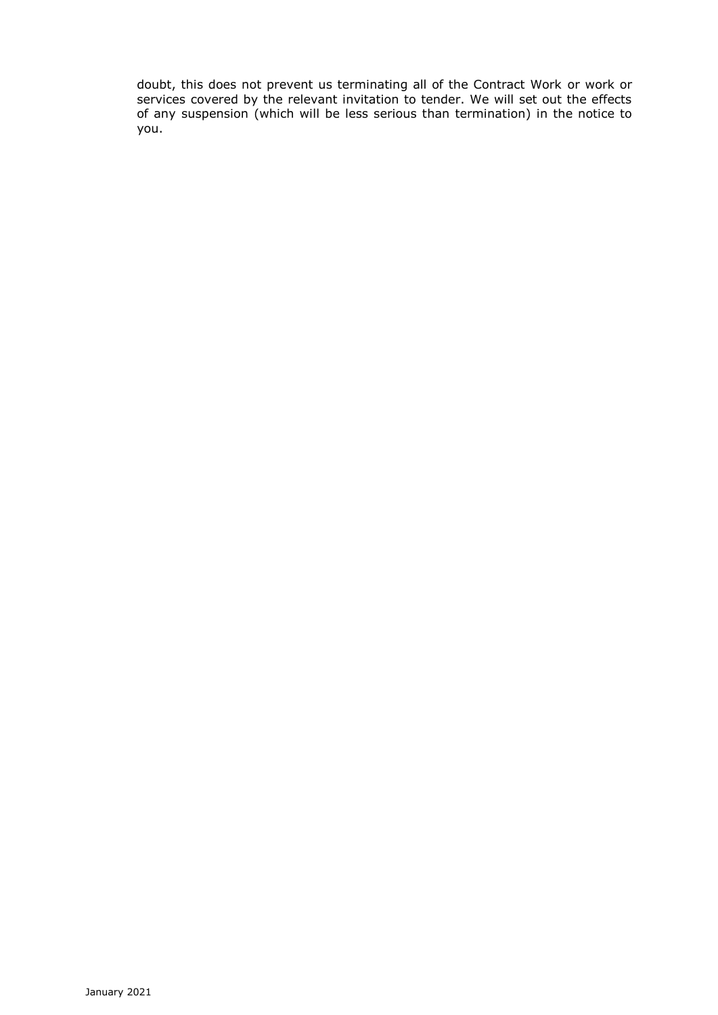doubt, this does not prevent us terminating all of the Contract Work or work or services covered by the relevant invitation to tender. We will set out the effects of any suspension (which will be less serious than termination) in the notice to you.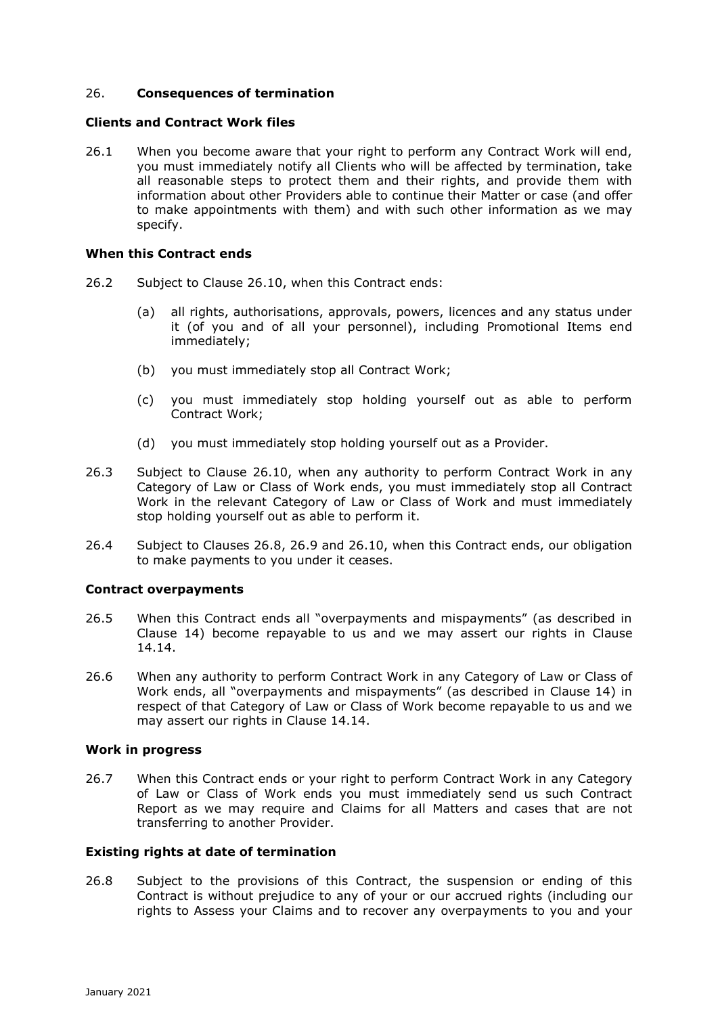# 26. **Consequences of termination**

### **Clients and Contract Work files**

26.1 When you become aware that your right to perform any Contract Work will end, you must immediately notify all Clients who will be affected by termination, take all reasonable steps to protect them and their rights, and provide them with information about other Providers able to continue their Matter or case (and offer to make appointments with them) and with such other information as we may specify.

### **When this Contract ends**

- 26.2 Subject to Clause 26.10, when this Contract ends:
	- (a) all rights, authorisations, approvals, powers, licences and any status under it (of you and of all your personnel), including Promotional Items end immediately;
	- (b) you must immediately stop all Contract Work;
	- (c) you must immediately stop holding yourself out as able to perform Contract Work;
	- (d) you must immediately stop holding yourself out as a Provider.
- 26.3 Subject to Clause 26.10, when any authority to perform Contract Work in any Category of Law or Class of Work ends, you must immediately stop all Contract Work in the relevant Category of Law or Class of Work and must immediately stop holding yourself out as able to perform it.
- 26.4 Subject to Clauses 26.8, 26.9 and 26.10, when this Contract ends, our obligation to make payments to you under it ceases.

## **Contract overpayments**

- 26.5 When this Contract ends all "overpayments and mispayments" (as described in Clause 14) become repayable to us and we may assert our rights in Clause 14.14.
- 26.6 When any authority to perform Contract Work in any Category of Law or Class of Work ends, all "overpayments and mispayments" (as described in Clause 14) in respect of that Category of Law or Class of Work become repayable to us and we may assert our rights in Clause 14.14.

#### **Work in progress**

26.7 When this Contract ends or your right to perform Contract Work in any Category of Law or Class of Work ends you must immediately send us such Contract Report as we may require and Claims for all Matters and cases that are not transferring to another Provider.

## **Existing rights at date of termination**

26.8 Subject to the provisions of this Contract, the suspension or ending of this Contract is without prejudice to any of your or our accrued rights (including our rights to Assess your Claims and to recover any overpayments to you and your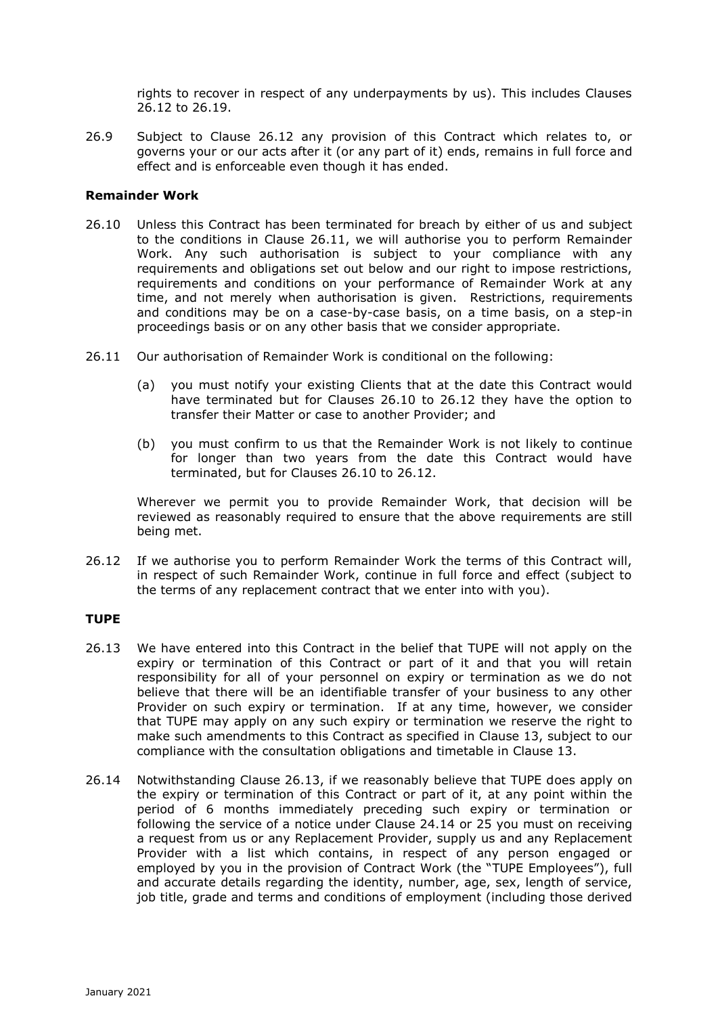rights to recover in respect of any underpayments by us). This includes Clauses 26.12 to 26.19.

26.9 Subject to Clause 26.12 any provision of this Contract which relates to, or governs your or our acts after it (or any part of it) ends, remains in full force and effect and is enforceable even though it has ended.

## **Remainder Work**

- 26.10 Unless this Contract has been terminated for breach by either of us and subject to the conditions in Clause 26.11, we will authorise you to perform Remainder Work. Any such authorisation is subject to your compliance with any requirements and obligations set out below and our right to impose restrictions, requirements and conditions on your performance of Remainder Work at any time, and not merely when authorisation is given. Restrictions, requirements and conditions may be on a case-by-case basis, on a time basis, on a step-in proceedings basis or on any other basis that we consider appropriate.
- 26.11 Our authorisation of Remainder Work is conditional on the following:
	- (a) you must notify your existing Clients that at the date this Contract would have terminated but for Clauses 26.10 to 26.12 they have the option to transfer their Matter or case to another Provider; and
	- (b) you must confirm to us that the Remainder Work is not likely to continue for longer than two years from the date this Contract would have terminated, but for Clauses 26.10 to 26.12.

Wherever we permit you to provide Remainder Work, that decision will be reviewed as reasonably required to ensure that the above requirements are still being met.

26.12 If we authorise you to perform Remainder Work the terms of this Contract will, in respect of such Remainder Work, continue in full force and effect (subject to the terms of any replacement contract that we enter into with you).

## **TUPE**

- 26.13 We have entered into this Contract in the belief that TUPE will not apply on the expiry or termination of this Contract or part of it and that you will retain responsibility for all of your personnel on expiry or termination as we do not believe that there will be an identifiable transfer of your business to any other Provider on such expiry or termination. If at any time, however, we consider that TUPE may apply on any such expiry or termination we reserve the right to make such amendments to this Contract as specified in Clause 13, subject to our compliance with the consultation obligations and timetable in Clause 13.
- 26.14 Notwithstanding Clause 26.13, if we reasonably believe that TUPE does apply on the expiry or termination of this Contract or part of it, at any point within the period of 6 months immediately preceding such expiry or termination or following the service of a notice under Clause 24.14 or 25 you must on receiving a request from us or any Replacement Provider, supply us and any Replacement Provider with a list which contains, in respect of any person engaged or employed by you in the provision of Contract Work (the "TUPE Employees"), full and accurate details regarding the identity, number, age, sex, length of service, job title, grade and terms and conditions of employment (including those derived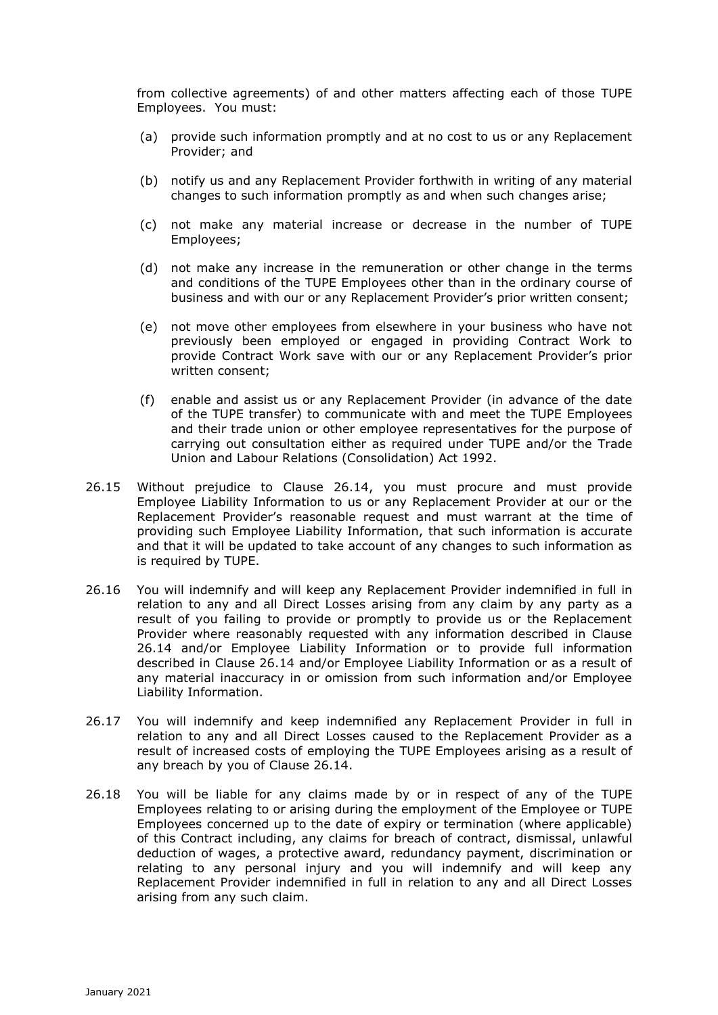from collective agreements) of and other matters affecting each of those TUPE Employees. You must:

- (a) provide such information promptly and at no cost to us or any Replacement Provider; and
- (b) notify us and any Replacement Provider forthwith in writing of any material changes to such information promptly as and when such changes arise;
- (c) not make any material increase or decrease in the number of TUPE Employees;
- (d) not make any increase in the remuneration or other change in the terms and conditions of the TUPE Employees other than in the ordinary course of business and with our or any Replacement Provider's prior written consent;
- (e) not move other employees from elsewhere in your business who have not previously been employed or engaged in providing Contract Work to provide Contract Work save with our or any Replacement Provider's prior written consent;
- (f) enable and assist us or any Replacement Provider (in advance of the date of the TUPE transfer) to communicate with and meet the TUPE Employees and their trade union or other employee representatives for the purpose of carrying out consultation either as required under TUPE and/or the Trade Union and Labour Relations (Consolidation) Act 1992.
- 26.15 Without prejudice to Clause 26.14, you must procure and must provide Employee Liability Information to us or any Replacement Provider at our or the Replacement Provider's reasonable request and must warrant at the time of providing such Employee Liability Information, that such information is accurate and that it will be updated to take account of any changes to such information as is required by TUPE.
- 26.16 You will indemnify and will keep any Replacement Provider indemnified in full in relation to any and all Direct Losses arising from any claim by any party as a result of you failing to provide or promptly to provide us or the Replacement Provider where reasonably requested with any information described in Clause 26.14 and/or Employee Liability Information or to provide full information described in Clause 26.14 and/or Employee Liability Information or as a result of any material inaccuracy in or omission from such information and/or Employee Liability Information.
- 26.17 You will indemnify and keep indemnified any Replacement Provider in full in relation to any and all Direct Losses caused to the Replacement Provider as a result of increased costs of employing the TUPE Employees arising as a result of any breach by you of Clause 26.14.
- 26.18 You will be liable for any claims made by or in respect of any of the TUPE Employees relating to or arising during the employment of the Employee or TUPE Employees concerned up to the date of expiry or termination (where applicable) of this Contract including, any claims for breach of contract, dismissal, unlawful deduction of wages, a protective award, redundancy payment, discrimination or relating to any personal injury and you will indemnify and will keep any Replacement Provider indemnified in full in relation to any and all Direct Losses arising from any such claim.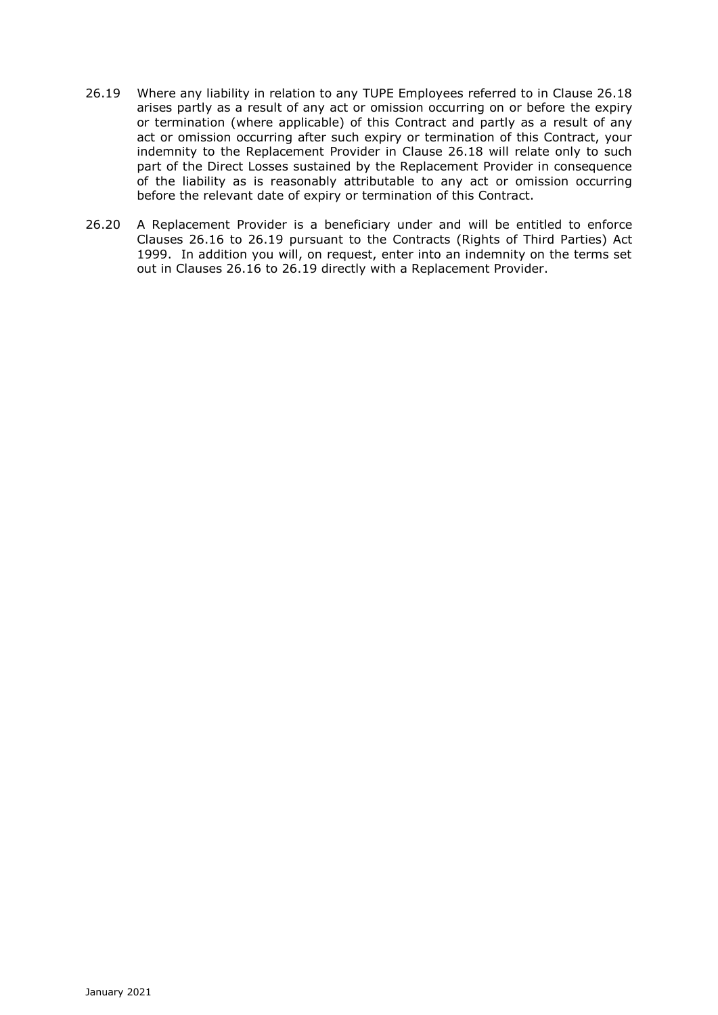- 26.19 Where any liability in relation to any TUPE Employees referred to in Clause 26.18 arises partly as a result of any act or omission occurring on or before the expiry or termination (where applicable) of this Contract and partly as a result of any act or omission occurring after such expiry or termination of this Contract, your indemnity to the Replacement Provider in Clause 26.18 will relate only to such part of the Direct Losses sustained by the Replacement Provider in consequence of the liability as is reasonably attributable to any act or omission occurring before the relevant date of expiry or termination of this Contract.
- 26.20 A Replacement Provider is a beneficiary under and will be entitled to enforce Clauses 26.16 to 26.19 pursuant to the Contracts (Rights of Third Parties) Act 1999. In addition you will, on request, enter into an indemnity on the terms set out in Clauses 26.16 to 26.19 directly with a Replacement Provider.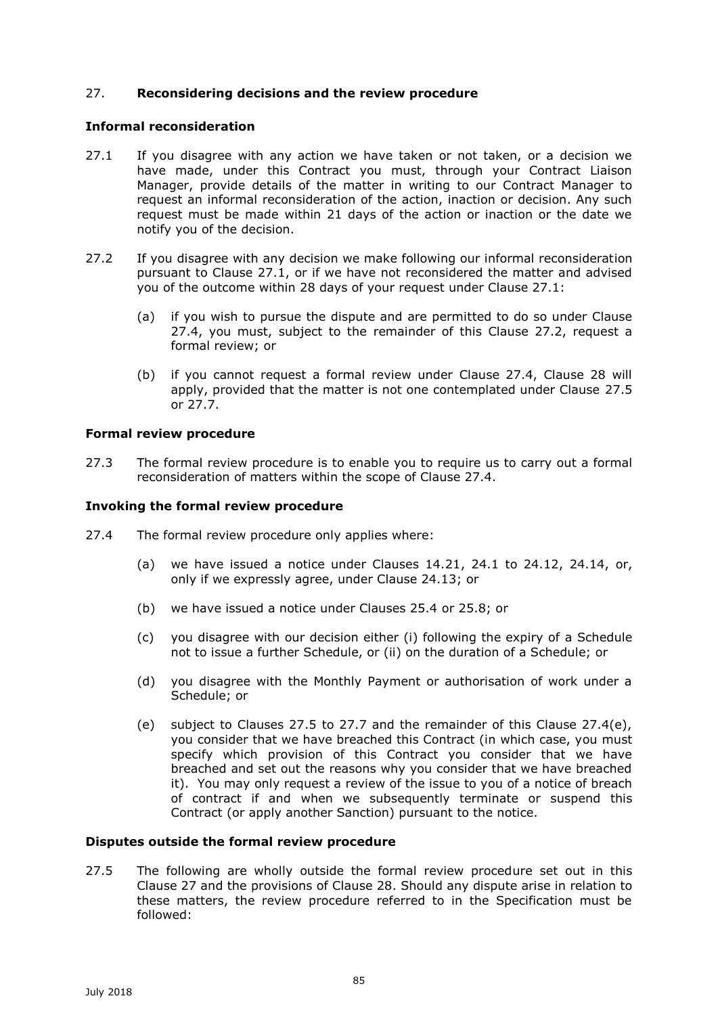# 27. **Reconsidering decisions and the review procedure**

# **Informal reconsideration**

- 27.1 If you disagree with any action we have taken or not taken, or a decision we have made, under this Contract you must, through your Contract Liaison Manager, provide details of the matter in writing to our Contract Manager to request an informal reconsideration of the action, inaction or decision. Any such request must be made within 21 days of the action or inaction or the date we notify you of the decision.
- 27.2 If you disagree with any decision we make following our informal reconsideration pursuant to Clause 27.1, or if we have not reconsidered the matter and advised you of the outcome within 28 days of your request under Clause 27.1:
	- (a) if you wish to pursue the dispute and are permitted to do so under Clause 27.4, you must, subject to the remainder of this Clause 27.2, request a formal review; or
	- (b) if you cannot request a formal review under Clause 27.4, Clause 28 will apply, provided that the matter is not one contemplated under Clause 27.5 or 27.7.

### **Formal review procedure**

27.3 The formal review procedure is to enable you to require us to carry out a formal reconsideration of matters within the scope of Clause 27.4.

### **Invoking the formal review procedure**

- 27.4 The formal review procedure only applies where:
	- (a) we have issued a notice under Clauses 14.21, 24.1 to 24.12, 24.14, or, only if we expressly agree, under Clause 24.13; or
	- (b) we have issued a notice under Clauses 25.4 or 25.8; or
	- (c) you disagree with our decision either (i) following the expiry of a Schedule not to issue a further Schedule, or (ii) on the duration of a Schedule; or
	- (d) you disagree with the Monthly Payment or authorisation of work under a Schedule; or
	- (e) subject to Clauses 27.5 to 27.7 and the remainder of this Clause 27.4(e), you consider that we have breached this Contract (in which case, you must specify which provision of this Contract you consider that we have breached and set out the reasons why you consider that we have breached it). You may only request a review of the issue to you of a notice of breach of contract if and when we subsequently terminate or suspend this Contract (or apply another Sanction) pursuant to the notice.

#### **Disputes outside the formal review procedure**

27.5 The following are wholly outside the formal review procedure set out in this Clause 27 and the provisions of Clause 28. Should any dispute arise in relation to these matters, the review procedure referred to in the Specification must be followed: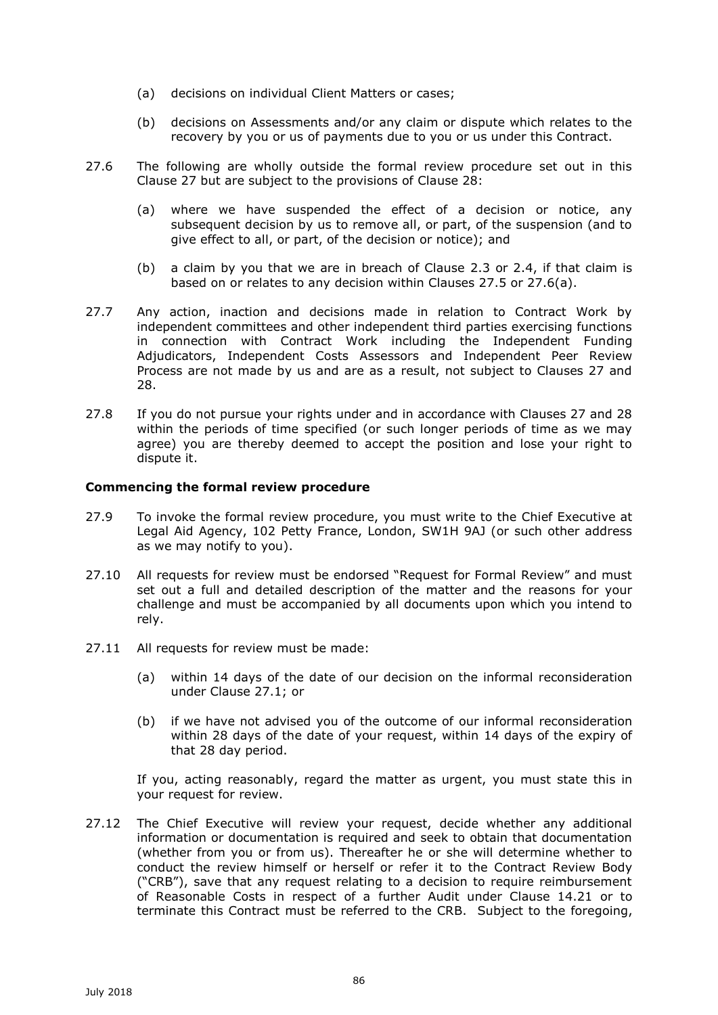- (a) decisions on individual Client Matters or cases;
- (b) decisions on Assessments and/or any claim or dispute which relates to the recovery by you or us of payments due to you or us under this Contract.
- 27.6 The following are wholly outside the formal review procedure set out in this Clause 27 but are subject to the provisions of Clause 28:
	- (a) where we have suspended the effect of a decision or notice, any subsequent decision by us to remove all, or part, of the suspension (and to give effect to all, or part, of the decision or notice); and
	- (b) a claim by you that we are in breach of Clause 2.3 or 2.4, if that claim is based on or relates to any decision within Clauses 27.5 or 27.6(a).
- 27.7 Any action, inaction and decisions made in relation to Contract Work by independent committees and other independent third parties exercising functions in connection with Contract Work including the Independent Funding Adjudicators, Independent Costs Assessors and Independent Peer Review Process are not made by us and are as a result, not subject to Clauses 27 and 28.
- 27.8 If you do not pursue your rights under and in accordance with Clauses 27 and 28 within the periods of time specified (or such longer periods of time as we may agree) you are thereby deemed to accept the position and lose your right to dispute it.

## **Commencing the formal review procedure**

- 27.9 To invoke the formal review procedure, you must write to the Chief Executive at Legal Aid Agency, 102 Petty France, London, SW1H 9AJ (or such other address as we may notify to you).
- 27.10 All requests for review must be endorsed "Request for Formal Review" and must set out a full and detailed description of the matter and the reasons for your challenge and must be accompanied by all documents upon which you intend to rely.
- 27.11 All requests for review must be made:
	- (a) within 14 days of the date of our decision on the informal reconsideration under Clause 27.1; or
	- (b) if we have not advised you of the outcome of our informal reconsideration within 28 days of the date of your request, within 14 days of the expiry of that 28 day period.

If you, acting reasonably, regard the matter as urgent, you must state this in your request for review.

27.12 The Chief Executive will review your request, decide whether any additional information or documentation is required and seek to obtain that documentation (whether from you or from us). Thereafter he or she will determine whether to conduct the review himself or herself or refer it to the Contract Review Body ("CRB"), save that any request relating to a decision to require reimbursement of Reasonable Costs in respect of a further Audit under Clause 14.21 or to terminate this Contract must be referred to the CRB. Subject to the foregoing,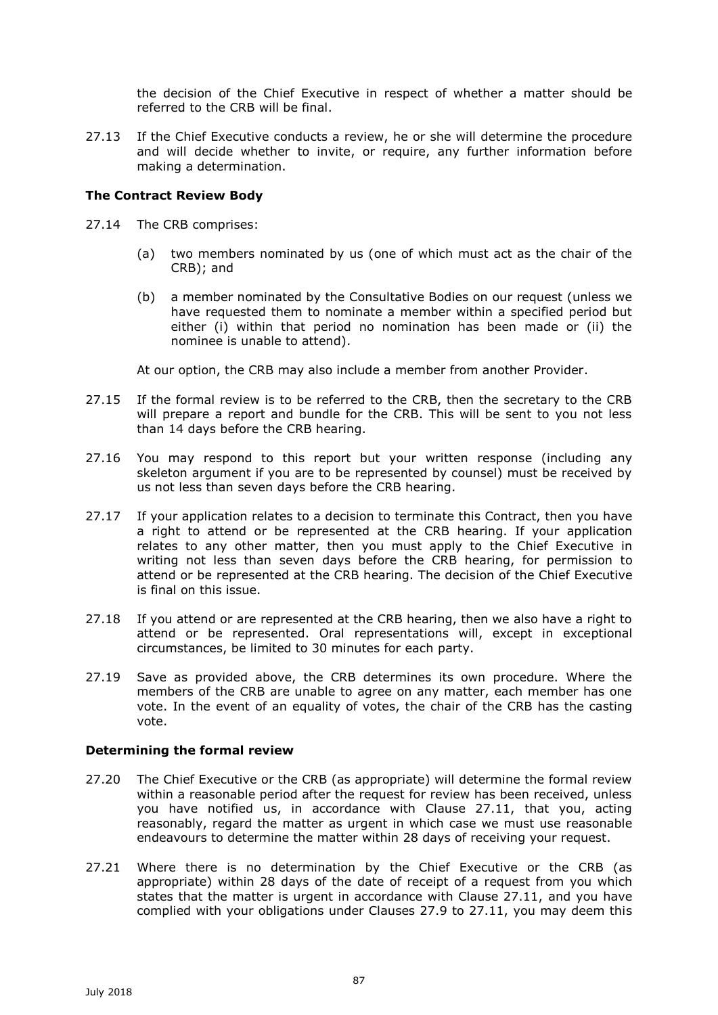the decision of the Chief Executive in respect of whether a matter should be referred to the CRB will be final.

27.13 If the Chief Executive conducts a review, he or she will determine the procedure and will decide whether to invite, or require, any further information before making a determination.

# **The Contract Review Body**

- 27.14 The CRB comprises:
	- (a) two members nominated by us (one of which must act as the chair of the CRB); and
	- (b) a member nominated by the Consultative Bodies on our request (unless we have requested them to nominate a member within a specified period but either (i) within that period no nomination has been made or (ii) the nominee is unable to attend).

At our option, the CRB may also include a member from another Provider.

- 27.15 If the formal review is to be referred to the CRB, then the secretary to the CRB will prepare a report and bundle for the CRB. This will be sent to you not less than 14 days before the CRB hearing.
- 27.16 You may respond to this report but your written response (including any skeleton argument if you are to be represented by counsel) must be received by us not less than seven days before the CRB hearing.
- 27.17 If your application relates to a decision to terminate this Contract, then you have a right to attend or be represented at the CRB hearing. If your application relates to any other matter, then you must apply to the Chief Executive in writing not less than seven days before the CRB hearing, for permission to attend or be represented at the CRB hearing. The decision of the Chief Executive is final on this issue.
- 27.18 If you attend or are represented at the CRB hearing, then we also have a right to attend or be represented. Oral representations will, except in exceptional circumstances, be limited to 30 minutes for each party.
- 27.19 Save as provided above, the CRB determines its own procedure. Where the members of the CRB are unable to agree on any matter, each member has one vote. In the event of an equality of votes, the chair of the CRB has the casting vote.

## **Determining the formal review**

- 27.20 The Chief Executive or the CRB (as appropriate) will determine the formal review within a reasonable period after the request for review has been received, unless you have notified us, in accordance with Clause 27.11, that you, acting reasonably, regard the matter as urgent in which case we must use reasonable endeavours to determine the matter within 28 days of receiving your request.
- 27.21 Where there is no determination by the Chief Executive or the CRB (as appropriate) within 28 days of the date of receipt of a request from you which states that the matter is urgent in accordance with Clause 27.11, and you have complied with your obligations under Clauses 27.9 to 27.11, you may deem this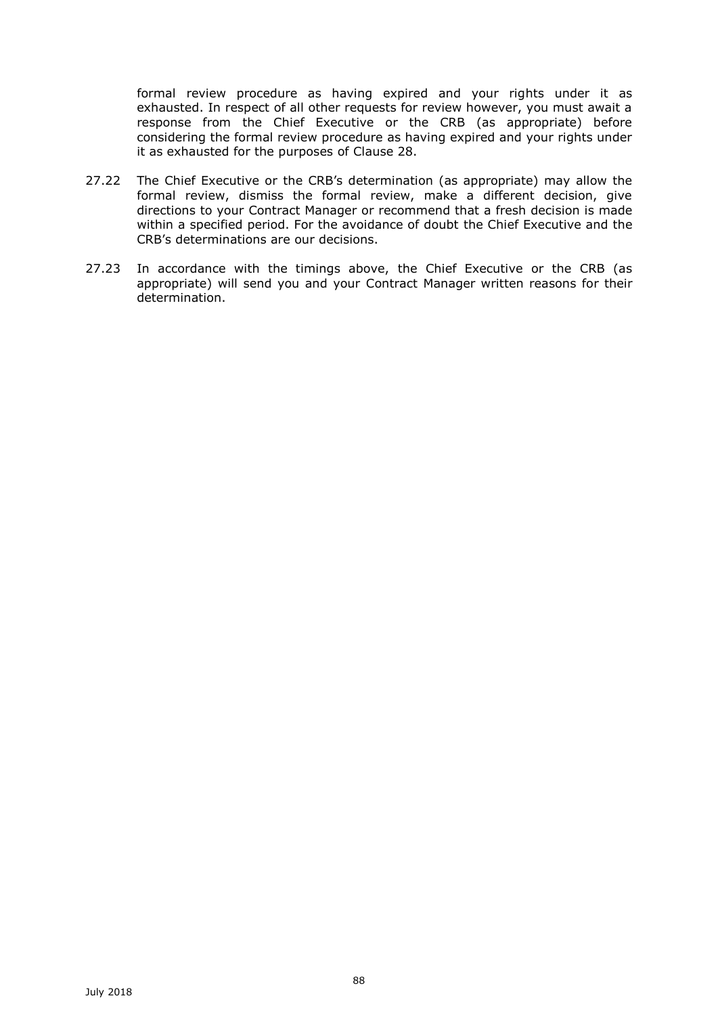formal review procedure as having expired and your rights under it as exhausted. In respect of all other requests for review however, you must await a response from the Chief Executive or the CRB (as appropriate) before considering the formal review procedure as having expired and your rights under it as exhausted for the purposes of Clause 28.

- 27.22 The Chief Executive or the CRB's determination (as appropriate) may allow the formal review, dismiss the formal review, make a different decision, give directions to your Contract Manager or recommend that a fresh decision is made within a specified period. For the avoidance of doubt the Chief Executive and the CRB's determinations are our decisions.
- 27.23 In accordance with the timings above, the Chief Executive or the CRB (as appropriate) will send you and your Contract Manager written reasons for their determination.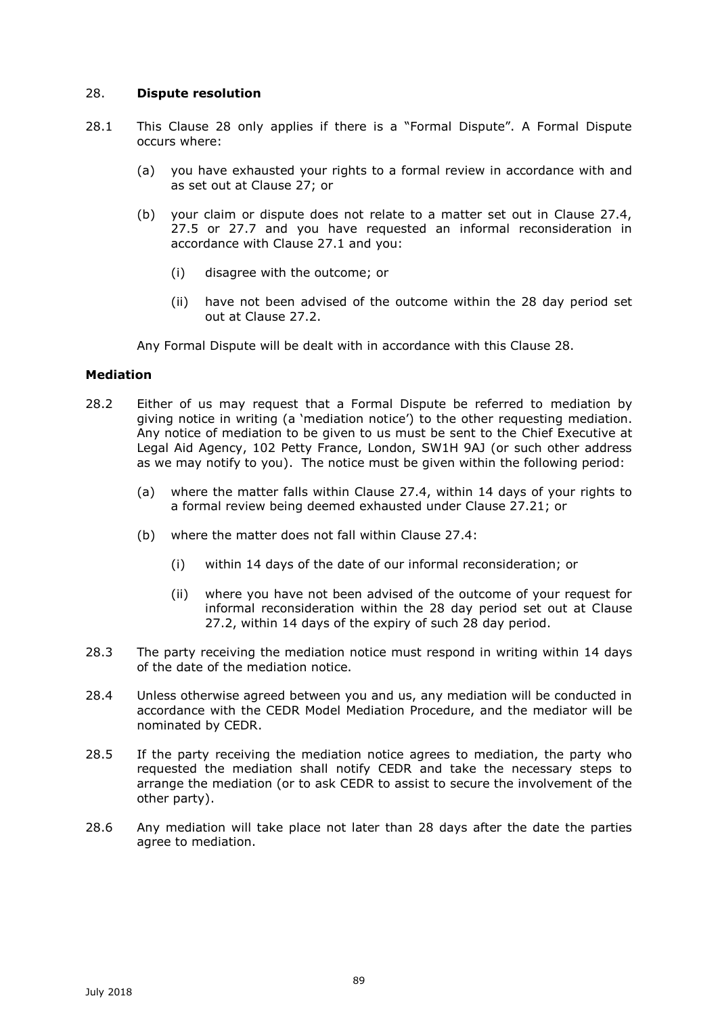# 28. **Dispute resolution**

- 28.1 This Clause 28 only applies if there is a "Formal Dispute". A Formal Dispute occurs where:
	- (a) you have exhausted your rights to a formal review in accordance with and as set out at Clause 27; or
	- (b) your claim or dispute does not relate to a matter set out in Clause 27.4, 27.5 or 27.7 and you have requested an informal reconsideration in accordance with Clause 27.1 and you:
		- (i) disagree with the outcome; or
		- (ii) have not been advised of the outcome within the 28 day period set out at Clause 27.2.

Any Formal Dispute will be dealt with in accordance with this Clause 28.

# **Mediation**

- 28.2 Either of us may request that a Formal Dispute be referred to mediation by giving notice in writing (a 'mediation notice') to the other requesting mediation. Any notice of mediation to be given to us must be sent to the Chief Executive at Legal Aid Agency, 102 Petty France, London, SW1H 9AJ (or such other address as we may notify to you). The notice must be given within the following period:
	- (a) where the matter falls within Clause 27.4, within 14 days of your rights to a formal review being deemed exhausted under Clause 27.21; or
	- (b) where the matter does not fall within Clause 27.4:
		- (i) within 14 days of the date of our informal reconsideration; or
		- (ii) where you have not been advised of the outcome of your request for informal reconsideration within the 28 day period set out at Clause 27.2, within 14 days of the expiry of such 28 day period.
- 28.3 The party receiving the mediation notice must respond in writing within 14 days of the date of the mediation notice.
- 28.4 Unless otherwise agreed between you and us, any mediation will be conducted in accordance with the CEDR Model Mediation Procedure, and the mediator will be nominated by CEDR.
- 28.5 If the party receiving the mediation notice agrees to mediation, the party who requested the mediation shall notify CEDR and take the necessary steps to arrange the mediation (or to ask CEDR to assist to secure the involvement of the other party).
- 28.6 Any mediation will take place not later than 28 days after the date the parties agree to mediation.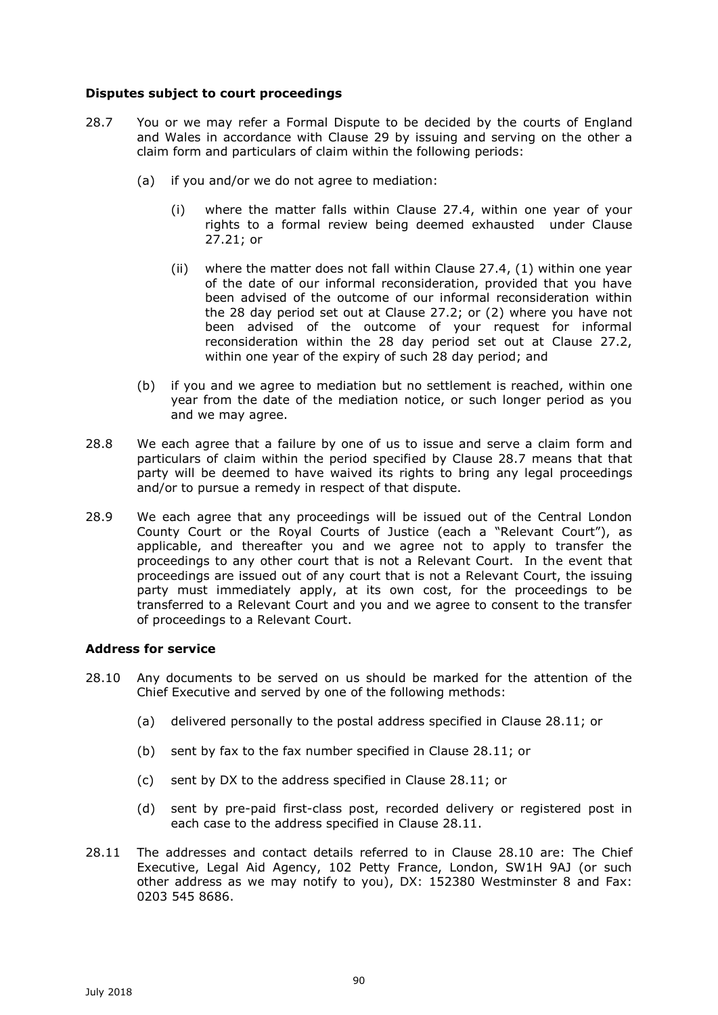# **Disputes subject to court proceedings**

- 28.7 You or we may refer a Formal Dispute to be decided by the courts of England and Wales in accordance with Clause 29 by issuing and serving on the other a claim form and particulars of claim within the following periods:
	- (a) if you and/or we do not agree to mediation:
		- (i) where the matter falls within Clause 27.4, within one year of your rights to a formal review being deemed exhausted under Clause 27.21; or
		- (ii) where the matter does not fall within Clause 27.4,  $(1)$  within one year of the date of our informal reconsideration, provided that you have been advised of the outcome of our informal reconsideration within the 28 day period set out at Clause 27.2; or (2) where you have not been advised of the outcome of your request for informal reconsideration within the 28 day period set out at Clause 27.2, within one year of the expiry of such 28 day period; and
	- (b) if you and we agree to mediation but no settlement is reached, within one year from the date of the mediation notice, or such longer period as you and we may agree.
- 28.8 We each agree that a failure by one of us to issue and serve a claim form and particulars of claim within the period specified by Clause 28.7 means that that party will be deemed to have waived its rights to bring any legal proceedings and/or to pursue a remedy in respect of that dispute.
- 28.9 We each agree that any proceedings will be issued out of the Central London County Court or the Royal Courts of Justice (each a "Relevant Court"), as applicable, and thereafter you and we agree not to apply to transfer the proceedings to any other court that is not a Relevant Court. In the event that proceedings are issued out of any court that is not a Relevant Court, the issuing party must immediately apply, at its own cost, for the proceedings to be transferred to a Relevant Court and you and we agree to consent to the transfer of proceedings to a Relevant Court.

## **Address for service**

- 28.10 Any documents to be served on us should be marked for the attention of the Chief Executive and served by one of the following methods:
	- (a) delivered personally to the postal address specified in Clause 28.11; or
	- (b) sent by fax to the fax number specified in Clause 28.11; or
	- (c) sent by DX to the address specified in Clause 28.11; or
	- (d) sent by pre-paid first-class post, recorded delivery or registered post in each case to the address specified in Clause 28.11.
- 28.11 The addresses and contact details referred to in Clause 28.10 are: The Chief Executive, Legal Aid Agency, 102 Petty France, London, SW1H 9AJ (or such other address as we may notify to you), DX: 152380 Westminster 8 and Fax: 0203 545 8686.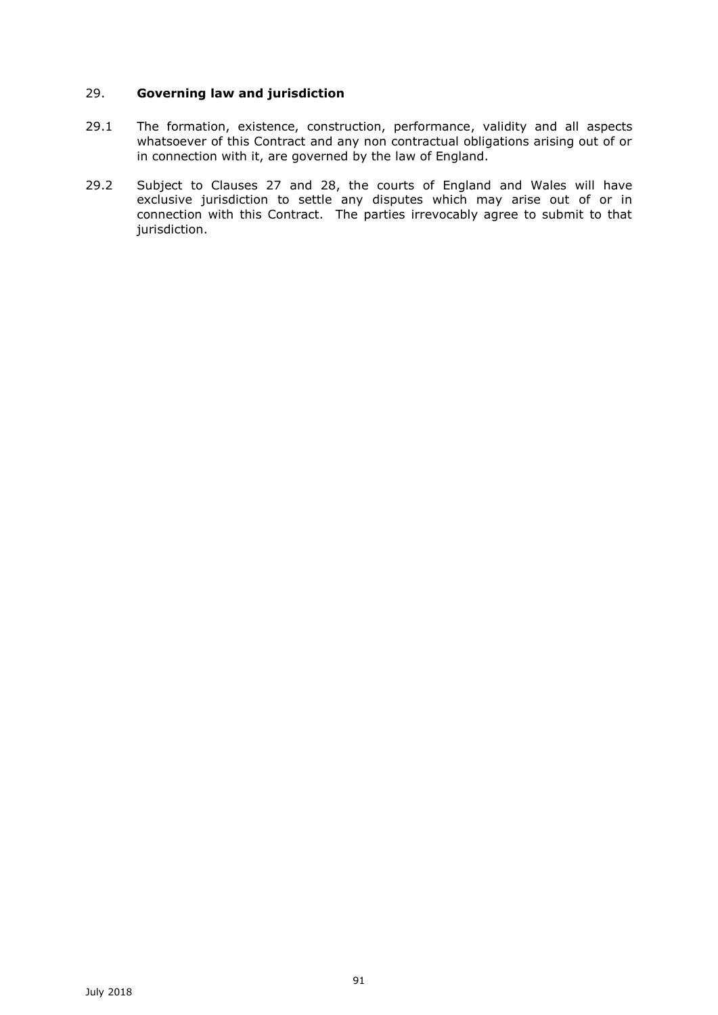# 29. **Governing law and jurisdiction**

- 29.1 The formation, existence, construction, performance, validity and all aspects whatsoever of this Contract and any non contractual obligations arising out of or in connection with it, are governed by the law of England.
- 29.2 Subject to Clauses 27 and 28, the courts of England and Wales will have exclusive jurisdiction to settle any disputes which may arise out of or in connection with this Contract. The parties irrevocably agree to submit to that jurisdiction.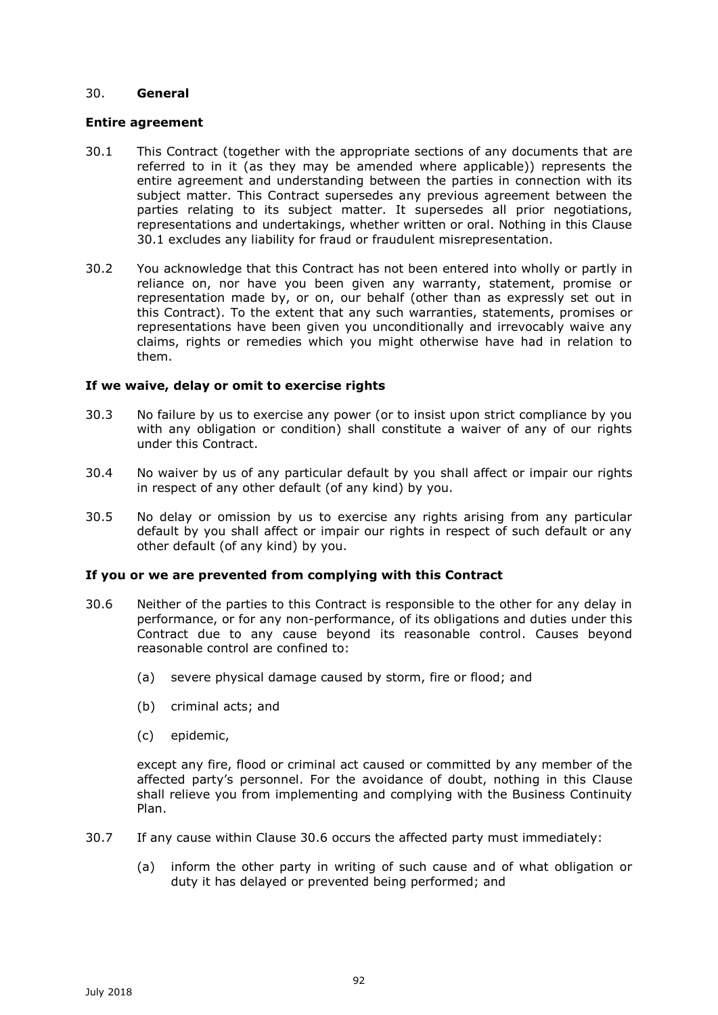# 30. **General**

## **Entire agreement**

- 30.1 This Contract (together with the appropriate sections of any documents that are referred to in it (as they may be amended where applicable)) represents the entire agreement and understanding between the parties in connection with its subject matter. This Contract supersedes any previous agreement between the parties relating to its subject matter. It supersedes all prior negotiations, representations and undertakings, whether written or oral. Nothing in this Clause 30.1 excludes any liability for fraud or fraudulent misrepresentation.
- 30.2 You acknowledge that this Contract has not been entered into wholly or partly in reliance on, nor have you been given any warranty, statement, promise or representation made by, or on, our behalf (other than as expressly set out in this Contract). To the extent that any such warranties, statements, promises or representations have been given you unconditionally and irrevocably waive any claims, rights or remedies which you might otherwise have had in relation to them.

## **If we waive, delay or omit to exercise rights**

- 30.3 No failure by us to exercise any power (or to insist upon strict compliance by you with any obligation or condition) shall constitute a waiver of any of our rights under this Contract.
- 30.4 No waiver by us of any particular default by you shall affect or impair our rights in respect of any other default (of any kind) by you.
- 30.5 No delay or omission by us to exercise any rights arising from any particular default by you shall affect or impair our rights in respect of such default or any other default (of any kind) by you.

## **If you or we are prevented from complying with this Contract**

- 30.6 Neither of the parties to this Contract is responsible to the other for any delay in performance, or for any non-performance, of its obligations and duties under this Contract due to any cause beyond its reasonable control. Causes beyond reasonable control are confined to:
	- (a) severe physical damage caused by storm, fire or flood; and
	- (b) criminal acts; and
	- (c) epidemic,

except any fire, flood or criminal act caused or committed by any member of the affected party's personnel. For the avoidance of doubt, nothing in this Clause shall relieve you from implementing and complying with the Business Continuity Plan.

- 30.7 If any cause within Clause 30.6 occurs the affected party must immediately:
	- (a) inform the other party in writing of such cause and of what obligation or duty it has delayed or prevented being performed; and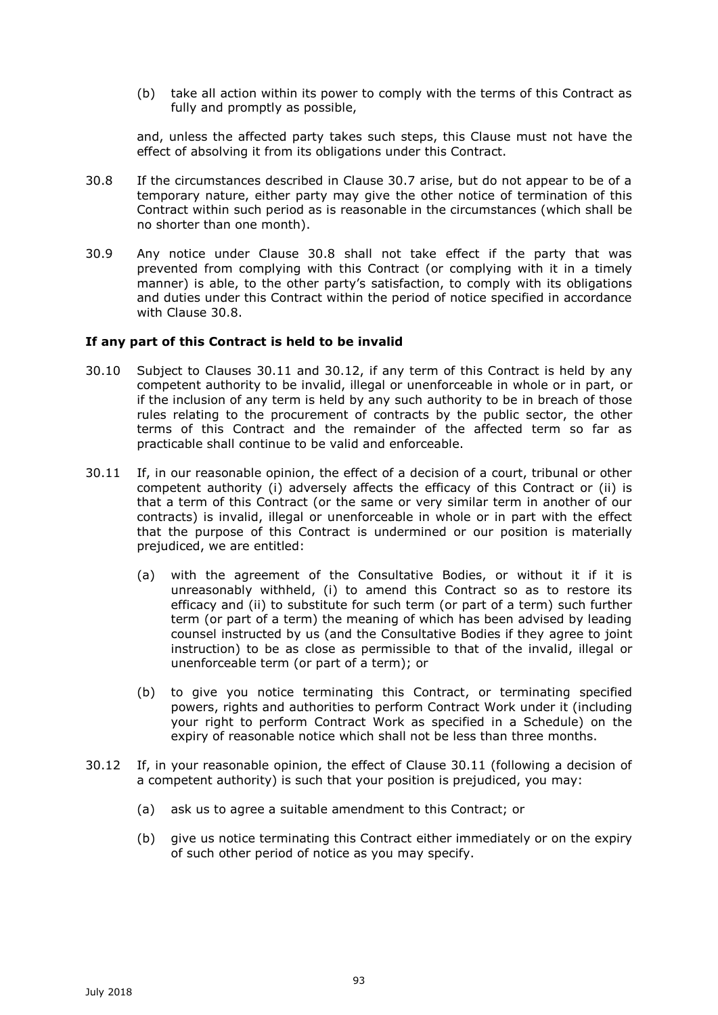(b) take all action within its power to comply with the terms of this Contract as fully and promptly as possible,

and, unless the affected party takes such steps, this Clause must not have the effect of absolving it from its obligations under this Contract.

- 30.8 If the circumstances described in Clause 30.7 arise, but do not appear to be of a temporary nature, either party may give the other notice of termination of this Contract within such period as is reasonable in the circumstances (which shall be no shorter than one month).
- 30.9 Any notice under Clause 30.8 shall not take effect if the party that was prevented from complying with this Contract (or complying with it in a timely manner) is able, to the other party's satisfaction, to comply with its obligations and duties under this Contract within the period of notice specified in accordance with Clause 30.8.

## **If any part of this Contract is held to be invalid**

- 30.10 Subject to Clauses 30.11 and 30.12, if any term of this Contract is held by any competent authority to be invalid, illegal or unenforceable in whole or in part, or if the inclusion of any term is held by any such authority to be in breach of those rules relating to the procurement of contracts by the public sector, the other terms of this Contract and the remainder of the affected term so far as practicable shall continue to be valid and enforceable.
- 30.11 If, in our reasonable opinion, the effect of a decision of a court, tribunal or other competent authority (i) adversely affects the efficacy of this Contract or (ii) is that a term of this Contract (or the same or very similar term in another of our contracts) is invalid, illegal or unenforceable in whole or in part with the effect that the purpose of this Contract is undermined or our position is materially prejudiced, we are entitled:
	- (a) with the agreement of the Consultative Bodies, or without it if it is unreasonably withheld, (i) to amend this Contract so as to restore its efficacy and (ii) to substitute for such term (or part of a term) such further term (or part of a term) the meaning of which has been advised by leading counsel instructed by us (and the Consultative Bodies if they agree to joint instruction) to be as close as permissible to that of the invalid, illegal or unenforceable term (or part of a term); or
	- (b) to give you notice terminating this Contract, or terminating specified powers, rights and authorities to perform Contract Work under it (including your right to perform Contract Work as specified in a Schedule) on the expiry of reasonable notice which shall not be less than three months.
- 30.12 If, in your reasonable opinion, the effect of Clause 30.11 (following a decision of a competent authority) is such that your position is prejudiced, you may:
	- (a) ask us to agree a suitable amendment to this Contract; or
	- (b) give us notice terminating this Contract either immediately or on the expiry of such other period of notice as you may specify.